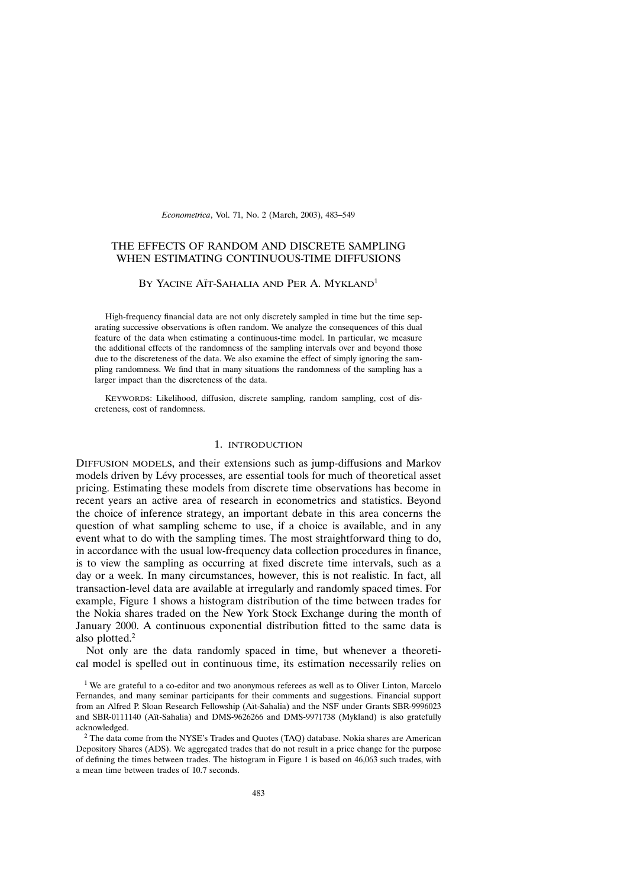# THE EFFECTS OF RANDOM AND DISCRETE SAMPLING WHEN ESTIMATING CONTINUOUS-TIME DIFFUSIONS

# BY YACINE AÏT-SAHALIA AND PER A. MYKLAND<sup>1</sup>

High-frequency financial data are not only discretely sampled in time but the time separating successive observations is often random. We analyze the consequences of this dual feature of the data when estimating a continuous-time model. In particular, we measure the additional effects of the randomness of the sampling intervals over and beyond those due to the discreteness of the data. We also examine the effect of simply ignoring the sampling randomness. We find that in many situations the randomness of the sampling has a larger impact than the discreteness of the data.

KEYWORDS: Likelihood, diffusion, discrete sampling, random sampling, cost of discreteness, cost of randomness.

## 1 introduction

DIFFUSION MODELS, and their extensions such as jump-diffusions and Markov models driven by Lévy processes, are essential tools for much of theoretical asset pricing. Estimating these models from discrete time observations has become in recent years an active area of research in econometrics and statistics. Beyond the choice of inference strategy, an important debate in this area concerns the question of what sampling scheme to use, if a choice is available, and in any event what to do with the sampling times. The most straightforward thing to do, in accordance with the usual low-frequency data collection procedures in finance, is to view the sampling as occurring at fixed discrete time intervals, such as a day or a week. In many circumstances, however, this is not realistic. In fact, all transaction-level data are available at irregularly and randomly spaced times. For example, Figure 1 shows a histogram distribution of the time between trades for the Nokia shares traded on the New York Stock Exchange during the month of January 2000. A continuous exponential distribution fitted to the same data is also plotted.<sup>2</sup>

Not only are the data randomly spaced in time, but whenever a theoretical model is spelled out in continuous time, its estimation necessarily relies on

<sup>&</sup>lt;sup>1</sup> We are grateful to a co-editor and two anonymous referees as well as to Oliver Linton, Marcelo Fernandes, and many seminar participants for their comments and suggestions. Financial support from an Alfred P. Sloan Research Fellowship (Aït-Sahalia) and the NSF under Grants SBR-9996023 and SBR-0111140 (Aït-Sahalia) and DMS-9626266 and DMS-9971738 (Mykland) is also gratefully acknowledged.

<sup>2</sup> The data come from the NYSE's Trades and Quotes (TAQ) database. Nokia shares are American Depository Shares (ADS). We aggregated trades that do not result in a price change for the purpose of defining the times between trades. The histogram in Figure 1 is based on 46,063 such trades, with a mean time between trades of 10.7 seconds.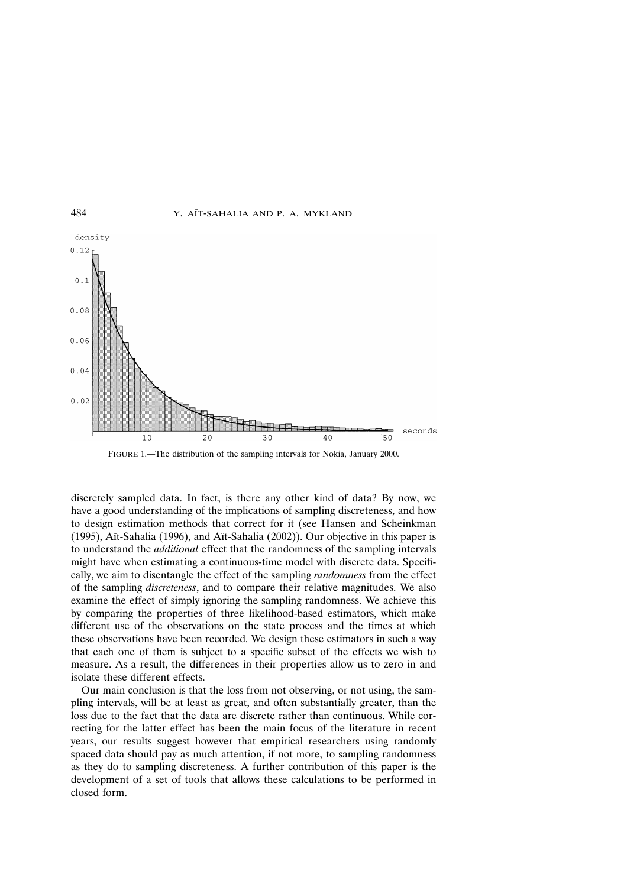

Figure 1.—The distribution of the sampling intervals for Nokia, January 2000.

discretely sampled data. In fact, is there any other kind of data? By now, we have a good understanding of the implications of sampling discreteness, and how to design estimation methods that correct for it (see Hansen and Scheinkman (1995), Aït-Sahalia (1996), and Aït-Sahalia (2002)). Our objective in this paper is to understand the additional effect that the randomness of the sampling intervals might have when estimating a continuous-time model with discrete data. Specifically, we aim to disentangle the effect of the sampling randomness from the effect of the sampling discreteness, and to compare their relative magnitudes. We also examine the effect of simply ignoring the sampling randomness. We achieve this by comparing the properties of three likelihood-based estimators, which make different use of the observations on the state process and the times at which these observations have been recorded. We design these estimators in such a way that each one of them is subject to a specific subset of the effects we wish to measure. As a result, the differences in their properties allow us to zero in and isolate these different effects.

Our main conclusion is that the loss from not observing, or not using, the sampling intervals, will be at least as great, and often substantially greater, than the loss due to the fact that the data are discrete rather than continuous. While correcting for the latter effect has been the main focus of the literature in recent years, our results suggest however that empirical researchers using randomly spaced data should pay as much attention, if not more, to sampling randomness as they do to sampling discreteness. Afurther contribution of this paper is the development of a set of tools that allows these calculations to be performed in closed form.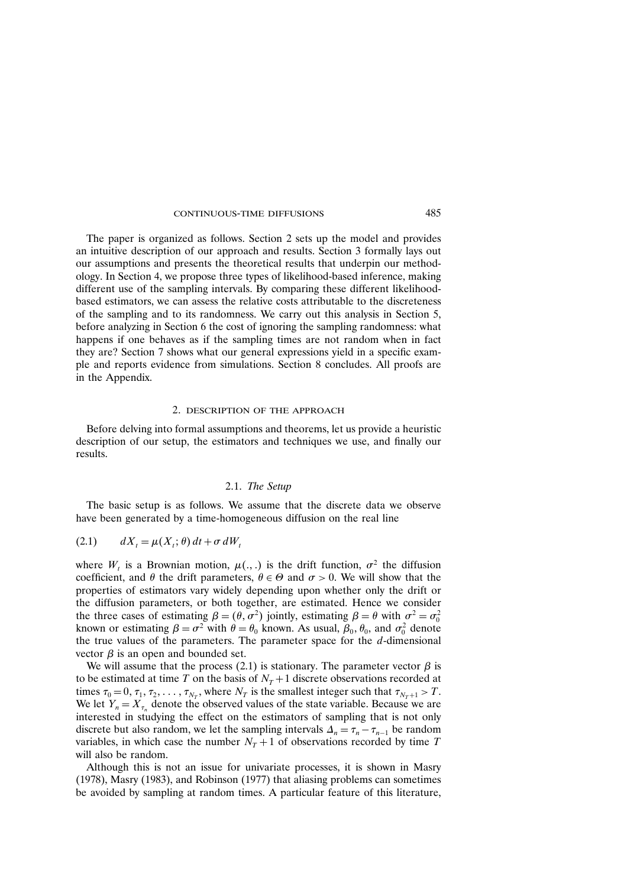The paper is organized as follows. Section 2 sets up the model and provides an intuitive description of our approach and results. Section 3 formally lays out our assumptions and presents the theoretical results that underpin our methodology. In Section 4, we propose three types of likelihood-based inference, making different use of the sampling intervals. By comparing these different likelihoodbased estimators, we can assess the relative costs attributable to the discreteness of the sampling and to its randomness. We carry out this analysis in Section 5, before analyzing in Section 6 the cost of ignoring the sampling randomness: what happens if one behaves as if the sampling times are not random when in fact they are? Section 7 shows what our general expressions yield in a specific example and reports evidence from simulations. Section 8 concludes. All proofs are in the Appendix.

### 2. DESCRIPTION OF THE APPROACH

Before delving into formal assumptions and theorems, let us provide a heuristic description of our setup, the estimators and techniques we use, and finally our results.

### 2.1. The Setup

The basic setup is as follows. We assume that the discrete data we observe have been generated by a time-homogeneous diffusion on the real line

$$
(2.1) \t dX_t = \mu(X_t; \theta) dt + \sigma dW_t
$$

where  $W_t$  is a Brownian motion,  $\mu(.,.)$  is the drift function,  $\sigma^2$  the diffusion coefficient, and  $\theta$  the drift parameters,  $\theta \in \Theta$  and  $\sigma > 0$ . We will show that the properties of estimators vary widely depending upon whether only the drift or the diffusion parameters, or both together, are estimated. Hence we consider the three cases of estimating  $\beta = (\theta, \sigma^2)$  jointly, estimating  $\beta = \theta$  with  $\sigma^2 = \sigma_0^2$ known or estimating  $\beta = \sigma^2$  with  $\theta = \theta_0$  known. As usual,  $\beta_0$ ,  $\theta_0$ , and  $\sigma_0^2$  denote the true values of the parameters. The parameter space for the  $d$ -dimensional vector  $\beta$  is an open and bounded set.

We will assume that the process (2.1) is stationary. The parameter vector  $\beta$  is to be estimated at time T on the basis of  $N_T + 1$  discrete observations recorded at times  $\tau_0 = 0, \tau_1, \tau_2, \ldots, \tau_{N_T}$ , where  $N_T$  is the smallest integer such that  $\tau_{N_T+1} > T$ . We let  $Y_n = X_{\tau_n}$  denote the observed values of the state variable. Because we are interested in studying the effect on the estimators of sampling that is not only discrete but also random, we let the sampling intervals  $\Delta_n = \tau_n - \tau_{n-1}$  be random variables, in which case the number  $N_T + 1$  of observations recorded by time T will also be random.

Although this is not an issue for univariate processes, it is shown in Masry (1978), Masry (1983), and Robinson (1977) that aliasing problems can sometimes be avoided by sampling at random times. A particular feature of this literature,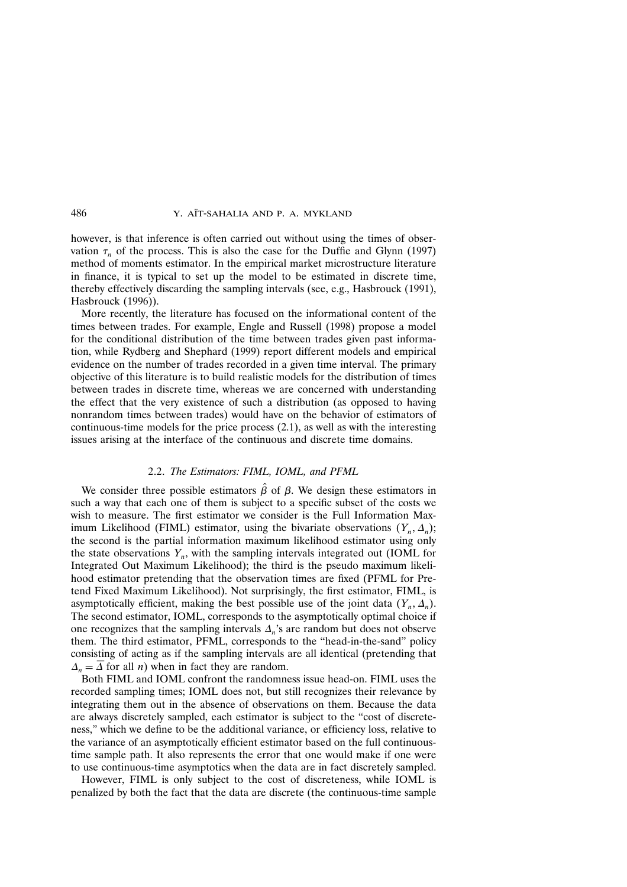however, is that inference is often carried out without using the times of observation  $\tau_n$  of the process. This is also the case for the Duffie and Glynn (1997) method of moments estimator. In the empirical market microstructure literature in finance, it is typical to set up the model to be estimated in discrete time, thereby effectively discarding the sampling intervals (see, e.g., Hasbrouck (1991), Hasbrouck (1996)).

More recently, the literature has focused on the informational content of the times between trades. For example, Engle and Russell (1998) propose a model for the conditional distribution of the time between trades given past information, while Rydberg and Shephard (1999) report different models and empirical evidence on the number of trades recorded in a given time interval. The primary objective of this literature is to build realistic models for the distribution of times between trades in discrete time, whereas we are concerned with understanding the effect that the very existence of such a distribution (as opposed to having nonrandom times between trades) would have on the behavior of estimators of continuous-time models for the price process (2.1), as well as with the interesting issues arising at the interface of the continuous and discrete time domains.

## 2.2. The Estimators: FIML, IOML, and PFML

We consider three possible estimators  $\hat{\beta}$  of  $\beta$ . We design these estimators in such a way that each one of them is subject to a specific subset of the costs we wish to measure. The first estimator we consider is the Full Information Maximum Likelihood (FIML) estimator, using the bivariate observations  $(Y_n, \Delta_n)$ ; the second is the partial information maximum likelihood estimator using only the state observations  $Y_n$ , with the sampling intervals integrated out (IOML for Integrated Out Maximum Likelihood); the third is the pseudo maximum likelihood estimator pretending that the observation times are fixed (PFML for Pretend Fixed Maximum Likelihood). Not surprisingly, the first estimator, FIML, is asymptotically efficient, making the best possible use of the joint data  $(Y_n, \Delta_n)$ . The second estimator, IOML, corresponds to the asymptotically optimal choice if one recognizes that the sampling intervals  $\Delta_n$ 's are random but does not observe them. The third estimator, PFML, corresponds to the "head-in-the-sand" policy consisting of acting as if the sampling intervals are all identical (pretending that  $\Delta_n = \Delta$  for all *n*) when in fact they are random.

Both FIML and IOML confront the randomness issue head-on. FIML uses the recorded sampling times; IOML does not, but still recognizes their relevance by integrating them out in the absence of observations on them. Because the data are always discretely sampled, each estimator is subject to the "cost of discreteness," which we define to be the additional variance, or efficiency loss, relative to the variance of an asymptotically efficient estimator based on the full continuoustime sample path. It also represents the error that one would make if one were to use continuous-time asymptotics when the data are in fact discretely sampled.

However, FIML is only subject to the cost of discreteness, while IOML is penalized by both the fact that the data are discrete (the continuous-time sample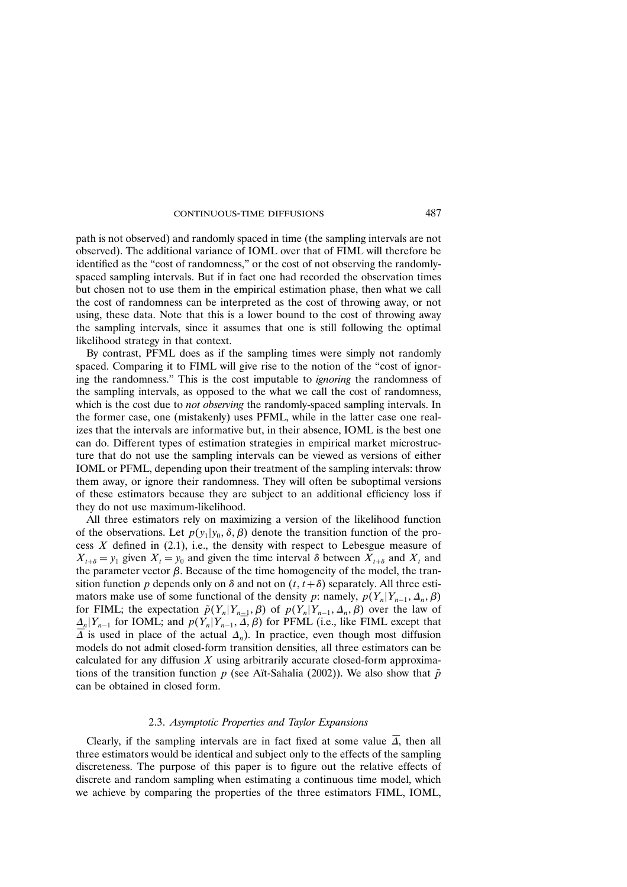path is not observed) and randomly spaced in time (the sampling intervals are not observed). The additional variance of IOML over that of FIML will therefore be identified as the "cost of randomness," or the cost of not observing the randomlyspaced sampling intervals. But if in fact one had recorded the observation times but chosen not to use them in the empirical estimation phase, then what we call the cost of randomness can be interpreted as the cost of throwing away, or not using, these data. Note that this is a lower bound to the cost of throwing away the sampling intervals, since it assumes that one is still following the optimal likelihood strategy in that context.

By contrast, PFML does as if the sampling times were simply not randomly spaced. Comparing it to FIML will give rise to the notion of the "cost of ignoring the randomness." This is the cost imputable to ignoring the randomness of the sampling intervals, as opposed to the what we call the cost of randomness, which is the cost due to *not observing* the randomly-spaced sampling intervals. In the former case, one (mistakenly) uses PFML, while in the latter case one realizes that the intervals are informative but, in their absence, IOML is the best one can do. Different types of estimation strategies in empirical market microstructure that do not use the sampling intervals can be viewed as versions of either IOML or PFML, depending upon their treatment of the sampling intervals: throw them away, or ignore their randomness. They will often be suboptimal versions of these estimators because they are subject to an additional efficiency loss if they do not use maximum-likelihood.

All three estimators rely on maximizing a version of the likelihood function of the observations. Let  $p(y_1|y_0, \delta, \beta)$  denote the transition function of the process  $X$  defined in (2.1), i.e., the density with respect to Lebesgue measure of  $X_{t+\delta} = y_1$  given  $X_t = y_0$  and given the time interval  $\delta$  between  $X_{t+\delta}$  and  $X_t$  and the parameter vector  $\beta$ . Because of the time homogeneity of the model, the transition function p depends only on  $\delta$  and not on  $(t, t + \delta)$  separately. All three estimators make use of some functional of the density p: namely,  $p(Y_n|Y_{n-1}, \Delta_n, \beta)$ for FIML; the expectation  $\tilde{p}(Y_n|Y_{n-1}, \beta)$  of  $p(Y_n|Y_{n-1}, \Delta_n, \beta)$  over the law of  $\Delta_n|Y_{n-1}$  for IOML; and  $p(Y_n|Y_{n-1}, \overline{\Delta}, \beta)$  for PFML (i.e., like FIML except that  $\Delta$  is used in place of the actual  $\Delta_n$ ). In practice, even though most diffusion models do not admit closed-form transition densities, all three estimators can be calculated for any diffusion  $X$  using arbitrarily accurate closed-form approximations of the transition function p (see Aït-Sahalia (2002)). We also show that  $\tilde{p}$ can be obtained in closed form.

## 23 Asymptotic Properties and Taylor Expansions

Clearly, if the sampling intervals are in fact fixed at some value  $\Delta$ , then all three estimators would be identical and subject only to the effects of the sampling discreteness. The purpose of this paper is to figure out the relative effects of discrete and random sampling when estimating a continuous time model, which we achieve by comparing the properties of the three estimators FIML, IOML,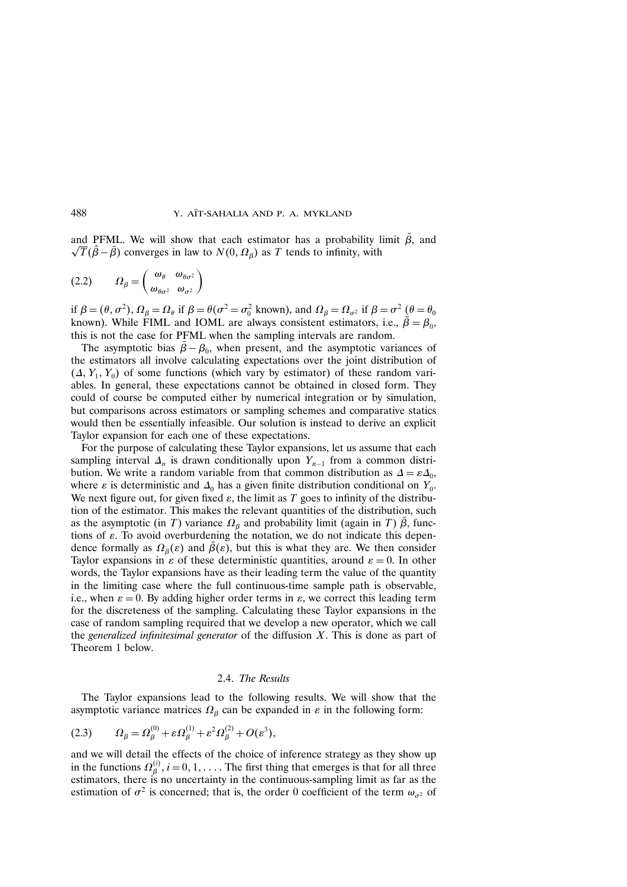and PFML. We will show that each estimator has a probability limit  $\beta$ , and  $\overline{T}(\hat{\rho} - \overline{\rho})$  converges in law to  $N(0, \Omega)$  as T tonds to infinity with  $\sqrt{T}(\hat{\beta}-\bar{\beta})$  converges in law to  $N(0, \Omega_{\beta})$  as T tends to infinity, with

$$
(2.2) \t \t \Omega_{\beta} = \begin{pmatrix} \omega_{\theta} & \omega_{\theta \sigma^2} \\ \omega_{\theta \sigma^2} & \omega_{\sigma^2} \end{pmatrix}
$$

if  $\beta = (\theta, \sigma^2)$ ,  $\Omega_{\beta} = \Omega_{\theta}$  if  $\beta = \theta(\sigma^2 = \sigma_0^2$  known), and  $\Omega_{\beta} = \Omega_{\sigma^2}$  if  $\beta = \sigma^2$   $(\theta = \theta_0$ known). While FIML and IOML are always consistent estimators, i.e.,  $\beta = \beta_0$ , this is not the case for PFML when the sampling intervals are random.

The asymptotic bias  $\beta - \beta_0$ , when present, and the asymptotic variances of the estimators all involve calculating expectations over the joint distribution of  $(\Delta, Y_1, Y_0)$  of some functions (which vary by estimator) of these random variables. In general, these expectations cannot be obtained in closed form. They could of course be computed either by numerical integration or by simulation, but comparisons across estimators or sampling schemes and comparative statics would then be essentially infeasible. Our solution is instead to derive an explicit Taylor expansion for each one of these expectations.

For the purpose of calculating these Taylor expansions, let us assume that each sampling interval  $\Delta_n$  is drawn conditionally upon  $Y_{n-1}$  from a common distribution. We write a random variable from that common distribution as  $\Delta = \varepsilon \Delta_0$ , where  $\varepsilon$  is deterministic and  $\Delta_0$  has a given finite distribution conditional on  $Y_0$ . We next figure out, for given fixed  $\varepsilon$ , the limit as T goes to infinity of the distribution of the estimator. This makes the relevant quantities of the distribution, such as the asymptotic (in T) variance  $\Omega_{\beta}$  and probability limit (again in T)  $\beta$ , functions of  $\varepsilon$ . To avoid overburdening the notation, we do not indicate this dependence formally as  $\Omega_{\beta}(\varepsilon)$  and  $\beta(\varepsilon)$ , but this is what they are. We then consider Taylor expansions in  $\varepsilon$  of these deterministic quantities, around  $\varepsilon = 0$ . In other words, the Taylor expansions have as their leading term the value of the quantity in the limiting case where the full continuous-time sample path is observable, i.e., when  $\varepsilon = 0$ . By adding higher order terms in  $\varepsilon$ , we correct this leading term for the discreteness of the sampling. Calculating these Taylor expansions in the case of random sampling required that we develop a new operator, which we call the generalized infinitesimal generator of the diffusion  $X$ . This is done as part of Theorem 1 below.

### 2.4. The Results

The Taylor expansions lead to the following results. We will show that the asymptotic variance matrices  $\Omega_{\beta}$  can be expanded in  $\varepsilon$  in the following form:

(2.3) 
$$
\Omega_{\beta} = \Omega_{\beta}^{(0)} + \varepsilon \Omega_{\beta}^{(1)} + \varepsilon^2 \Omega_{\beta}^{(2)} + O(\varepsilon^3),
$$

and we will detail the effects of the choice of inference strategy as they show up in the functions  $\Omega_{\beta}^{(i)}$ ,  $i = 0, 1, \ldots$ . The first thing that emerges is that for all three estimators, there is no uncertainty in the continuous-sampling limit as far as the estimation of  $\sigma^2$  is concerned; that is, the order 0 coefficient of the term  $\omega_{\sigma^2}$  of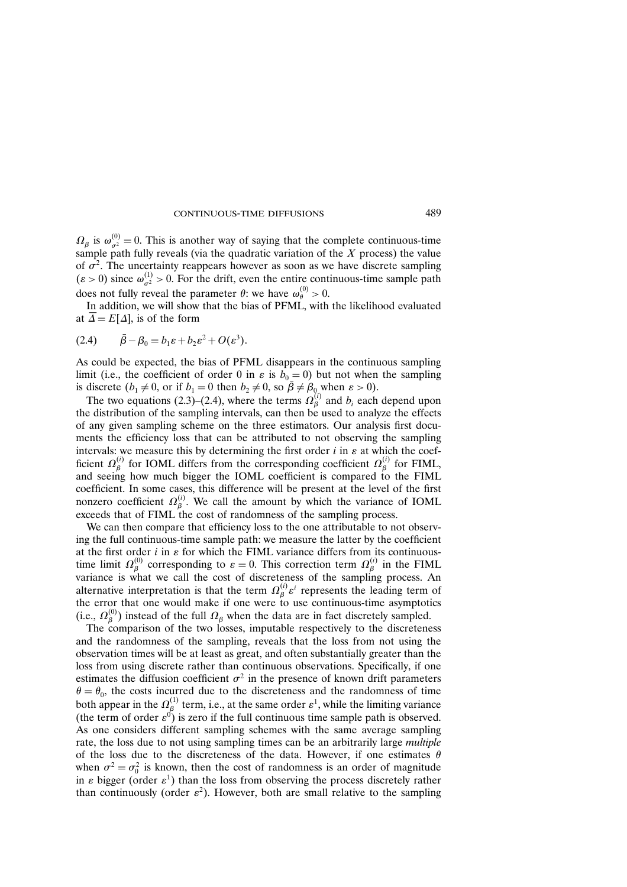$\Omega_{\beta}$  is  $\omega_{\sigma^2}^{(0)} = 0$ . This is another way of saying that the complete continuous-time sample path fully reveals (via the quadratic variation of the  $X$  process) the value of  $\sigma^2$ . The uncertainty reappears however as soon as we have discrete sampling  $(\varepsilon > 0)$  since  $\omega_{\sigma^2}^{(1)} > 0$ . For the drift, even the entire continuous-time sample path does not fully reveal the parameter  $\theta$ : we have  $\omega_{\theta}^{(0)} > 0$ .

In addition, we will show that the bias of PFML, with the likelihood evaluated at  $\Delta = E[\Delta]$ , is of the form

$$
(2.4) \qquad \bar{\beta} - \beta_0 = b_1 \varepsilon + b_2 \varepsilon^2 + O(\varepsilon^3).
$$

As could be expected, the bias of PFML disappears in the continuous sampling limit (i.e., the coefficient of order 0 in  $\varepsilon$  is  $b_0 = 0$ ) but not when the sampling is discrete  $(b_1 \neq 0$ , or if  $b_1 = 0$  then  $b_2 \neq 0$ , so  $\overline{\beta} \neq \beta_0$  when  $\varepsilon > 0$ ).

The two equations (2.3)–(2.4), where the terms  $\Omega_{\beta}^{(i)}$  and  $b_i$  each depend upon the distribution of the sampling intervals, can then be used to analyze the effects of any given sampling scheme on the three estimators. Our analysis first documents the efficiency loss that can be attributed to not observing the sampling intervals: we measure this by determining the first order  $i$  in  $\varepsilon$  at which the coefficient  $\Omega_{\beta}^{(i)}$  for IOML differs from the corresponding coefficient  $\Omega_{\beta}^{(i)}$  for FIML, and seeing how much bigger the IOML coefficient is compared to the FIML coefficient. In some cases, this difference will be present at the level of the first nonzero coefficient  $\Omega_{\beta}^{(i)}$ . We call the amount by which the variance of IOML exceeds that of FIML the cost of randomness of the sampling process.

We can then compare that efficiency loss to the one attributable to not observing the full continuous-time sample path: we measure the latter by the coefficient at the first order i in  $\varepsilon$  for which the FIML variance differs from its continuoustime limit  $\Omega_{\beta}^{(0)}$  corresponding to  $\varepsilon = 0$ . This correction term  $\Omega_{\beta}^{(i)}$  in the FIML variance is what we call the cost of discreteness of the sampling process. An alternative interpretation is that the term  $\Omega_{\beta}^{(i)}\varepsilon^{i}$  represents the leading term of the error that one would make if one were to use continuous-time asymptotics (i.e.,  $\Omega_{\beta}^{(0)}$ ) instead of the full  $\Omega_{\beta}$  when the data are in fact discretely sampled.

The comparison of the two losses, imputable respectively to the discreteness and the randomness of the sampling, reveals that the loss from not using the observation times will be at least as great, and often substantially greater than the loss from using discrete rather than continuous observations. Specifically, if one estimates the diffusion coefficient  $\sigma^2$  in the presence of known drift parameters  $\theta = \theta_0$ , the costs incurred due to the discreteness and the randomness of time both appear in the  $\Omega_{\beta}^{(1)}$  term, i.e., at the same order  $\varepsilon^1$ , while the limiting variance (the term of order  $\varepsilon^{0}$ ) is zero if the full continuous time sample path is observed. As one considers different sampling schemes with the same average sampling rate, the loss due to not using sampling times can be an arbitrarily large *multiple* of the loss due to the discreteness of the data. However, if one estimates  $\theta$ when  $\sigma^2 = \sigma_0^2$  is known, then the cost of randomness is an order of magnitude in  $\varepsilon$  bigger (order  $\varepsilon$ <sup>1</sup>) than the loss from observing the process discretely rather than continuously (order  $\varepsilon^2$ ). However, both are small relative to the sampling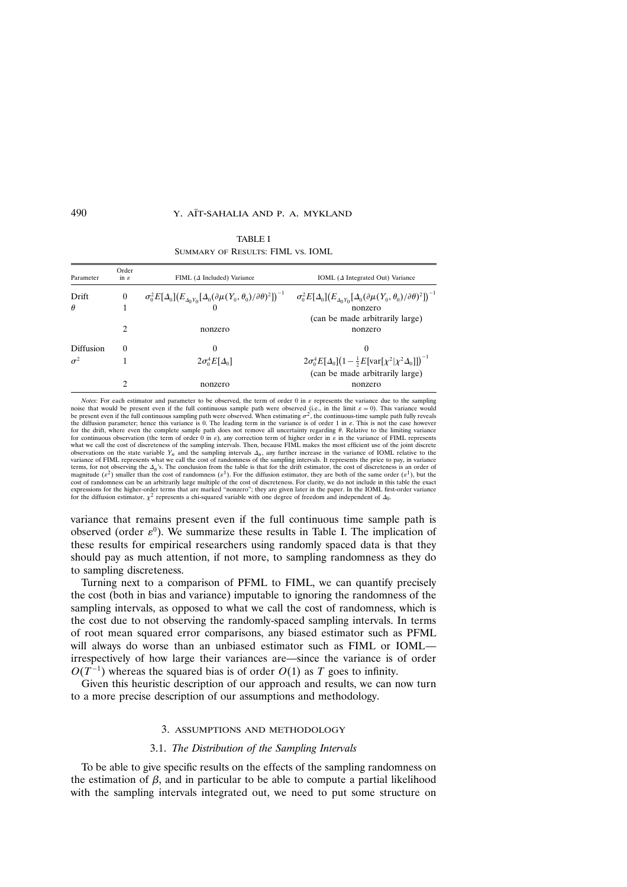| Parameter  | Order<br>in $\varepsilon$ | FIML ( $\Delta$ Included) Variance                                                                                      | IOML $(\Delta$ Integrated Out) Variance                                                                              |  |  |
|------------|---------------------------|-------------------------------------------------------------------------------------------------------------------------|----------------------------------------------------------------------------------------------------------------------|--|--|
| Drift      | $\mathbf{0}$              | $\sigma_0^2 E[\varDelta_0] \big(E_{\varDelta_0Y_0}[\varDelta_0(\partial \mu(Y_0,\theta_0)/\partial\theta)^2]\big)^{-1}$ | $\sigma_0^2 E[\Delta_0] (E_{\Delta_0 Y_0}[\Delta_0(\partial \mu(Y_0,\theta_0)/\partial \theta)^2])^{-1}$             |  |  |
| $\theta$   |                           |                                                                                                                         | nonzero<br>(can be made arbitrarily large)                                                                           |  |  |
|            | 2                         | nonzero                                                                                                                 | nonzero                                                                                                              |  |  |
| Diffusion  | $\theta$                  | $_{0}$                                                                                                                  |                                                                                                                      |  |  |
| $\sigma^2$ |                           | $2\sigma_0^4 E[\Delta_0]$                                                                                               | $2\sigma_0^4 E[\Delta_0](1-\frac{1}{2}E[\text{var}[\chi^2 \chi^2\Delta_0]])^{-1}$<br>(can be made arbitrarily large) |  |  |
|            | 2                         | nonzero                                                                                                                 | nonzero                                                                                                              |  |  |

# TABLE I Summary of Results: FIML vs. IOML

Notes: For each estimator and parameter to be observed, the term of order 0 in  $\varepsilon$  represents the variance due to the sampling noise that would be present even if the full continuous sample path were observed (i.e., in the limit  $\varepsilon = 0$ ). This variance would be present even if the full continuous sampling path were observed. When estimating  $\sigma^2$ , the continuous-time sample path fully reveals the diffusion parameter; hence this variance is 0. The leading term in the variance is of order 1 in  $\varepsilon$ . This is not the case however for the drift, where even the complete sample path does not remove all uncertainty regarding  $\theta$ . Relative to the limiting variance for continuous observation (the term of order 0 in  $\varepsilon$ ), any correction term of higher order in  $\varepsilon$  in the variance of FIML represents what we call the cost of discreteness of the sampling intervals. Then, because FIML makes the most efficient use of the joint discrete observations on the state variable  $Y_n$  and the sampling intervals  $\Delta_n$ , any further increase in the variance of IOML relative to the variance of FIML represents what we call the cost of randomness of the sampling intervals. It represents the price to pay, in variance terms, for not observing the  $\Delta_n$ 's. The conclusion from the table is that for the drift estimator, the cost of discreteness is an order of magnitude  $(\varepsilon^2)$  smaller than the cost of randomness  $(\varepsilon^1)$ . For the diffusion estimator, they are both of the same order  $(\varepsilon^1)$ , but the cost of randomness can be an arbitrarily large multiple of the cost of discreteness. For clarity, we do not include in this table the exact expressions for the higher-order terms that are marked "nonzero"; they are given later in the paper. In the IOML first-order variance for the diffusion estimator,  $\chi^2$  represents a chi-squared variable with one degree of freedom and independent of  $\Delta_0$ .

variance that remains present even if the full continuous time sample path is observed (order  $\varepsilon^0$ ). We summarize these results in Table I. The implication of these results for empirical researchers using randomly spaced data is that they should pay as much attention, if not more, to sampling randomness as they do to sampling discreteness.

Turning next to a comparison of PFML to FIML, we can quantify precisely the cost (both in bias and variance) imputable to ignoring the randomness of the sampling intervals, as opposed to what we call the cost of randomness, which is the cost due to not observing the randomly-spaced sampling intervals. In terms of root mean squared error comparisons, any biased estimator such as PFML will always do worse than an unbiased estimator such as FIML or IOML irrespectively of how large their variances are—since the variance is of order  $O(T^{-1})$  whereas the squared bias is of order  $O(1)$  as T goes to infinity.

Given this heuristic description of our approach and results, we can now turn to a more precise description of our assumptions and methodology.

# 3. ASSUMPTIONS AND METHODOLOGY

### 3.1. The Distribution of the Sampling Intervals

To be able to give specific results on the effects of the sampling randomness on the estimation of  $\beta$ , and in particular to be able to compute a partial likelihood with the sampling intervals integrated out, we need to put some structure on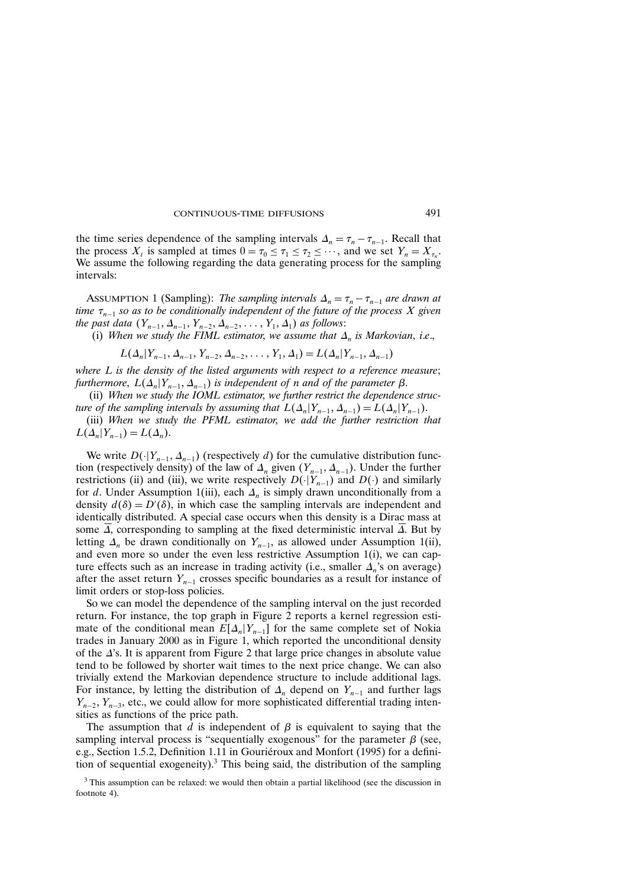the time series dependence of the sampling intervals  $\Delta_n = \tau_n - \tau_{n-1}$ . Recall that the process  $X_t$  is sampled at times  $0 = \tau_0 \le \tau_1 \le \tau_2 \le \cdots$ , and we set  $Y_n = X_{\tau_n}$ . We assume the following regarding the data generating process for the sampling intervals:

ASSUMPTION 1 (Sampling): The sampling intervals  $\Delta_n = \tau_n - \tau_{n-1}$  are drawn at time  $\tau_{n-1}$  so as to be conditionally independent of the future of the process X given the past data  $(Y_{n-1}, \Delta_{n-1}, Y_{n-2}, \Delta_{n-2}, \ldots, Y_1, \Delta_1)$  as follows:

(i) When we study the FIML estimator, we assume that  $\Delta_n$  is Markovian, i.e.,

 $L(\Delta_n | Y_{n-1}, \Delta_{n-1}, Y_{n-2}, \Delta_{n-2}, \ldots, Y_1, \Delta_1) = L(\Delta_n | Y_{n-1}, \Delta_{n-1})$ 

where L is the density of the listed arguments with respect to a reference measure; furthermore,  $L(\Delta_n | Y_{n-1}, \Delta_{n-1})$  is independent of n and of the parameter  $\beta$ .

(ii) When we study the IOML estimator, we further restrict the dependence structure of the sampling intervals by assuming that  $L(\Delta_n | Y_{n-1}, \Delta_{n-1}) = L(\Delta_n | Y_{n-1})$ .

(iii) When we study the PFML estimator, we add the further restriction that  $L(\Delta_n|Y_{n-1}) = L(\Delta_n).$ 

We write  $D(\cdot|Y_{n-1}, \Delta_{n-1})$  (respectively d) for the cumulative distribution function (respectively density) of the law of  $\Delta_n$  given  $(Y_{n-1}, \Delta_{n-1})$ . Under the further restrictions (ii) and (iii), we write respectively  $D(\cdot|Y_{n-1})$  and  $D(\cdot)$  and similarly for d. Under Assumption 1(iii), each  $\Delta_n$  is simply drawn unconditionally from a density  $d(\delta) = D'(\delta)$ , in which case the sampling intervals are independent and identically distributed. Aspecial case occurs when this density is a Dirac mass at some  $\Delta$ , corresponding to sampling at the fixed deterministic interval  $\Delta$ . But by letting  $\Delta_n$  be drawn conditionally on  $Y_{n-1}$ , as allowed under Assumption 1(ii), and even more so under the even less restrictive Assumption  $1(i)$ , we can capture effects such as an increase in trading activity (i.e., smaller  $\Delta_n$ 's on average) after the asset return  $Y_{n-1}$  crosses specific boundaries as a result for instance of limit orders or stop-loss policies.

So we can model the dependence of the sampling interval on the just recorded return. For instance, the top graph in Figure 2 reports a kernel regression estimate of the conditional mean  $E[\Delta_n|Y_{n-1}]$  for the same complete set of Nokia trades in January 2000 as in Figure 1, which reported the unconditional density of the  $\Delta$ 's. It is apparent from Figure 2 that large price changes in absolute value tend to be followed by shorter wait times to the next price change. We can also trivially extend the Markovian dependence structure to include additional lags. For instance, by letting the distribution of  $\Delta_n$  depend on  $Y_{n-1}$  and further lags  $Y_{n-2}$ ,  $Y_{n-3}$ , etc., we could allow for more sophisticated differential trading intensities as functions of the price path.

The assumption that  $d$  is independent of  $\beta$  is equivalent to saying that the sampling interval process is "sequentially exogenous" for the parameter  $\beta$  (see, e.g., Section 1.5.2, Definition 1.11 in Gouriéroux and Monfort (1995) for a definition of sequential exogeneity).<sup>3</sup> This being said, the distribution of the sampling

<sup>&</sup>lt;sup>3</sup> This assumption can be relaxed: we would then obtain a partial likelihood (see the discussion in footnote 4).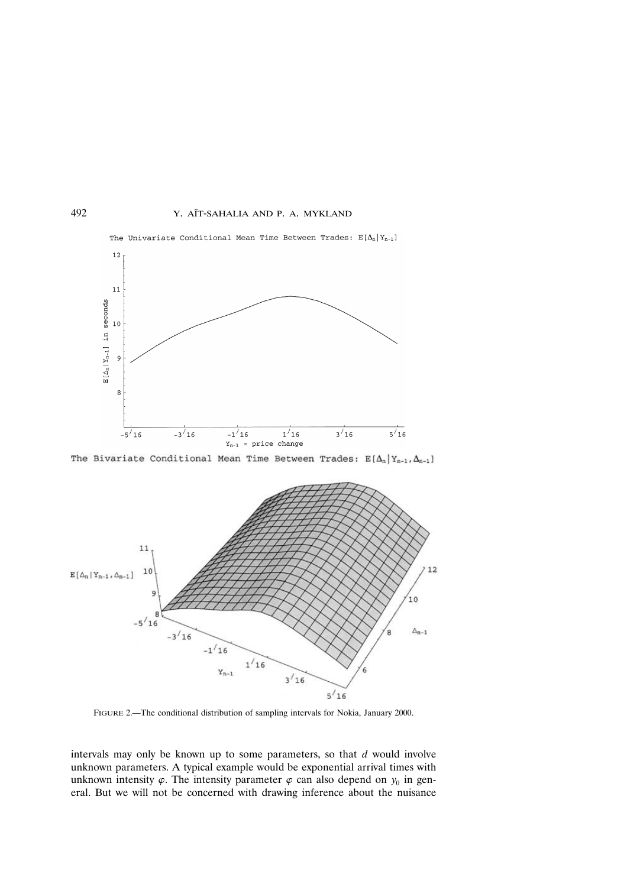

The Bivariate Conditional Mean Time Between Trades:  $E[\Delta_n | Y_{n-1}, \Delta_{n-1}]$ 



FIGURE 2.—The conditional distribution of sampling intervals for Nokia, January 2000.

intervals may only be known up to some parameters, so that  $d$  would involve unknown parameters. A typical example would be exponential arrival times with unknown intensity  $\varphi$ . The intensity parameter  $\varphi$  can also depend on  $y_0$  in general. But we will not be concerned with drawing inference about the nuisance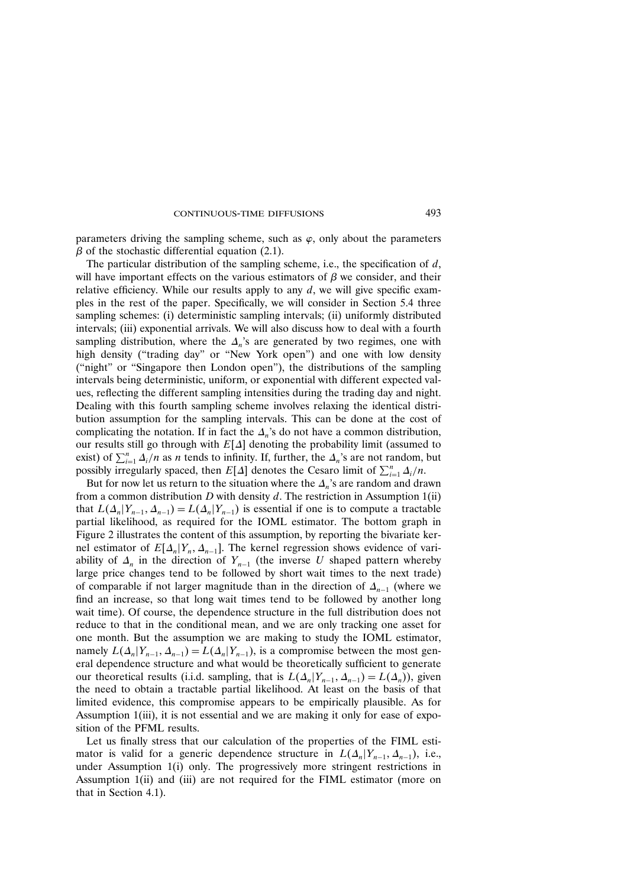parameters driving the sampling scheme, such as  $\varphi$ , only about the parameters  $\beta$  of the stochastic differential equation (2.1).

The particular distribution of the sampling scheme, i.e., the specification of  $d$ , will have important effects on the various estimators of  $\beta$  we consider, and their relative efficiency. While our results apply to any  $d$ , we will give specific examples in the rest of the paper. Specifically, we will consider in Section 5.4 three sampling schemes: (i) deterministic sampling intervals; (ii) uniformly distributed intervals; (iii) exponential arrivals. We will also discuss how to deal with a fourth sampling distribution, where the  $\Delta_n$ 's are generated by two regimes, one with high density ("trading day" or "New York open") and one with low density ("night" or "Singapore then London open"), the distributions of the sampling intervals being deterministic, uniform, or exponential with different expected values, reflecting the different sampling intensities during the trading day and night. Dealing with this fourth sampling scheme involves relaxing the identical distribution assumption for the sampling intervals. This can be done at the cost of complicating the notation. If in fact the  $\Delta_n$ 's do not have a common distribution, our results still go through with  $E[\Delta]$  denoting the probability limit (assumed to exist) of  $\sum_{i=1}^{n} \Delta_i/n$  as n tends to infinity. If, further, the  $\Delta_n$ 's are not random, but possibly irregularly spaced, then  $E[\Delta]$  denotes the Cesaro limit of  $\sum_{i=1}^{n} \Delta_i/n$ .

But for now let us return to the situation where the  $\Delta_n$ 's are random and drawn from a common distribution D with density  $d$ . The restriction in Assumption 1(ii) that  $L(\Delta_n | Y_{n-1}, \Delta_{n-1}) = L(\Delta_n | Y_{n-1})$  is essential if one is to compute a tractable partial likelihood, as required for the IOML estimator. The bottom graph in Figure 2 illustrates the content of this assumption, by reporting the bivariate kernel estimator of  $E[\Delta_n|Y_n, \Delta_{n-1}]$ . The kernel regression shows evidence of variability of  $\Delta_n$  in the direction of  $Y_{n-1}$  (the inverse U shaped pattern whereby large price changes tend to be followed by short wait times to the next trade) of comparable if not larger magnitude than in the direction of  $\Delta_{n-1}$  (where we find an increase, so that long wait times tend to be followed by another long wait time). Of course, the dependence structure in the full distribution does not reduce to that in the conditional mean, and we are only tracking one asset for one month. But the assumption we are making to study the IOML estimator, namely  $L(\Delta_n | Y_{n-1}, \Delta_{n-1}) = L(\Delta_n | Y_{n-1})$ , is a compromise between the most general dependence structure and what would be theoretically sufficient to generate our theoretical results (i.i.d. sampling, that is  $L(\Delta_n | Y_{n-1}, \Delta_{n-1}) = L(\Delta_n)$ ), given the need to obtain a tractable partial likelihood. At least on the basis of that limited evidence, this compromise appears to be empirically plausible. As for Assumption 1(iii), it is not essential and we are making it only for ease of exposition of the PFML results.

Let us finally stress that our calculation of the properties of the FIML estimator is valid for a generic dependence structure in  $L(\Delta_n | Y_{n-1}, \Delta_{n-1})$ , i.e., under Assumption 1(i) only. The progressively more stringent restrictions in Assumption 1(ii) and (iii) are not required for the FIML estimator (more on that in Section 4.1).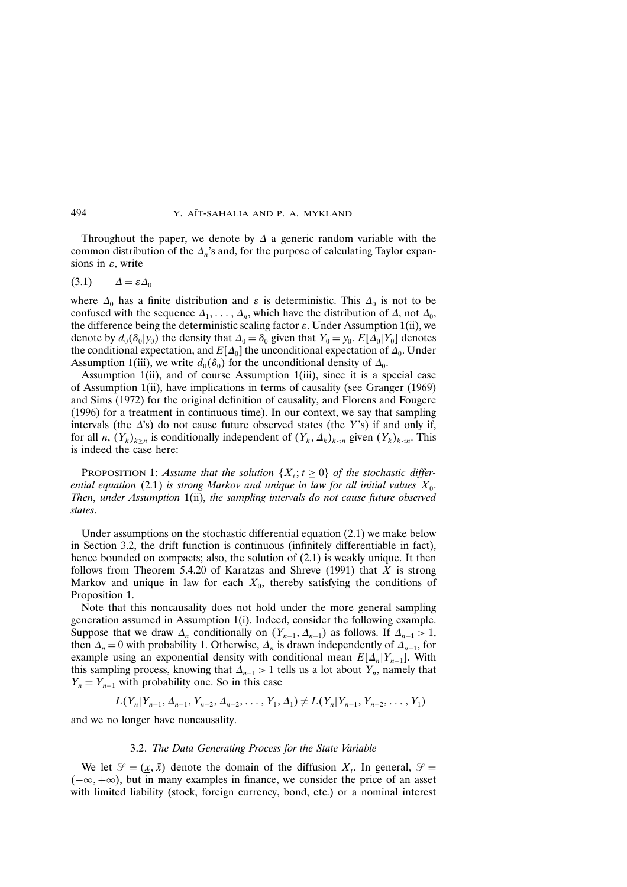Throughout the paper, we denote by  $\Delta$  a generic random variable with the common distribution of the  $\Delta_n$ 's and, for the purpose of calculating Taylor expansions in  $\varepsilon$ , write

$$
(3.1) \qquad \Delta = \varepsilon \Delta_0
$$

where  $\Delta_0$  has a finite distribution and  $\varepsilon$  is deterministic. This  $\Delta_0$  is not to be confused with the sequence  $\Delta_1, \ldots, \Delta_n$ , which have the distribution of  $\Delta$ , not  $\Delta_0$ , the difference being the deterministic scaling factor  $\varepsilon$ . Under Assumption 1(ii), we denote by  $d_0(\delta_0|y_0)$  the density that  $\Delta_0 = \delta_0$  given that  $Y_0 = y_0$ .  $E[\Delta_0|Y_0]$  denotes the conditional expectation, and  $E[\Delta_0]$  the unconditional expectation of  $\Delta_0$ . Under Assumption 1(iii), we write  $d_0(\delta_0)$  for the unconditional density of  $\Delta_0$ .

Assumption 1(ii), and of course Assumption 1(iii), since it is a special case of Assumption 1(ii), have implications in terms of causality (see Granger (1969) and Sims (1972) for the original definition of causality, and Florens and Fougere (1996) for a treatment in continuous time). In our context, we say that sampling intervals (the  $\Delta$ 's) do not cause future observed states (the Y's) if and only if, for all n,  $(Y_k)_{k>n}$  is conditionally independent of  $(Y_k, \Delta_k)_{k given  $(Y_k)_{k. This$$ is indeed the case here:

PROPOSITION 1: Assume that the solution  $\{X_t; t \geq 0\}$  of the stochastic differential equation (2.1) is strong Markov and unique in law for all initial values  $X_0$ . Then, under Assumption 1(ii), the sampling intervals do not cause future observed states.

Under assumptions on the stochastic differential equation (2.1) we make below in Section 3.2, the drift function is continuous (infinitely differentiable in fact), hence bounded on compacts; also, the solution of (2.1) is weakly unique. It then follows from Theorem 5.4.20 of Karatzas and Shreve (1991) that  $X$  is strong Markov and unique in law for each  $X_0$ , thereby satisfying the conditions of Proposition 1.

Note that this noncausality does not hold under the more general sampling generation assumed in Assumption 1(i). Indeed, consider the following example. Suppose that we draw  $\Delta_n$  conditionally on  $(Y_{n-1}, \Delta_{n-1})$  as follows. If  $\Delta_{n-1} > 1$ , then  $\Delta_n = 0$  with probability 1. Otherwise,  $\Delta_n$  is drawn independently of  $\Delta_{n-1}$ , for example using an exponential density with conditional mean  $E[\Delta_n|Y_{n-1}]$ . With this sampling process, knowing that  $\Delta_{n-1} > 1$  tells us a lot about  $Y_n$ , namely that  $Y_n = Y_{n-1}$  with probability one. So in this case

$$
L(Y_n|Y_{n-1},\Delta_{n-1},Y_{n-2},\Delta_{n-2},\ldots,Y_1,\Delta_1)\neq L(Y_n|Y_{n-1},Y_{n-2},\ldots,Y_1)
$$

and we no longer have noncausality.

### 3.2. The Data Generating Process for the State Variable

We let  $\mathcal{S} = (\underline{x}, \overline{x})$  denote the domain of the diffusion  $X_t$ . In general,  $\mathcal{S} =$  $(-\infty, +\infty)$ , but in many examples in finance, we consider the price of an asset with limited liability (stock, foreign currency, bond, etc.) or a nominal interest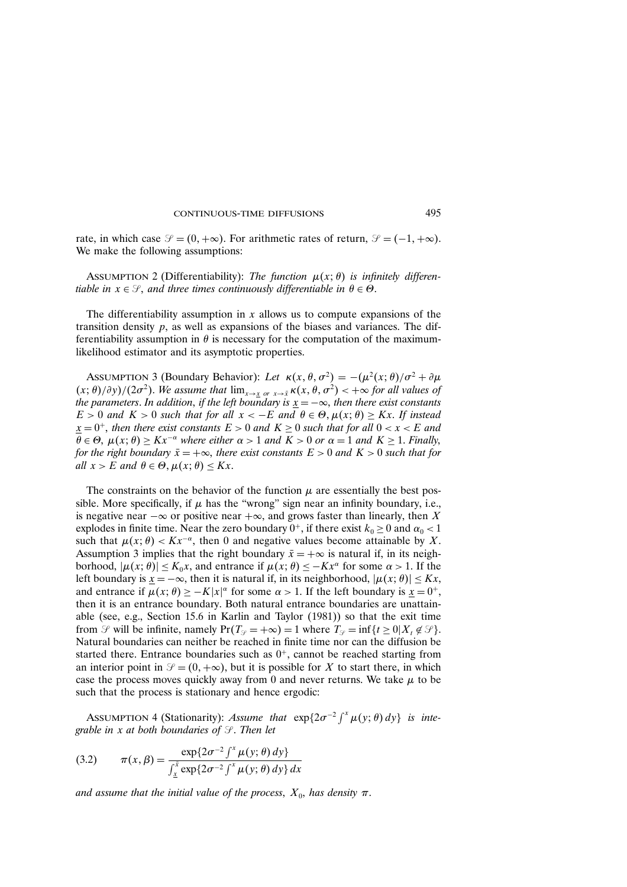rate, in which case  $\mathcal{S} = (0, +\infty)$ . For arithmetic rates of return,  $\mathcal{S} = (-1, +\infty)$ . We make the following assumptions:

ASSUMPTION 2 (Differentiability): The function  $\mu(x; \theta)$  is infinitely differentiable in  $x \in \mathcal{S}$ , and three times continuously differentiable in  $\theta \in \Theta$ .

The differentiability assumption in x allows us to compute expansions of the transition density  $p$ , as well as expansions of the biases and variances. The differentiability assumption in  $\theta$  is necessary for the computation of the maximumlikelihood estimator and its asymptotic properties.

ASSUMPTION 3 (Boundary Behavior): Let  $\kappa(x, \theta, \sigma^2) = -(\mu^2(x; \theta)/\sigma^2 + \partial \mu)$  $(x;\theta)/\partial y)/(2\sigma^2)$ . We assume that  $\lim_{x\to \underline{x}} e_{x\to \overline{x}} \kappa(x,\theta,\sigma^2) < +\infty$  for all values of the parameters. In addition, if the left boundary is  $x = -\infty$ , then there exist constants  $E > 0$  and  $K > 0$  such that for all  $x < -E$  and  $\theta \in \Theta$ ,  $\mu(x; \theta) \geq Kx$ . If instead  $x = 0^+$ , then there exist constants  $E > 0$  and  $K \ge 0$  such that for all  $0 < x < E$  and  $\theta \in \Theta$ ,  $\mu(x; \theta) \geq Kx^{-\alpha}$  where either  $\alpha > 1$  and  $K > 0$  or  $\alpha = 1$  and  $K \geq 1$ . Finally, for the right boundary  $\bar{x} = +\infty$ , there exist constants  $E > 0$  and  $K > 0$  such that for all  $x > E$  and  $\theta \in \Theta$ ,  $\mu(x; \theta) < Kx$ .

The constraints on the behavior of the function  $\mu$  are essentially the best possible. More specifically, if  $\mu$  has the "wrong" sign near an infinity boundary, i.e., is negative near  $-\infty$  or positive near  $+\infty$ , and grows faster than linearly, then X explodes in finite time. Near the zero boundary  $0^+$ , if there exist  $k_0 \ge 0$  and  $\alpha_0 < 1$ such that  $\mu(x; \theta) < Kx^{-\alpha}$ , then 0 and negative values become attainable by X. Assumption 3 implies that the right boundary  $\bar{x} = +\infty$  is natural if, in its neighborhood,  $|\mu(x; \theta)| \le K_0 x$ , and entrance if  $\mu(x; \theta) \le -Kx^{\alpha}$  for some  $\alpha > 1$ . If the left boundary is  $\underline{x} = -\infty$ , then it is natural if, in its neighborhood,  $|\mu(x; \theta)| \leq Kx$ , and entrance if  $\mu(x; \theta) \ge -K|x|^{\alpha}$  for some  $\alpha > 1$ . If the left boundary is  $\underline{x} = 0^+,$ then it is an entrance boundary. Both natural entrance boundaries are unattainable (see, e.g., Section 15.6 in Karlin and Taylor (1981)) so that the exit time from  $\mathcal P$  will be infinite, namely  $Pr(T_{\varphi} = +\infty) = 1$  where  $T_{\varphi} = inf\{t \geq 0 | X_t \notin \mathcal P\}.$ Natural boundaries can neither be reached in finite time nor can the diffusion be started there. Entrance boundaries such as  $0^+$ , cannot be reached starting from an interior point in  $\mathcal{S} = (0, +\infty)$ , but it is possible for X to start there, in which case the process moves quickly away from 0 and never returns. We take  $\mu$  to be such that the process is stationary and hence ergodic:

ASSUMPTION 4 (Stationarity): Assume that  $\exp\{2\sigma^{-2}\int^x \mu(y;\theta) dy\}$  is integrable in x at both boundaries of  $\mathcal{S}$ . Then let

(3.2) 
$$
\pi(x,\beta) = \frac{\exp\{2\sigma^{-2}\int^x \mu(y;\theta) dy\}}{\int_x^{\bar{x}} \exp\{2\sigma^{-2}\int^x \mu(y;\theta) dy\} dx}
$$

and assume that the initial value of the process,  $X_0$ , has density  $\pi$ .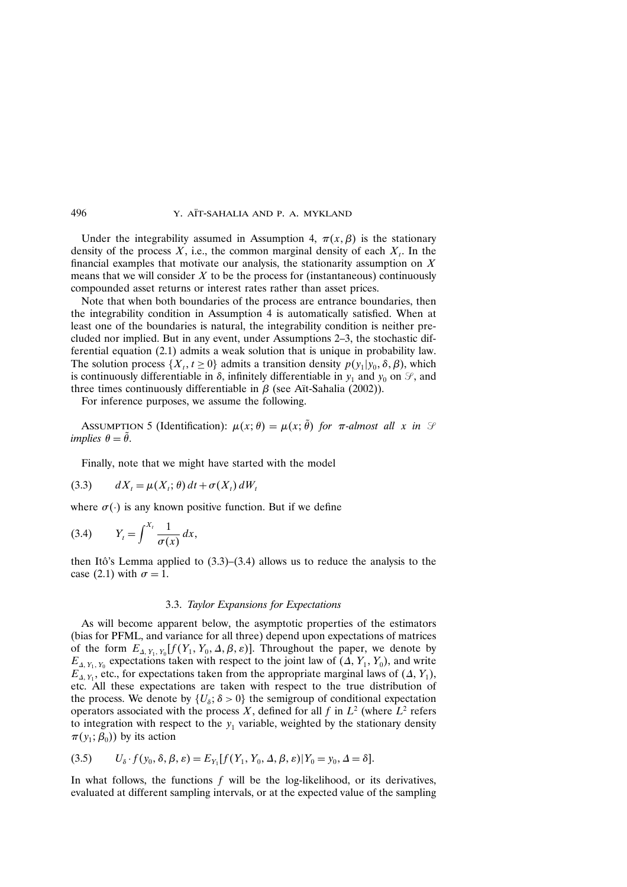Under the integrability assumed in Assumption 4,  $\pi(x, \beta)$  is the stationary density of the process X, i.e., the common marginal density of each  $X_t$ . In the financial examples that motivate our analysis, the stationarity assumption on  $X$ means that we will consider  $X$  to be the process for (instantaneous) continuously compounded asset returns or interest rates rather than asset prices.

Note that when both boundaries of the process are entrance boundaries, then the integrability condition in Assumption 4 is automatically satisfied. When at least one of the boundaries is natural, the integrability condition is neither precluded nor implied. But in any event, under Assumptions 2–3, the stochastic differential equation (2.1) admits a weak solution that is unique in probability law. The solution process  $\{X_t, t \geq 0\}$  admits a transition density  $p(y_1|y_0, \delta, \beta)$ , which is continuously differentiable in  $\delta$ , infinitely differentiable in  $y_1$  and  $y_0$  on  $\mathcal{S}$ , and three times continuously differentiable in  $\beta$  (see Aït-Sahalia (2002)).

For inference purposes, we assume the following.

ASSUMPTION 5 (Identification):  $\mu(x; \theta) = \mu(x; \tilde{\theta})$  for  $\pi$ -almost all x in  $\mathcal{S}$ implies  $\theta = \theta$ .

Finally, note that we might have started with the model

(3.3) 
$$
dX_t = \mu(X_t; \theta) dt + \sigma(X_t) dW_t
$$

where  $\sigma(\cdot)$  is any known positive function. But if we define

$$
(3.4) \tYt = \int^{X_t} \frac{1}{\sigma(x)} dx,
$$

then Itô's Lemma applied to (3.3)–(3.4) allows us to reduce the analysis to the case (2.1) with  $\sigma = 1$ .

#### 3.3. Taylor Expansions for Expectations

As will become apparent below, the asymptotic properties of the estimators (bias for PFML, and variance for all three) depend upon expectations of matrices of the form  $E_{\Delta, Y_1, Y_0}[f(Y_1, Y_0, \Delta, \beta, \varepsilon)]$ . Throughout the paper, we denote by  $E_{\Delta, Y_1, Y_0}$  expectations taken with respect to the joint law of  $(\Delta, Y_1, Y_0)$ , and write  $E_{\Delta, Y_1}$ , etc., for expectations taken from the appropriate marginal laws of  $(\Delta, Y_1)$ , etc. All these expectations are taken with respect to the true distribution of the process. We denote by  $\{U_{\delta}; \delta > 0\}$  the semigroup of conditional expectation operators associated with the process X, defined for all f in  $L^2$  (where  $L^2$  refers to integration with respect to the  $y_1$  variable, weighted by the stationary density  $\pi(y_1; \beta_0)$  by its action

(3.5) 
$$
U_{\delta} \cdot f(y_0, \delta, \beta, \epsilon) = E_{Y_1}[f(Y_1, Y_0, \Delta, \beta, \epsilon)|Y_0 = y_0, \Delta = \delta].
$$

In what follows, the functions  $f$  will be the log-likelihood, or its derivatives, evaluated at different sampling intervals, or at the expected value of the sampling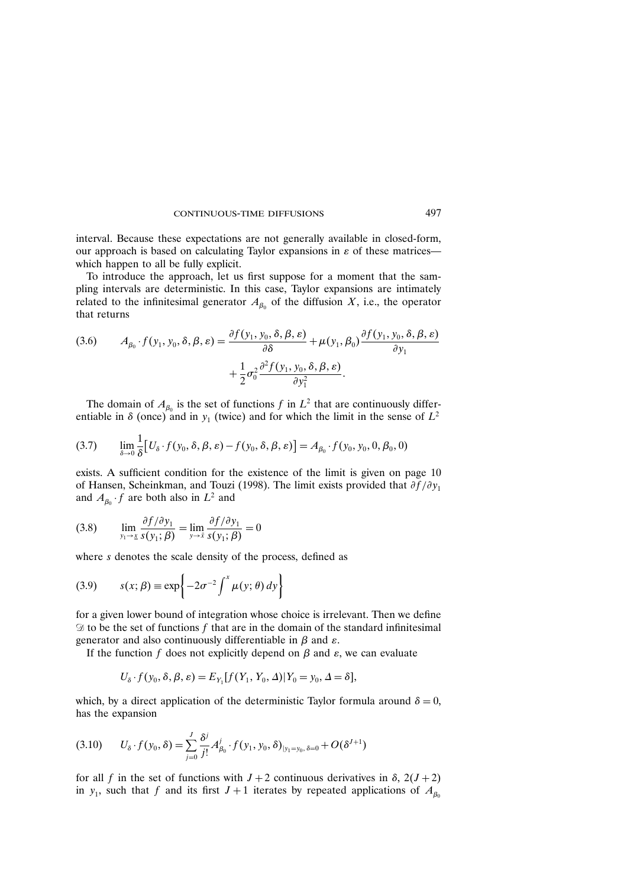interval. Because these expectations are not generally available in closed-form, our approach is based on calculating Taylor expansions in  $\varepsilon$  of these matrices which happen to all be fully explicit.

To introduce the approach, let us first suppose for a moment that the sampling intervals are deterministic. In this case, Taylor expansions are intimately related to the infinitesimal generator  $A_{\beta_0}$  of the diffusion X, i.e., the operator that returns

(3.6) 
$$
A_{\beta_0} \cdot f(y_1, y_0, \delta, \beta, \varepsilon) = \frac{\partial f(y_1, y_0, \delta, \beta, \varepsilon)}{\partial \delta} + \mu(y_1, \beta_0) \frac{\partial f(y_1, y_0, \delta, \beta, \varepsilon)}{\partial y_1} + \frac{1}{2} \sigma_0^2 \frac{\partial^2 f(y_1, y_0, \delta, \beta, \varepsilon)}{\partial y_1^2}.
$$

The domain of  $A_{\beta_0}$  is the set of functions f in  $L^2$  that are continuously differentiable in  $\delta$  (once) and in  $y_1$  (twice) and for which the limit in the sense of  $L^2$ 

$$
(3.7) \qquad \lim_{\delta \to 0} \frac{1}{\delta} \big[ U_{\delta} \cdot f(y_0, \delta, \beta, \varepsilon) - f(y_0, \delta, \beta, \varepsilon) \big] = A_{\beta_0} \cdot f(y_0, y_0, 0, \beta_0, 0)
$$

exists. A sufficient condition for the existence of the limit is given on page 10 of Hansen, Scheinkman, and Touzi (1998). The limit exists provided that  $\partial f / \partial y_1$ and  $A_{\beta_0} \cdot f$  are both also in  $L^2$  and

$$
(3.8) \qquad \lim_{y_1 \to \pm} \frac{\partial f/\partial y_1}{s(y_1; \beta)} = \lim_{y \to \bar{x}} \frac{\partial f/\partial y_1}{s(y_1; \beta)} = 0
$$

where s denotes the scale density of the process, defined as

(3.9) 
$$
s(x; \beta) \equiv \exp\left\{-2\sigma^{-2} \int^x \mu(y; \theta) dy\right\}
$$

for a given lower bound of integration whose choice is irrelevant. Then we define  $\mathfrak A$  to be the set of functions  $f$  that are in the domain of the standard infinitesimal generator and also continuously differentiable in  $\beta$  and  $\varepsilon$ .

If the function f does not explicitly depend on  $\beta$  and  $\varepsilon$ , we can evaluate

$$
U_{\delta} \cdot f(y_0, \delta, \beta, \varepsilon) = E_{Y_1}[f(Y_1, Y_0, \Delta)|Y_0 = y_0, \Delta = \delta],
$$

which, by a direct application of the deterministic Taylor formula around  $\delta = 0$ , has the expansion

$$
(3.10) \tU_{\delta} \tcdot f(y_0, \delta) = \sum_{j=0}^{J} \frac{\delta^{j}}{j!} A^{j}_{\beta_0} \tcdot f(y_1, y_0, \delta)_{|y_1 = y_0, \delta = 0} + O(\delta^{J+1})
$$

for all f in the set of functions with  $J + 2$  continuous derivatives in  $\delta$ ,  $2(J + 2)$ in  $y_1$ , such that f and its first  $J + 1$  iterates by repeated applications of  $A_{\beta_0}$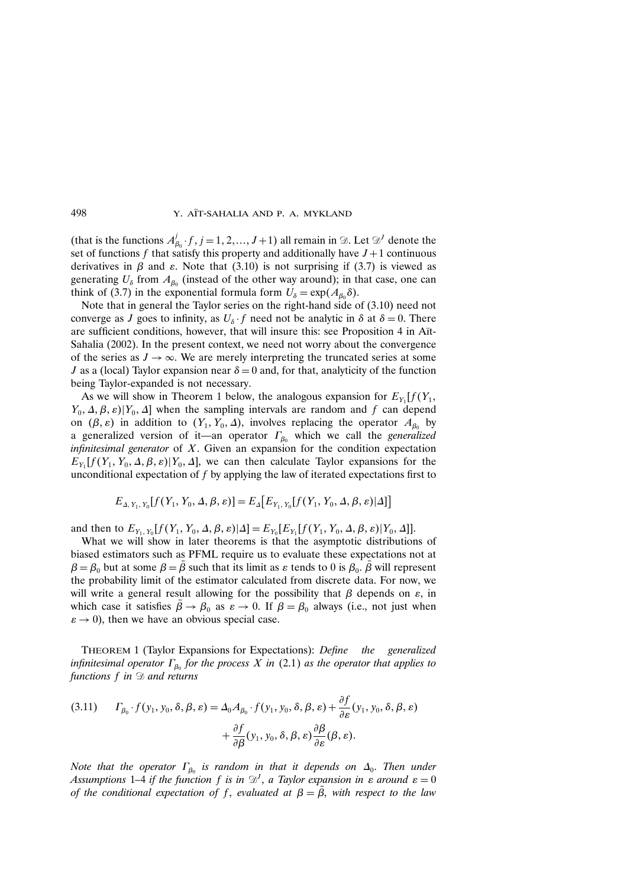(that is the functions  $A_{\beta_0}^j \cdot f, j = 1, 2, ..., J+1$ ) all remain in  $\mathcal{D}$ . Let  $\mathcal{D}^J$  denote the set of functions f that satisfy this property and additionally have  $J+1$  continuous derivatives in  $\beta$  and  $\varepsilon$ . Note that (3.10) is not surprising if (3.7) is viewed as generating  $U_{\delta}$  from  $A_{\beta_0}$  (instead of the other way around); in that case, one can think of (3.7) in the exponential formula form  $U_{\delta} = \exp(A_{\beta_0}\delta)$ .

Note that in general the Taylor series on the right-hand side of (3.10) need not converge as J goes to infinity, as  $U_{\delta} \cdot f$  need not be analytic in  $\delta$  at  $\delta = 0$ . There are sufficient conditions, however, that will insure this: see Proposition 4 in Aït-Sahalia (2002). In the present context, we need not worry about the convergence of the series as  $J \rightarrow \infty$ . We are merely interpreting the truncated series at some J as a (local) Taylor expansion near  $\delta = 0$  and, for that, analyticity of the function being Taylor-expanded is not necessary.

As we will show in Theorem 1 below, the analogous expansion for  $E_{Y_1}[f(Y_1, \dots, Y_n])$  $(Y_0, \Delta, \beta, \varepsilon) | Y_0, \Delta]$  when the sampling intervals are random and f can depend on  $(\beta, \varepsilon)$  in addition to  $(Y_1, Y_0, \Delta)$ , involves replacing the operator  $A_{\beta_0}$  by a generalized version of it—an operator  $\Gamma_{\beta_0}$  which we call the *generalized* infinitesimal generator of  $X$ . Given an expansion for the condition expectation  $E_{Y_1}[f(Y_1, Y_0, \Delta, \beta, \varepsilon)|Y_0, \Delta]$ , we can then calculate Taylor expansions for the unconditional expectation of f by applying the law of iterated expectations first to

$$
E_{\Delta, Y_1, Y_0}[f(Y_1, Y_0, \Delta, \beta, \varepsilon)] = E_{\Delta}[E_{Y_1, Y_0}[f(Y_1, Y_0, \Delta, \beta, \varepsilon)|\Delta]]
$$

and then to  $E_{Y_1, Y_0}[f(Y_1, Y_0, \Delta, \beta, \varepsilon)|\Delta] = E_{Y_0}[E_{Y_1}[f(Y_1, Y_0, \Delta, \beta, \varepsilon)|Y_0, \Delta]]$ .

What we will show in later theorems is that the asymptotic distributions of biased estimators such as PFML require us to evaluate these expectations not at  $\beta = \beta_0$  but at some  $\beta = \bar{\beta}$  such that its limit as  $\varepsilon$  tends to 0 is  $\beta_0$ .  $\bar{\beta}$  will represent the probability limit of the estimator calculated from discrete data. For now, we will write a general result allowing for the possibility that  $\beta$  depends on  $\varepsilon$ , in which case it satisfies  $\beta \to \beta_0$  as  $\varepsilon \to 0$ . If  $\beta = \beta_0$  always (i.e., not just when  $\varepsilon \to 0$ ), then we have an obvious special case.

Theorem 1 (Taylor Expansions for Expectations): Define the generalized infinitesimal operator  $\Gamma_{\beta_0}$  for the process X in (2.1) as the operator that applies to functions  $f$  in  $\mathfrak A$  and returns

(3.11) 
$$
T_{\beta_0} \cdot f(y_1, y_0, \delta, \beta, \varepsilon) = \Delta_0 A_{\beta_0} \cdot f(y_1, y_0, \delta, \beta, \varepsilon) + \frac{\partial f}{\partial \varepsilon}(y_1, y_0, \delta, \beta, \varepsilon) + \frac{\partial f}{\partial \beta}(y_1, y_0, \delta, \beta, \varepsilon) \frac{\partial \beta}{\partial \varepsilon}(\beta, \varepsilon).
$$

Note that the operator  $\Gamma_{\beta_0}$  is random in that it depends on  $\Delta_0$ . Then under Assumptions 1–4 if the function  $f$  is in  $\mathcal{D}^{J},$  a Taylor expansion in  $\varepsilon$  around  $\varepsilon=0$ of the conditional expectation of f, evaluated at  $\beta = \overline{\beta}$ , with respect to the law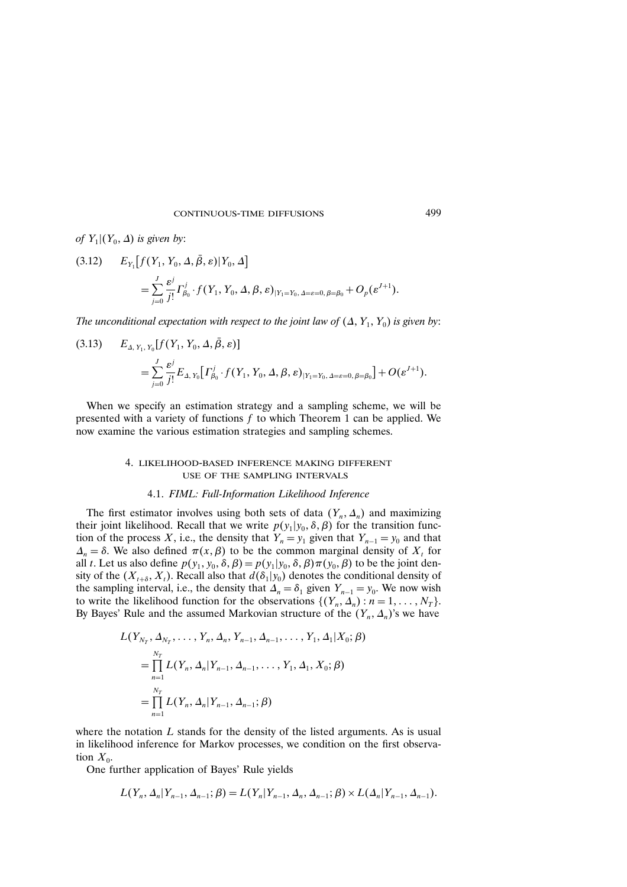of  $Y_1|(Y_0, \Delta)$  is given by:

(3.12) 
$$
E_{Y_1}[f(Y_1, Y_0, \Delta, \bar{\beta}, \varepsilon)|Y_0, \Delta] = \sum_{j=0}^{J} \frac{\varepsilon^j}{j!} \Gamma_{\beta_0}^j \cdot f(Y_1, Y_0, \Delta, \beta, \varepsilon)_{|Y_1 = Y_0, \Delta = \varepsilon = 0, \beta = \beta_0} + O_p(\varepsilon^{J+1}).
$$

The unconditional expectation with respect to the joint law of  $(\Delta, Y_1, Y_0)$  is given by:

(3.13) 
$$
E_{\Delta, Y_1, Y_0}[f(Y_1, Y_0, \Delta, \bar{\beta}, \varepsilon)]
$$
  
= 
$$
\sum_{j=0}^{J} \frac{\varepsilon^j}{j!} E_{\Delta, Y_0}[ \Gamma_{\beta_0}^j \cdot f(Y_1, Y_0, \Delta, \beta, \varepsilon)_{|Y_1 = Y_0, \Delta = \varepsilon = 0, \beta = \beta_0}] + O(\varepsilon^{J+1}).
$$

When we specify an estimation strategy and a sampling scheme, we will be presented with a variety of functions  $f$  to which Theorem 1 can be applied. We now examine the various estimation strategies and sampling schemes.

# 4. LIKELIHOOD-BASED INFERENCE MAKING DIFFERENT USE OF THE SAMPLING INTERVALS

### 4.1. FIML: Full-Information Likelihood Inference

The first estimator involves using both sets of data  $(Y_n, \Delta_n)$  and maximizing their joint likelihood. Recall that we write  $p(y_1|y_0, \delta, \beta)$  for the transition function of the process X, i.e., the density that  $Y_n = y_1$  given that  $Y_{n-1} = y_0$  and that  $\Delta_n = \delta$ . We also defined  $\pi(x, \beta)$  to be the common marginal density of  $X_t$  for all t. Let us also define  $p(y_1, y_0, \delta, \beta) = p(y_1 | y_0, \delta, \beta) \pi(y_0, \beta)$  to be the joint density of the  $(X_{t+\delta}, X_t)$ . Recall also that  $d(\delta_1|y_0)$  denotes the conditional density of the sampling interval, i.e., the density that  $\Delta_n = \delta_1$  given  $Y_{n-1} = y_0$ . We now wish to write the likelihood function for the observations  $\{(Y_n, A_n) : n = 1, \ldots, N_T\}$ . By Bayes' Rule and the assumed Markovian structure of the  $(Y_n, \Delta_n)$ 's we have

$$
L(Y_{N_T}, \Delta_{N_T}, \dots, Y_n, \Delta_n, Y_{n-1}, \Delta_{n-1}, \dots, Y_1, \Delta_1 | X_0; \beta)
$$
  
= 
$$
\prod_{n=1}^{N_T} L(Y_n, \Delta_n | Y_{n-1}, \Delta_{n-1}, \dots, Y_1, \Delta_1, X_0; \beta)
$$
  
= 
$$
\prod_{n=1}^{N_T} L(Y_n, \Delta_n | Y_{n-1}, \Delta_{n-1}; \beta)
$$

where the notation  $L$  stands for the density of the listed arguments. As is usual in likelihood inference for Markov processes, we condition on the first observation  $X_0$ .

One further application of Bayes' Rule yields

$$
L(Y_n, \Delta_n | Y_{n-1}, \Delta_{n-1}; \beta) = L(Y_n | Y_{n-1}, \Delta_n, \Delta_{n-1}; \beta) \times L(\Delta_n | Y_{n-1}, \Delta_{n-1}).
$$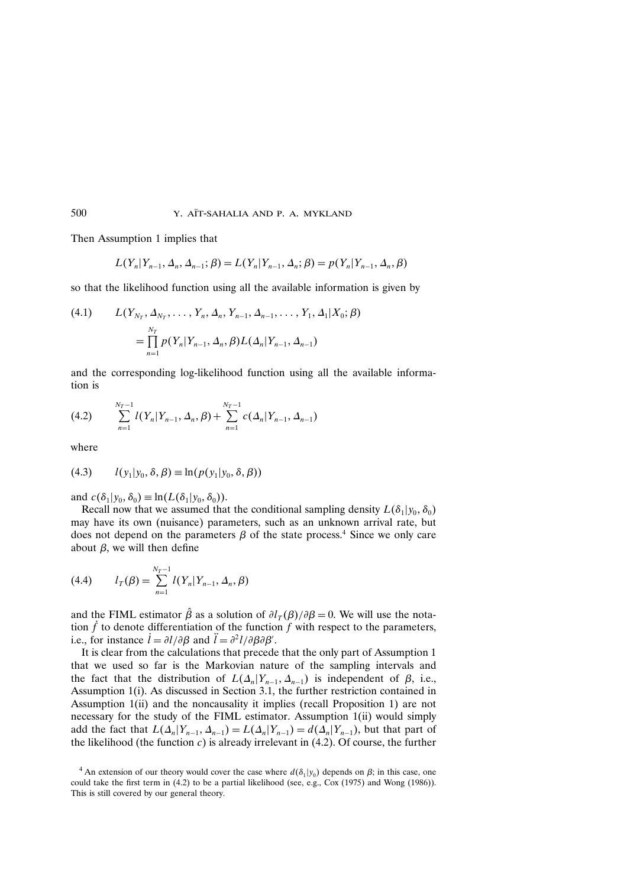Then Assumption 1 implies that

$$
L(Y_n|Y_{n-1}, \Delta_n, \Delta_{n-1}; \beta) = L(Y_n|Y_{n-1}, \Delta_n; \beta) = p(Y_n|Y_{n-1}, \Delta_n, \beta)
$$

so that the likelihood function using all the available information is given by

(4.1) 
$$
L(Y_{N_T}, \Delta_{N_T}, \dots, Y_n, \Delta_n, Y_{n-1}, \Delta_{n-1}, \dots, Y_1, \Delta_1 | X_0; \beta)
$$

$$
= \prod_{n=1}^{N_T} p(Y_n | Y_{n-1}, \Delta_n, \beta) L(\Delta_n | Y_{n-1}, \Delta_{n-1})
$$

and the corresponding log-likelihood function using all the available information is

(4.2) 
$$
\sum_{n=1}^{N_T-1} l(Y_n | Y_{n-1}, \Delta_n, \beta) + \sum_{n=1}^{N_T-1} c(\Delta_n | Y_{n-1}, \Delta_{n-1})
$$

where

$$
(4.3) \qquad l(y_1|y_0, \delta, \beta) \equiv \ln(p(y_1|y_0, \delta, \beta))
$$

and  $c(\delta_1|y_0, \delta_0) \equiv \ln(L(\delta_1|y_0, \delta_0)).$ 

Recall now that we assumed that the conditional sampling density  $L(\delta_1 | y_0, \delta_0)$ may have its own (nuisance) parameters, such as an unknown arrival rate, but does not depend on the parameters  $\beta$  of the state process.<sup>4</sup> Since we only care about  $\beta$ , we will then define

(4.4) 
$$
l_T(\beta) = \sum_{n=1}^{N_T-1} l(Y_n | Y_{n-1}, \Delta_n, \beta)
$$

and the FIML estimator  $\hat{\beta}$  as a solution of  $\partial l_{\tau}(\beta)/\partial \beta = 0$ . We will use the notation  $\dot{f}$  to denote differentiation of the function  $f$  with respect to the parameters, i.e., for instance  $\dot{l} = \partial l / \partial \beta$  and  $\ddot{l} = \partial^2 l / \partial \beta \partial \beta'$ .

It is clear from the calculations that precede that the only part of Assumption 1 that we used so far is the Markovian nature of the sampling intervals and the fact that the distribution of  $L(\Delta_n | Y_{n-1}, \Delta_{n-1})$  is independent of  $\beta$ , i.e., Assumption 1(i). As discussed in Section 3.1, the further restriction contained in Assumption 1(ii) and the noncausality it implies (recall Proposition 1) are not necessary for the study of the FIML estimator. Assumption 1(ii) would simply add the fact that  $L(\Delta_n | Y_{n-1}, \Delta_{n-1}) = L(\Delta_n | Y_{n-1}) = d(\Delta_n | Y_{n-1})$ , but that part of the likelihood (the function  $c$ ) is already irrelevant in (4.2). Of course, the further

<sup>&</sup>lt;sup>4</sup> An extension of our theory would cover the case where  $d(\delta_1|y_0)$  depends on  $\beta$ ; in this case, one could take the first term in (4.2) to be a partial likelihood (see, e.g., Cox (1975) and Wong (1986)). This is still covered by our general theory.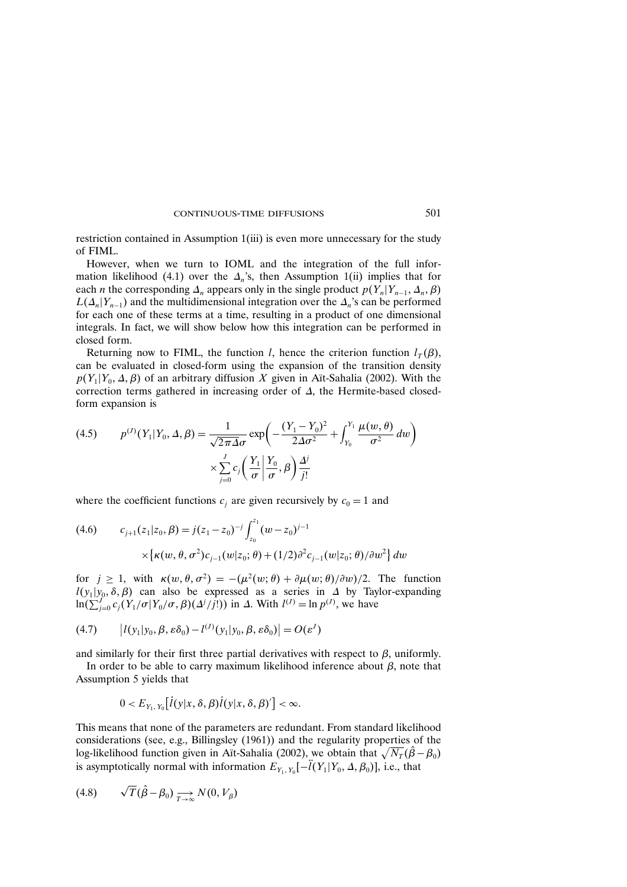restriction contained in Assumption 1(iii) is even more unnecessary for the study of FIML.

However, when we turn to IOML and the integration of the full information likelihood (4.1) over the  $\Delta_n$ 's, then Assumption 1(ii) implies that for each *n* the corresponding  $\Delta_n$  appears only in the single product  $p(Y_n|Y_{n-1}, \Delta_n, \beta)$  $L(\Delta_n|Y_{n-1})$  and the multidimensional integration over the  $\Delta_n$ 's can be performed for each one of these terms at a time, resulting in a product of one dimensional integrals. In fact, we will show below how this integration can be performed in closed form.

Returning now to FIML, the function l, hence the criterion function  $l<sub>T</sub>(\beta)$ , can be evaluated in closed-form using the expansion of the transition density  $p(Y_1|Y_0, \Delta, \beta)$  of an arbitrary diffusion X given in Aït-Sahalia (2002). With the correction terms gathered in increasing order of  $\Delta$ , the Hermite-based closedform expansion is

(4.5) 
$$
p^{(J)}(Y_1|Y_0, \Delta, \beta) = \frac{1}{\sqrt{2\pi\Delta\sigma}} \exp\left(-\frac{(Y_1 - Y_0)^2}{2\Delta\sigma^2} + \int_{Y_0}^{Y_1} \frac{\mu(w, \theta)}{\sigma^2} dw\right)
$$

$$
\times \sum_{j=0}^{J} c_j \left(\frac{Y_1}{\sigma} \middle| \frac{Y_0}{\sigma}, \beta\right) \frac{\Delta^j}{j!}
$$

where the coefficient functions  $c_i$  are given recursively by  $c_0 = 1$  and

(4.6) 
$$
c_{j+1}(z_1|z_0, \beta) = j(z_1 - z_0)^{-j} \int_{z_0}^{z_1} (w - z_0)^{j-1} \times \{ \kappa(w, \theta, \sigma^2) c_{j-1}(w|z_0; \theta) + (1/2) \partial^2 c_{j-1}(w|z_0; \theta) / \partial w^2 \} dw
$$

for  $j \ge 1$ , with  $\kappa(w, \theta, \sigma^2) = -(\mu^2(w; \theta) + \partial \mu(w; \theta)/\partial w)/2$ . The function  $l(y_1|y_0, \delta, \beta)$  can also be expressed as a series in  $\Delta$  by Taylor-expanding  $\ln(\sum_{j=0}^{J} c_j(Y_1/\sigma|Y_0/\sigma,\beta)(\Delta^j/j!) )$  in  $\Delta$ . With  $l^{(J)} = \ln p^{(J)}$ , we have

$$
(4.7) \qquad |l(y_1|y_0, \beta, \varepsilon \delta_0) - l^{(J)}(y_1|y_0, \beta, \varepsilon \delta_0)| = O(\varepsilon^J)
$$

and similarly for their first three partial derivatives with respect to  $\beta$ , uniformly.

In order to be able to carry maximum likelihood inference about  $\beta$ , note that Assumption 5 yields that

$$
0 < E_{Y_1, Y_0}[i(y|x, \delta, \beta)i(y|x, \delta, \beta)'] < \infty.
$$

This means that none of the parameters are redundant. From standard likelihood considerations (see, e.g., Billingsley (1961)) and the regularity properties of the log-likelihood function given in Aït-Sahalia (2002), we obtain that  $\sqrt{N_T}(\hat{\beta} - \beta_0)$ is asymptotically normal with information  $E_{Y_1, Y_0}[-l(Y_1|Y_0, \Delta, \beta_0)]$ , i.e., that

(4.8) 
$$
\sqrt{T}(\hat{\beta} - \beta_0) \xrightarrow[T \to \infty]{} N(0, V_\beta)
$$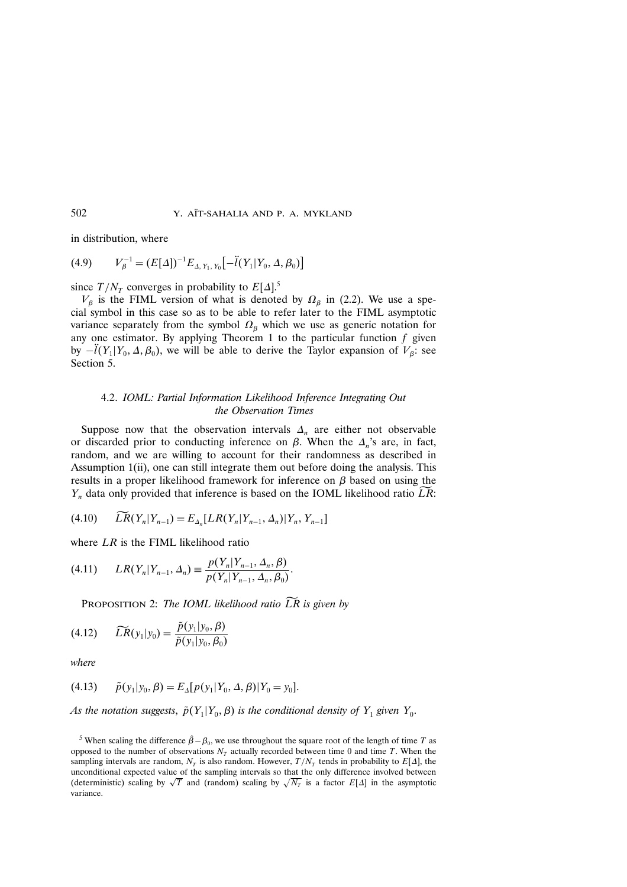in distribution, where

$$
(4.9) \tV_{\beta}^{-1} = (E[\Delta])^{-1} E_{\Delta, Y_1, Y_0} [-\ddot{l}(Y_1 | Y_0, \Delta, \beta_0)]
$$

since  $T/N_T$  converges in probability to  $E[\Delta]$ .<sup>5</sup>

 $V_{\beta}$  is the FIML version of what is denoted by  $\Omega_{\beta}$  in (2.2). We use a special symbol in this case so as to be able to refer later to the FIML asymptotic variance separately from the symbol  $\Omega<sub>\beta</sub>$  which we use as generic notation for any one estimator. By applying Theorem 1 to the particular function  $f$  given by  $-l(Y_1|Y_0, \Delta, \beta_0)$ , we will be able to derive the Taylor expansion of  $V_\beta$ : see Section 5.

# 4.2. *IOML: Partial Information Likelihood Inference Integrating Out* the Observation Times

Suppose now that the observation intervals  $\Delta_n$  are either not observable or discarded prior to conducting inference on  $\beta$ . When the  $\Delta_n$ 's are, in fact, random, and we are willing to account for their randomness as described in Assumption 1(ii), one can still integrate them out before doing the analysis. This results in a proper likelihood framework for inference on  $\beta$  based on using the  $Y_n$  data only provided that inference is based on the IOML likelihood ratio  $\overline{LR}$ :

$$
(4.10) \qquad LR(Y_n|Y_{n-1}) = E_{\Delta_n}[LR(Y_n|Y_{n-1}, \Delta_n)|Y_n, Y_{n-1}]
$$

where LR is the FIML likelihood ratio

$$
(4.11) \qquad LR(Y_n|Y_{n-1},\Delta_n) \equiv \frac{p(Y_n|Y_{n-1},\Delta_n,\beta)}{p(Y_n|Y_{n-1},\Delta_n,\beta_0)}.
$$

PROPOSITION 2: The IOML likelihood ratio  $\widetilde{LR}$  is given by

$$
(4.12) \qquad \widetilde{LR}(y_1|y_0) = \frac{\widetilde{p}(y_1|y_0, \beta)}{\widetilde{p}(y_1|y_0, \beta_0)}
$$

where

(4.13) 
$$
\tilde{p}(y_1|y_0,\beta) = E_{\Delta}[p(y_1|Y_0,\Delta,\beta)|Y_0=y_0].
$$

As the notation suggests,  $\tilde{p}(Y_1|Y_0,\beta)$  is the conditional density of  $Y_1$  given  $Y_0$ .

<sup>5</sup> When scaling the difference  $\hat{\beta} - \beta_0$ , we use throughout the square root of the length of time T as opposed to the number of observations  $N_T$  actually recorded between time 0 and time T. When the sampling intervals are random,  $N_T$  is also random. However,  $T/N_T$  tends in probability to  $E[\Delta]$ , the unconditional expected value of the sampling intervals so that the only difference involved between (deterministic) scaling by  $\sqrt{T}$  and (random) scaling by  $\sqrt{N_T}$  is a factor E[A] in the asymptotic variance.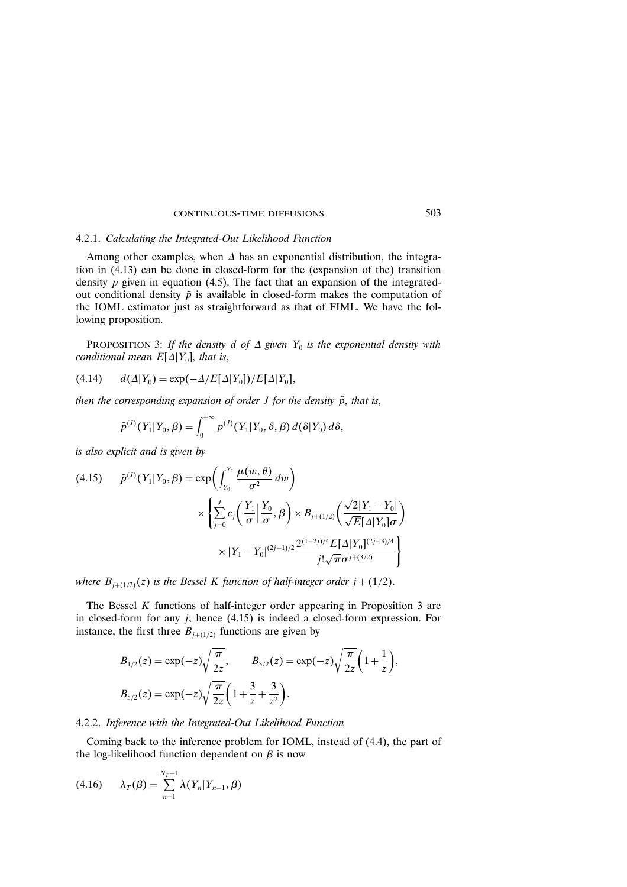#### 4.2.1. Calculating the Integrated-Out Likelihood Function

Among other examples, when  $\Delta$  has an exponential distribution, the integration in (4.13) can be done in closed-form for the (expansion of the) transition density  $p$  given in equation (4.5). The fact that an expansion of the integratedout conditional density  $\tilde{p}$  is available in closed-form makes the computation of the IOML estimator just as straightforward as that of FIML. We have the following proposition.

PROPOSITION 3: If the density d of  $\Delta$  given  $Y_0$  is the exponential density with conditional mean  $E[\Delta|Y_0]$ , that is,

$$
(4.14) \qquad d(\Delta|Y_0) = \exp(-\Delta/E[\Delta|Y_0])/E[\Delta|Y_0],
$$

then the corresponding expansion of order  $J$  for the density  $\tilde{p}$ , that is,

$$
\tilde{p}^{(J)}(Y_1|Y_0,\beta) = \int_0^{+\infty} p^{(J)}(Y_1|Y_0,\delta,\beta) d(\delta|Y_0) d\delta,
$$

is also explicit and is given by

(4.15) 
$$
\tilde{p}^{(J)}(Y_1|Y_0, \beta) = \exp\left(\int_{Y_0}^{Y_1} \frac{\mu(w, \theta)}{\sigma^2} dw\right) \times \left\{ \sum_{j=0}^{J} c_j \left(\frac{Y_1}{\sigma} \Big| \frac{Y_0}{\sigma}, \beta\right) \times B_{j+(1/2)} \left(\frac{\sqrt{2}|Y_1 - Y_0|}{\sqrt{E}[\Delta|Y_0]\sigma}\right) \times |Y_1 - Y_0|^{(2j+1)/2} \frac{2^{(1-2j)/4} E[\Delta|Y_0]^{(2j-3)/4}}{j!\sqrt{\pi} \sigma^{j+(3/2)}} \right\}
$$

where  $B_{i+(1/2)}(z)$  is the Bessel K function of half-integer order  $j+(1/2)$ .

The Bessel K functions of half-integer order appearing in Proposition 3 are in closed-form for any  $j$ ; hence  $(4.15)$  is indeed a closed-form expression. For instance, the first three  $B_{j+(1/2)}$  functions are given by

$$
B_{1/2}(z) = \exp(-z)\sqrt{\frac{\pi}{2z}}, \qquad B_{3/2}(z) = \exp(-z)\sqrt{\frac{\pi}{2z}}\left(1 + \frac{1}{z}\right),
$$
  

$$
B_{5/2}(z) = \exp(-z)\sqrt{\frac{\pi}{2z}}\left(1 + \frac{3}{z} + \frac{3}{z^2}\right).
$$

## 4.2.2. Inference with the Integrated-Out Likelihood Function

Coming back to the inference problem for IOML, instead of (4.4), the part of the log-likelihood function dependent on  $\beta$  is now

(4.16) 
$$
\lambda_T(\beta) = \sum_{n=1}^{N_T-1} \lambda(Y_n | Y_{n-1}, \beta)
$$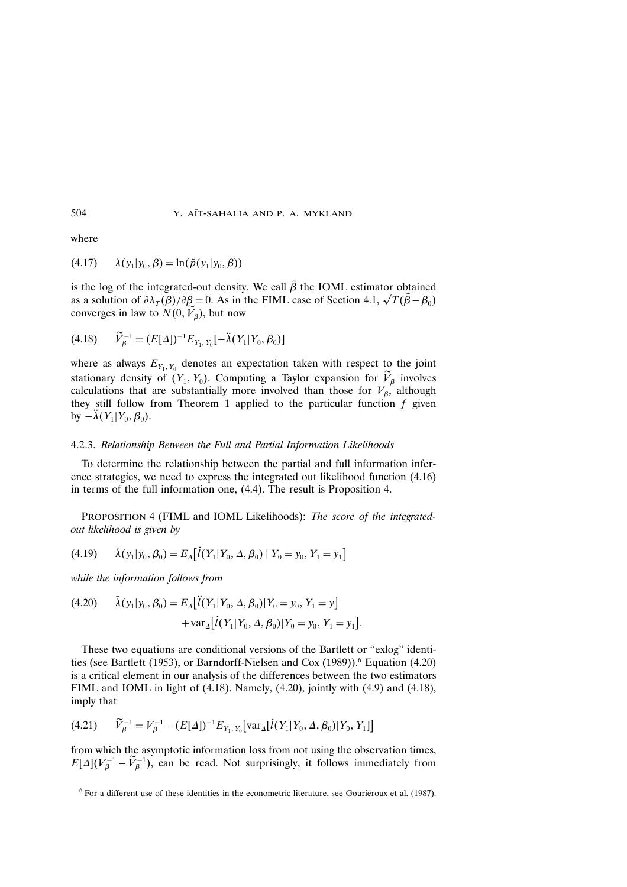where

 $\lambda(y_1 | y_0, \beta) = \ln(\tilde{p}(y_1 | y_0, \beta))$ 

is the log of the integrated-out density. We call  $\tilde{\beta}$  the IOML estimator obtained as a solution of  $\partial \lambda_T(\beta)/\partial \beta = 0$ . As in the FIML case of Section 4.1,  $\sqrt{T}(\tilde{\beta} - \beta_0)$ converges in law to  $N(0, V_\beta)$ , but now

$$
(4.18) \qquad \widetilde{V}_{\beta}^{-1} = (E[\Delta])^{-1} E_{Y_1, Y_0}[-\ddot{\lambda}(Y_1|Y_0, \beta_0)]
$$

where as always  $E_{Y_1, Y_0}$  denotes an expectation taken with respect to the joint stationary density of  $(Y_1, Y_0)$ . Computing a Taylor expansion for  $V_\beta$  involves calculations that are substantially more involved than those for  $V_{\beta}$ , although they still follow from Theorem 1 applied to the particular function  $f$  given by  $-\lambda(Y_1|Y_0,\beta_0)$ .

## 423 Relationship Between the Full and Partial Information Likelihoods

To determine the relationship between the partial and full information inference strategies, we need to express the integrated out likelihood function (4.16) in terms of the full information one, (4.4). The result is Proposition 4.

Proposition 4 (FIML and IOML Likelihoods): The score of the integratedout likelihood is given by

$$
(4.19) \qquad \lambda(y_1|y_0, \beta_0) = E_{\Delta}[l(Y_1|Y_0, \Delta, \beta_0) | Y_0 = y_0, Y_1 = y_1]
$$

while the information follows from

(4.20) 
$$
\bar{\lambda}(y_1|y_0, \beta_0) = E_{\Delta}[\bar{l}(Y_1|Y_0, \Delta, \beta_0)|Y_0 = y_0, Y_1 = y] + \text{var}_{\Delta}[\bar{l}(Y_1|Y_0, \Delta, \beta_0)|Y_0 = y_0, Y_1 = y_1].
$$

These two equations are conditional versions of the Bartlett or "exlog" identities (see Bartlett (1953), or Barndorff-Nielsen and Cox (1989)).<sup>6</sup> Equation (4.20) is a critical element in our analysis of the differences between the two estimators FIML and IOML in light of (4.18). Namely, (4.20), jointly with (4.9) and (4.18), imply that

$$
(4.21) \qquad \widetilde{V}_{\beta}^{-1} = V_{\beta}^{-1} - (E[\Delta])^{-1} E_{Y_1, Y_0} [\text{var}_{\Delta}[i(Y_1 | Y_0, \Delta, \beta_0) | Y_0, Y_1]]
$$

from which the asymptotic information loss from not using the observation times,  $E[\Delta](V_\beta^{-1} - V_\beta^{-1})$ , can be read. Not surprisingly, it follows immediately from

<sup>6</sup> For a different use of these identities in the econometric literature, see Gouriéroux et al. (1987).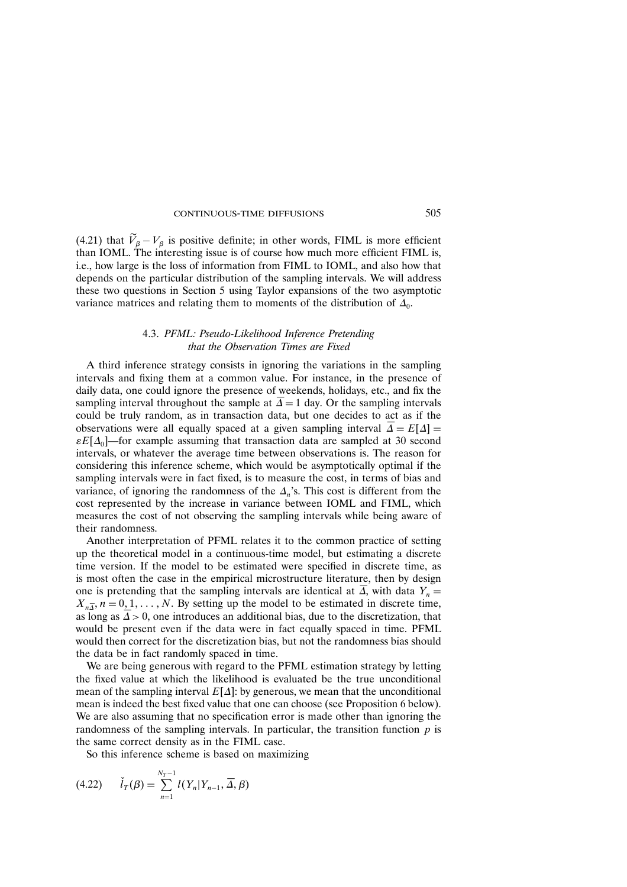(4.21) that  $V_{\beta} - V_{\beta}$  is positive definite; in other words, FIML is more efficient<br>than IOML. The interesting issue is of gourse how much more efficient FIML is than IOML. The interesting issue is of course how much more efficient FIML is, i.e., how large is the loss of information from FIML to IOML, and also how that depends on the particular distribution of the sampling intervals. We will address these two questions in Section 5 using Taylor expansions of the two asymptotic variance matrices and relating them to moments of the distribution of  $\Delta_0$ .

# 4.3. PFML: Pseudo-Likelihood Inference Pretending that the Observation Times are Fixed

Athird inference strategy consists in ignoring the variations in the sampling intervals and fixing them at a common value. For instance, in the presence of daily data, one could ignore the presence of weekends, holidays, etc., and fix the sampling interval throughout the sample at  $\Delta = 1$  day. Or the sampling intervals could be truly random, as in transaction data, but one decides to act as if the observations were all equally spaced at a given sampling interval  $\Delta = E[\Delta] =$  $\epsilon E[\Delta_0]$ —for example assuming that transaction data are sampled at 30 second intervals, or whatever the average time between observations is. The reason for considering this inference scheme, which would be asymptotically optimal if the sampling intervals were in fact fixed, is to measure the cost, in terms of bias and variance, of ignoring the randomness of the  $\Delta_n$ 's. This cost is different from the cost represented by the increase in variance between IOML and FIML, which measures the cost of not observing the sampling intervals while being aware of their randomness.

Another interpretation of PFML relates it to the common practice of setting up the theoretical model in a continuous-time model, but estimating a discrete time version. If the model to be estimated were specified in discrete time, as is most often the case in the empirical microstructure literature, then by design one is pretending that the sampling intervals are identical at  $\Delta$ , with data  $Y_n =$  $X_{n\overline{\Delta}}$ ,  $n = 0, 1, \ldots, N$ . By setting up the model to be estimated in discrete time, as long as  $\overline{\Delta} > 0$ , one introduces an additional bias, due to the discretization, that would be present even if the data were in fact equally spaced in time. PFML would then correct for the discretization bias, but not the randomness bias should the data be in fact randomly spaced in time.

We are being generous with regard to the PFML estimation strategy by letting the fixed value at which the likelihood is evaluated be the true unconditional mean of the sampling interval  $E[\Delta]$ : by generous, we mean that the unconditional mean is indeed the best fixed value that one can choose (see Proposition 6 below). We are also assuming that no specification error is made other than ignoring the randomness of the sampling intervals. In particular, the transition function  $p$  is the same correct density as in the FIML case.

So this inference scheme is based on maximizing

ˇ lT = N T −1 n=1 lYnYn−<sup>1</sup> (4.22)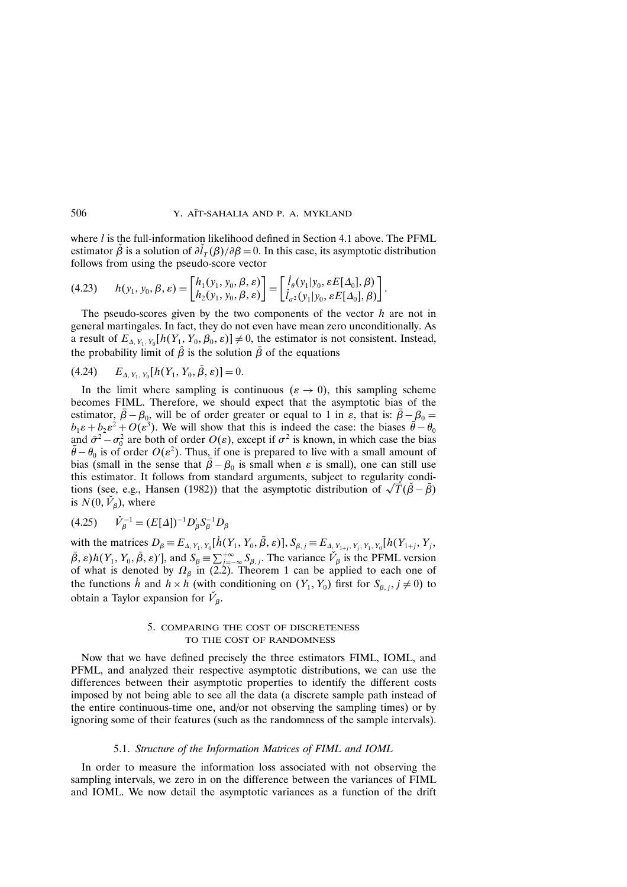where  $l$  is the full-information likelihood defined in Section 4.1 above. The PFML estimator  $\beta$  is a solution of  $\partial l_T(\beta)/\partial \beta = 0$ . In this case, its asymptotic distribution follows from using the pseudo-score vector

$$
(4.23) \qquad h(y_1, y_0, \beta, \varepsilon) = \begin{bmatrix} h_1(y_1, y_0, \beta, \varepsilon) \\ h_2(y_1, y_0, \beta, \varepsilon) \end{bmatrix} = \begin{bmatrix} \dot{l}_{\theta}(y_1|y_0, \varepsilon E[\Delta_0], \beta) \\ \dot{l}_{\sigma^2}(y_1|y_0, \varepsilon E[\Delta_0], \beta) \end{bmatrix}.
$$

The pseudo-scores given by the two components of the vector  $h$  are not in general martingales. In fact, they do not even have mean zero unconditionally. As a result of  $E_{\Delta, Y_1, Y_0}[h(Y_1, Y_0, \beta_0, \varepsilon)] \neq 0$ , the estimator is not consistent. Instead, the probability limit of  $\hat{\beta}$  is the solution  $\bar{\beta}$  of the equations

$$
(4.24) \t E_{\Delta, Y_1, Y_0}[h(Y_1, Y_0, \beta, \varepsilon)] = 0.
$$

In the limit where sampling is continuous  $(\epsilon \to 0)$ , this sampling scheme becomes FIML. Therefore, we should expect that the asymptotic bias of the estimator,  $\bar{\beta} - \beta_0$ , will be of order greater or equal to 1 in  $\varepsilon$ , that is:  $\bar{\beta} - \beta_0 =$  $b_1 \varepsilon + b_2 \varepsilon^2 + O(\varepsilon^3)$ . We will show that this is indeed the case: the biases  $\theta - \theta_0$ and  $\bar{\sigma}^2 - \sigma_0^2$  are both of order  $O(\varepsilon)$ , except if  $\sigma^2$  is known, in which case the bias  $\bar{\theta} - \theta_0$  is of order  $O(\varepsilon^2)$ . Thus, if one is prepared to live with a small amount of bias (small in the sense that  $\bar{\beta} - \beta_0$  is small when  $\varepsilon$  is small), one can still use this estimator. It follows from standard arguments, subject to regularity conditions (see, e.g., Hansen (1982)) that the asymptotic distribution of  $\sqrt{T}(\check{\beta} - \bar{\beta})$ is  $N(0, V_\beta)$ , where

$$
(4.25) \qquad \check{V}_{\beta}^{-1} = (E[\Delta])^{-1} D'_{\beta} S_{\beta}^{-1} D_{\beta}
$$

with the matrices  $D_{\beta} \equiv E_{\Delta, Y_1, Y_0}[h(Y_1, Y_0, \beta, \varepsilon)], S_{\beta, j} \equiv E_{\Delta, Y_{1+j}, Y_j, Y_1, Y_0}[h(Y_{1+j}, Y_j, Y_{1+j}, Y_j, Y_{2+j}, Y_{3+j}, Y_{4+j}, Y_{5+j}, Y_{6+j}, Y_{7+j}, Y_{8+j}]$  $(\beta, \varepsilon)h(Y_1, Y_0, \beta, \varepsilon)'$ , and  $S_\beta \equiv \sum_{j=-\infty}^{+\infty} S_{\beta, j}$ . The variance  $V_\beta$  is the PFML version of what is denoted by  $\Omega_{\beta}$  in (2.2). Theorem 1 can be applied to each one of the functions h and  $h \times h$  (with conditioning on  $(Y_1, Y_0)$  first for  $S_{\beta, i}, j \neq 0$ ) to obtain a Taylor expansion for  $V_\beta$ .

# 5. COMPARING THE COST OF DISCRETENESS to the cost of randomness

Now that we have defined precisely the three estimators FIML, IOML, and PFML, and analyzed their respective asymptotic distributions, we can use the differences between their asymptotic properties to identify the different costs imposed by not being able to see all the data (a discrete sample path instead of the entire continuous-time one, and/or not observing the sampling times) or by ignoring some of their features (such as the randomness of the sample intervals).

## 5.1. Structure of the Information Matrices of FIML and IOML

In order to measure the information loss associated with not observing the sampling intervals, we zero in on the difference between the variances of FIML and IOML. We now detail the asymptotic variances as a function of the drift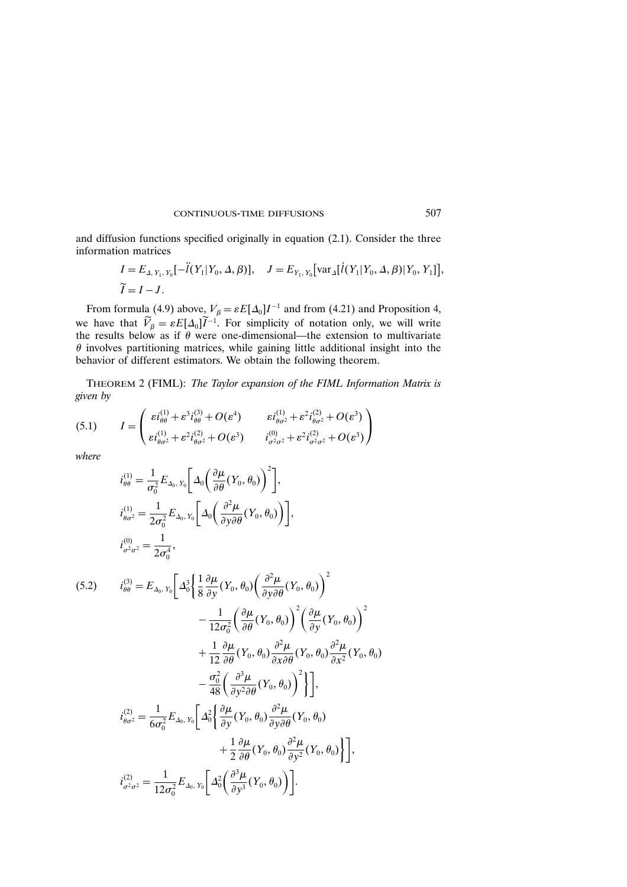and diffusion functions specified originally in equation (2.1). Consider the three information matrices

$$
I = E_{\Delta, Y_1, Y_0}[-\ddot{I}(Y_1|Y_0, \Delta, \beta)], \quad J = E_{Y_1, Y_0}[\text{var}_{\Delta}[\dot{I}(Y_1|Y_0, \Delta, \beta)|Y_0, Y_1]],
$$
  

$$
\widetilde{I} = I - J.
$$

From formula (4.9) above,  $V_{\beta} = \varepsilon E[\Delta_0]I^{-1}$  and from (4.21) and Proposition 4, we have that  $V_{\beta} = \varepsilon E[\Delta_0] I^{-1}$ . For simplicity of notation only, we will write the results below as if  $\theta$  were one-dimensional—the extension to multivariate  $\theta$  involves partitioning matrices, while gaining little additional insight into the behavior of different estimators. We obtain the following theorem.

Theorem 2 (FIML): The Taylor expansion of the FIML Information Matrix is given by

$$
(5.1) \qquad I = \begin{pmatrix} \varepsilon i_{\theta\theta}^{(1)} + \varepsilon^3 i_{\theta\theta}^{(3)} + O(\varepsilon^4) & \varepsilon i_{\theta\sigma^2}^{(1)} + \varepsilon^2 i_{\theta\sigma^2}^{(2)} + O(\varepsilon^3) \\ \varepsilon i_{\theta\sigma^2}^{(1)} + \varepsilon^2 i_{\theta\sigma^2}^{(2)} + O(\varepsilon^3) & i_{\sigma^2\sigma^2}^{(0)} + \varepsilon^2 i_{\sigma^2\sigma^2}^{(2)} + O(\varepsilon^3) \end{pmatrix}
$$

where

$$
\begin{aligned}\ni_{\theta\theta}^{(1)} &= \frac{1}{\sigma_0^2} E_{\Delta_0, Y_0} \bigg[ \Delta_0 \bigg( \frac{\partial \mu}{\partial \theta} (Y_0, \theta_0) \bigg)^2 \bigg], \\
i_{\theta\sigma^2}^{(1)} &= \frac{1}{2\sigma_0^2} E_{\Delta_0, Y_0} \bigg[ \Delta_0 \bigg( \frac{\partial^2 \mu}{\partial y \partial \theta} (Y_0, \theta_0) \bigg) \bigg], \\
i_{\sigma^2\sigma^2}^{(0)} &= \frac{1}{2\sigma_0^4},\n\end{aligned}
$$

(5.2) 
$$
i_{\theta\theta}^{(3)} = E_{\Delta_0, Y_0} \bigg[ \Delta_0^3 \bigg\{ \frac{1}{8} \frac{\partial \mu}{\partial y} (Y_0, \theta_0) \bigg( \frac{\partial^2 \mu}{\partial y \partial \theta} (Y_0, \theta_0) \bigg)^2 - \frac{1}{12 \sigma_0^2} \bigg( \frac{\partial \mu}{\partial \theta} (Y_0, \theta_0) \bigg)^2 \bigg( \frac{\partial \mu}{\partial y} (Y_0, \theta_0) \bigg)^2 + \frac{1}{12} \frac{\partial \mu}{\partial \theta} (Y_0, \theta_0) \frac{\partial^2 \mu}{\partial x \partial \theta} (Y_0, \theta_0) \frac{\partial^2 \mu}{\partial x^2} (Y_0, \theta_0) - \frac{\sigma_0^2}{48} \bigg( \frac{\partial^3 \mu}{\partial y^2 \partial \theta} (Y_0, \theta_0) \bigg)^2 \bigg\} \bigg],
$$
  

$$
i_{\theta\sigma^2}^{(2)} = \frac{1}{6\sigma_0^2} E_{\Delta_0, Y_0} \bigg[ \Delta_0^2 \bigg\{ \frac{\partial \mu}{\partial y} (Y_0, \theta_0) \frac{\partial^2 \mu}{\partial y \partial \theta} (Y_0, \theta_0) + \frac{1}{2} \frac{\partial \mu}{\partial \theta} (Y_0, \theta_0) \frac{\partial^2 \mu}{\partial y^2} (Y_0, \theta_0) \bigg\} \bigg],
$$
  

$$
i_{\sigma^2 \sigma^2}^{(2)} = \frac{1}{12\sigma_0^2} E_{\Delta_0, Y_0} \bigg[ \Delta_0^2 \bigg( \frac{\partial^3 \mu}{\partial y^3} (Y_0, \theta_0) \bigg) \bigg].
$$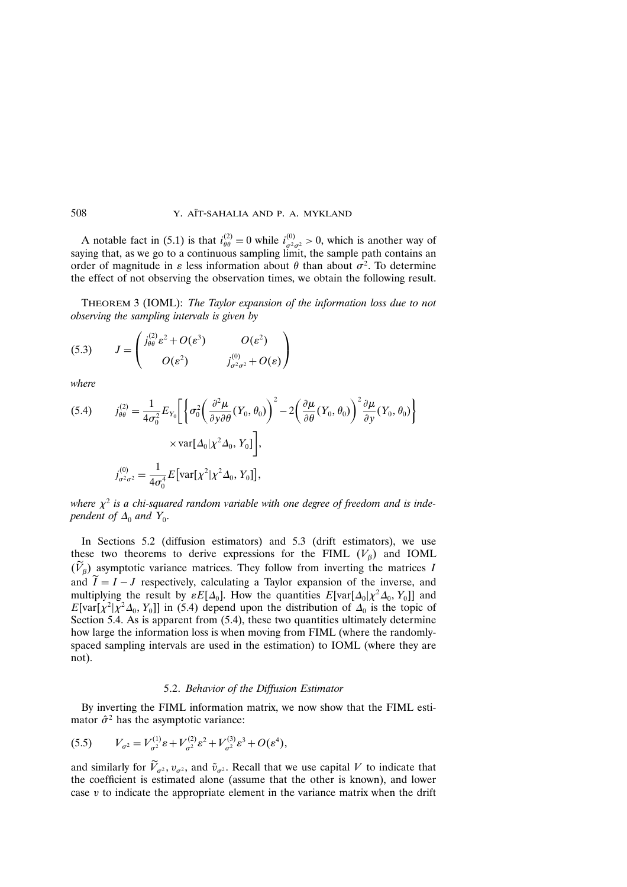A notable fact in (5.1) is that  $i_{\theta\theta}^{(2)} = 0$  while  $i_{\sigma^2}^{(0)}$  $\frac{d^{(0)}}{d^2 \sigma^2} > 0$ , which is another way of saying that, as we go to a continuous sampling limit, the sample path contains an order of magnitude in  $\varepsilon$  less information about  $\theta$  than about  $\sigma^2$ . To determine the effect of not observing the observation times, we obtain the following result.

THEOREM 3 (IOML): The Taylor expansion of the information loss due to not observing the sampling intervals is given by

(5.3) 
$$
J = \begin{pmatrix} j_{\theta\theta}^{(2)} \varepsilon^2 + O(\varepsilon^3) & O(\varepsilon^2) \\ O(\varepsilon^2) & j_{\sigma^2\sigma^2}^{(0)} + O(\varepsilon) \end{pmatrix}
$$

where

(5.4) 
$$
j_{\theta\theta}^{(2)} = \frac{1}{4\sigma_0^2} E_{Y_0} \left[ \left\{ \sigma_0^2 \left( \frac{\partial^2 \mu}{\partial y \partial \theta} (Y_0, \theta_0) \right)^2 - 2 \left( \frac{\partial \mu}{\partial \theta} (Y_0, \theta_0) \right)^2 \frac{\partial \mu}{\partial y} (Y_0, \theta_0) \right\} \times \text{var}[\Delta_0 | \chi^2 \Delta_0, Y_0] \right],
$$

$$
j_{\sigma^2 \sigma^2}^{(0)} = \frac{1}{4\sigma_0^4} E[\text{var}[\chi^2 | \chi^2 \Delta_0, Y_0]],
$$

where  $\chi^2$  is a chi-squared random variable with one degree of freedom and is independent of  $\Delta_0$  and  $Y_0$ .

In Sections 5.2 (diffusion estimators) and 5.3 (drift estimators), we use these two theorems to derive expressions for the FIML  $(V_{\beta})$  and IOML  $(V_\beta)$  asymptotic variance matrices. They follow from inverting the matrices I and  $\widetilde{I} = I - J$  respectively, calculating a Taylor expansion of the inverse, and multiplying the result by  $\epsilon E[\Delta_0]$ . How the quantities  $E[\text{var}[\Delta_0|\chi^2\Delta_0, Y_0]]$  and  $E[var[\chi^2|\chi^2\Delta_0, Y_0]]$  in (5.4) depend upon the distribution of  $\Delta_0$  is the topic of Section 5.4. As is apparent from  $(5.4)$ , these two quantities ultimately determine how large the information loss is when moving from FIML (where the randomlyspaced sampling intervals are used in the estimation) to IOML (where they are not).

## 5.2. Behavior of the Diffusion Estimator

By inverting the FIML information matrix, we now show that the FIML estimator  $\hat{\sigma}^2$  has the asymptotic variance:

$$
(5.5) \tV_{\sigma^2} = V_{\sigma^2}^{(1)} \varepsilon + V_{\sigma^2}^{(2)} \varepsilon^2 + V_{\sigma^2}^{(3)} \varepsilon^3 + O(\varepsilon^4),
$$

and similarly for  $V_{\sigma^2}$ ,  $v_{\sigma^2}$ , and  $\tilde{v}_{\sigma^2}$ . Recall that we use capital V to indicate that the coefficient is estimated alone (assume that the other is known), and lower case  $v$  to indicate the appropriate element in the variance matrix when the drift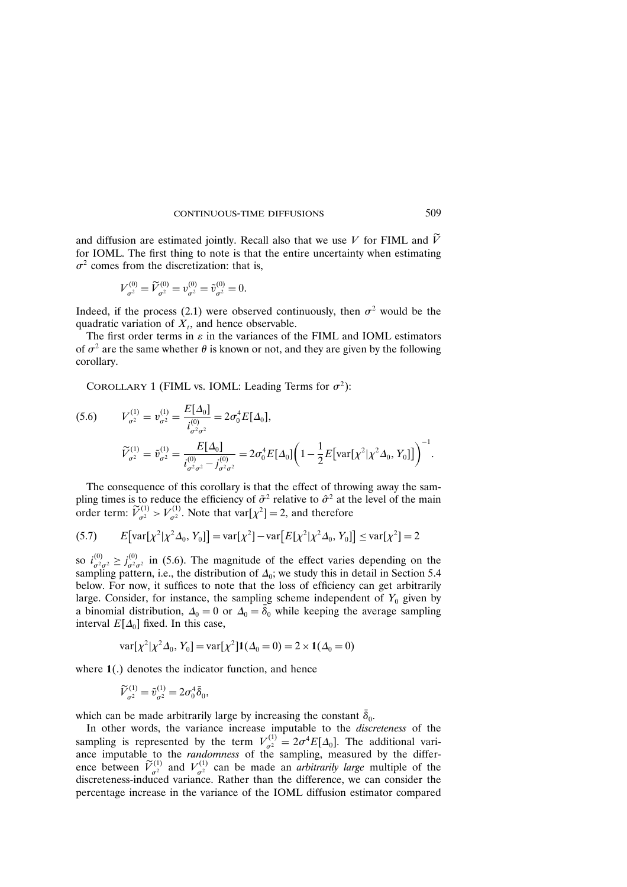and diffusion are estimated jointly. Recall also that we use V for FIML and  $\tilde{V}$ for IOML. The first thing to note is that the entire uncertainty when estimating  $\sqrt{2}$  $\sigma^2$  comes from the discretization: that is,

$$
V_{\sigma^2}^{(0)} = \widetilde{V}_{\sigma^2}^{(0)} = v_{\sigma^2}^{(0)} = \widetilde{v}_{\sigma^2}^{(0)} = 0.
$$

Indeed, if the process (2.1) were observed continuously, then  $\sigma^2$  would be the quadratic variation of  $X_t$ , and hence observable.

The first order terms in  $\varepsilon$  in the variances of the FIML and IOML estimators of  $\sigma^2$  are the same whether  $\theta$  is known or not, and they are given by the following corollary.

COROLLARY 1 (FIML vs. IOML: Leading Terms for  $\sigma^2$ ):

(5.6) 
$$
V_{\sigma^2}^{(1)} = v_{\sigma^2}^{(1)} = \frac{E[\Delta_0]}{i_{\sigma^2 \sigma^2}^{(0)}} = 2\sigma_0^4 E[\Delta_0],
$$

$$
\widetilde{V}_{\sigma^2}^{(1)} = \widetilde{v}_{\sigma^2}^{(1)} = \frac{E[\Delta_0]}{i_{\sigma^2 \sigma^2}^{(0)} - j_{\sigma^2 \sigma^2}^{(0)}} = 2\sigma_0^4 E[\Delta_0] \left(1 - \frac{1}{2} E[\text{var}[\chi^2 | \chi^2 \Delta_0, Y_0]]\right)^{-1}.
$$

The consequence of this corollary is that the effect of throwing away the sampling times is to reduce the efficiency of  $\tilde{\sigma}^2$  relative to  $\hat{\sigma}^2$  at the level of the main order term:  $\widetilde{V}_{\sigma^2}^{(1)} > V_{\sigma^2}^{(1)}$ . Note that var $[\chi^2] = 2$ , and therefore

$$
(5.7) \qquad E[\text{var}[\chi^2|\chi^2\Delta_0, Y_0]] = \text{var}[\chi^2] - \text{var}[E[\chi^2|\chi^2\Delta_0, Y_0]] \le \text{var}[\chi^2] = 2
$$

so  $i_{\sigma^2}^{(0)}$  $\frac{1}{\sigma^2 \sigma^2} \geq j_{\sigma^2}^{(0)}$  $\frac{1}{\sigma^2 \sigma^2}$  in (5.6). The magnitude of the effect varies depending on the sampling pattern, i.e., the distribution of  $\varDelta_0$ ; we study this in detail in Section 5.4 below. For now, it suffices to note that the loss of efficiency can get arbitrarily large. Consider, for instance, the sampling scheme independent of  $Y_0$  given by a binomial distribution,  $\Delta_0 = 0$  or  $\Delta_0 = \delta_0$  while keeping the average sampling interval  $E[\Delta_0]$  fixed. In this case,

$$
var[\chi^2|\chi^2\Delta_0, Y_0] = var[\chi^2]\mathbf{1}(\Delta_0 = 0) = 2 \times \mathbf{1}(\Delta_0 = 0)
$$

where  $1(.)$  denotes the indicator function, and hence

$$
\widetilde{V}_{\sigma^2}^{(1)} = \widetilde{v}_{\sigma^2}^{(1)} = 2\sigma_0^4 \bar{\delta}_0,
$$

which can be made arbitrarily large by increasing the constant  $\delta_0$ .

In other words, the variance increase imputable to the *discreteness* of the sampling is represented by the term  $V_{\sigma^2}^{(1)} = 2\sigma^4 E[\Delta_0]$ . The additional variance imputable to the *randomness* of the sampling, measured by the difference between  $\tilde{V}_{q^2}^{(1)}$  and  $V_{q^2}^{(1)}$  can be made an *arbitrarily large* multiple of the difference we can consider the discreteness-induced variance. Rather than the difference, we can consider the percentage increase in the variance of the IOML diffusion estimator compared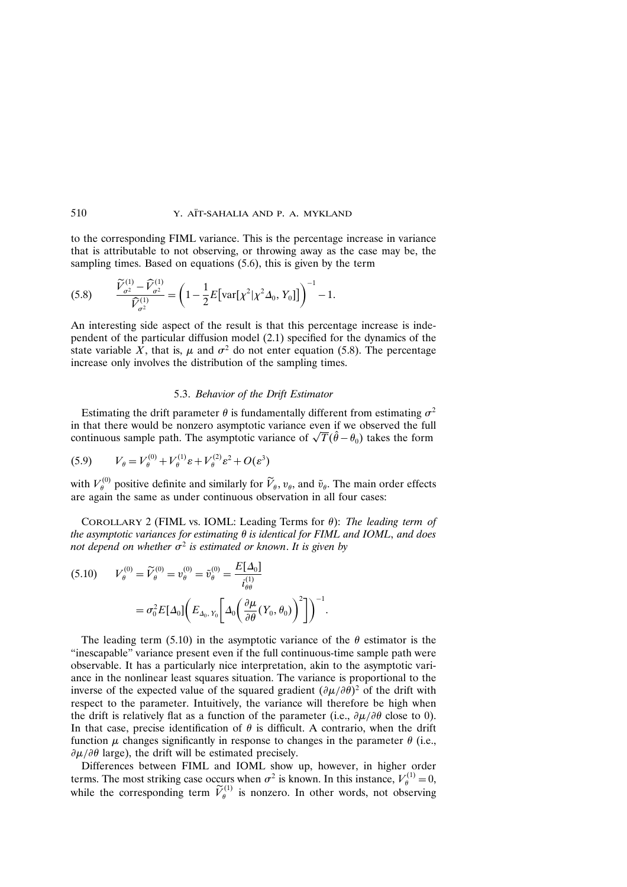to the corresponding FIML variance. This is the percentage increase in variance that is attributable to not observing, or throwing away as the case may be, the sampling times. Based on equations (5.6), this is given by the term

(5.8) 
$$
\frac{\widetilde{V}_{\sigma^2}^{(1)} - \widehat{V}_{\sigma^2}^{(1)}}{\widehat{V}_{\sigma^2}^{(1)}} = \left(1 - \frac{1}{2}E\big[\text{var}[\chi^2|\chi^2\Delta_0, Y_0]\big]\right)^{-1} - 1.
$$

An interesting side aspect of the result is that this percentage increase is independent of the particular diffusion model (2.1) specified for the dynamics of the state variable X, that is,  $\mu$  and  $\sigma^2$  do not enter equation (5.8). The percentage increase only involves the distribution of the sampling times.

# 5.3. Behavior of the Drift Estimator

Estimating the drift parameter  $\theta$  is fundamentally different from estimating  $\sigma^2$ in that there would be nonzero asymptotic variance even if we observed the full continuous sample path. The asymptotic variance of  $\sqrt{T}(\hat{\theta} - \theta_0)$  takes the form

(5.9) 
$$
V_{\theta} = V_{\theta}^{(0)} + V_{\theta}^{(1)} \varepsilon + V_{\theta}^{(2)} \varepsilon^{2} + O(\varepsilon^{3})
$$

with  $V_{\theta}^{(0)}$  positive definite and similarly for  $\widetilde{V}_{\theta}$ ,  $v_{\theta}$ , and  $\widetilde{v}_{\theta}$ . The main order effects are again the same as under continuous observation in all four cases:

COROLLARY 2 (FIML vs. IOML: Leading Terms for  $\theta$ ): The leading term of the asymptotic variances for estimating  $\theta$  is identical for FIML and IOML, and does not depend on whether  $\sigma^2$  is estimated or known. It is given by

(5.10) 
$$
V_{\theta}^{(0)} = \widetilde{V}_{\theta}^{(0)} = v_{\theta}^{(0)} = \widetilde{v}_{\theta}^{(0)} = \frac{E[\Delta_{0}]}{i_{\theta\theta}^{(1)}} = \sigma_{0}^{2} E[\Delta_{0}] \bigg( E_{\Delta_{0}, Y_{0}} \bigg[ \Delta_{0} \bigg( \frac{\partial \mu}{\partial \theta} (Y_{0}, \theta_{0}) \bigg)^{2} \bigg] \bigg)^{-1}.
$$

The leading term (5.10) in the asymptotic variance of the  $\theta$  estimator is the "inescapable" variance present even if the full continuous-time sample path were observable. It has a particularly nice interpretation, akin to the asymptotic variance in the nonlinear least squares situation. The variance is proportional to the inverse of the expected value of the squared gradient  $(\partial \mu / \partial \theta)^2$  of the drift with respect to the parameter. Intuitively, the variance will therefore be high when the drift is relatively flat as a function of the parameter (i.e.,  $\partial \mu / \partial \theta$  close to 0). In that case, precise identification of  $\theta$  is difficult. A contrario, when the drift function  $\mu$  changes significantly in response to changes in the parameter  $\theta$  (i.e.,  $\partial \mu / \partial \theta$  large), the drift will be estimated precisely.

Differences between FIML and IOML show up, however, in higher order terms. The most striking case occurs when  $\sigma^2$  is known. In this instance,  $V_{\theta}^{(1)} = 0$ , while the corresponding term  $\widetilde{V}_{\theta}^{(1)}$  is nonzero. In other words, not observing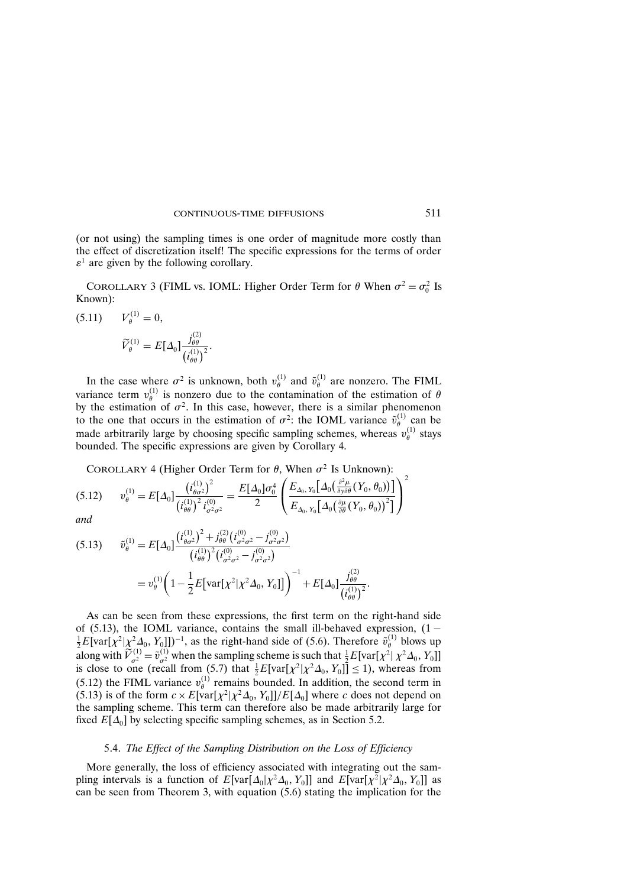(or not using) the sampling times is one order of magnitude more costly than the effect of discretization itself! The specific expressions for the terms of order  $\varepsilon^1$  are given by the following corollary.

COROLLARY 3 (FIML vs. IOML: Higher Order Term for  $\theta$  When  $\sigma^2 = \sigma_0^2$  Is Known):

(5.11) 
$$
V_{\theta}^{(1)} = 0,
$$
  

$$
\widetilde{V}_{\theta}^{(1)} = E[\Delta_0] \frac{j_{\theta\theta}^{(2)}}{(i_{\theta\theta}^{(1)})^2}.
$$

In the case where  $\sigma^2$  is unknown, both  $v_\theta^{(1)}$  and  $\tilde{v}_\theta^{(1)}$  are nonzero. The FIML variance term  $v_{\theta}^{(1)}$  is nonzero due to the contamination of the estimation of  $\theta$ by the estimation of  $\sigma^2$ . In this case, however, there is a similar phenomenon to the one that occurs in the estimation of  $\sigma^2$ : the IOML variance  $\tilde{v}_{\theta}^{(1)}$  can be made arbitrarily large by choosing specific sampling schemes, whereas  $v_{\theta}^{(1)}$  stays bounded. The specific expressions are given by Corollary 4.

COROLLARY 4 (Higher Order Term for  $\theta$ , When  $\sigma^2$  Is Unknown):

$$
(5.12) \t v_{\theta}^{(1)} = E[\Delta_0] \frac{\left(i_{\theta\sigma}^{(1)}\right)^2}{\left(i_{\theta\theta}^{(1)}\right)^2 i_{\sigma^2\sigma^2}^{(0)}} = \frac{E[\Delta_0] \sigma_0^4}{2} \left(\frac{E_{\Delta_0, Y_0}[\Delta_0\left(\frac{\partial^2 \mu}{\partial y \partial \theta}(Y_0, \theta_0)\right)]}{E_{\Delta_0, Y_0}[\Delta_0\left(\frac{\partial \mu}{\partial \theta}(Y_0, \theta_0)\right)^2]}\right)^2
$$

and

$$
(5.13) \t\t \tilde{v}_{\theta}^{(1)} = E[\Delta_0] \frac{\left(i_{\theta\sigma^2}^{(1)}\right)^2 + j_{\theta\theta}^{(2)} \left(i_{\sigma^2\sigma^2}^{(0)} - j_{\sigma^2\sigma^2}^{(0)}\right)}{\left(i_{\theta\theta}^{(1)}\right)^2 \left(i_{\sigma^2\sigma^2}^{(0)} - j_{\sigma^2\sigma^2}^{(0)}\right)}
$$

$$
= v_{\theta}^{(1)} \left(1 - \frac{1}{2} E\left[\text{var}[\chi^2|\chi^2\Delta_0, Y_0]\right]\right)^{-1} + E[\Delta_0] \frac{j_{\theta\theta}^{(2)}}{\left(i_{\theta\theta}^{(1)}\right)^2}.
$$

As can be seen from these expressions, the first term on the right-hand side of  $(5.13)$ , the IOML variance, contains the small ill-behaved expression,  $(1$ of (5.13), the IOML variance, contains the small ill-behaved expression,  $(1 - \frac{1}{2}E[var[\chi^2]\chi^2\Delta_0, Y_0]]^{-1}$ , as the right-hand side of (5.6). Therefore  $\tilde{v}_{\theta}^{(1)}$  blows up along with  $\widetilde{V}_{\sigma^2}^{(1)} = \widetilde{v}_{\sigma^2}^{(1)}$ <sup>(1)</sup> when the sampling scheme is such that  $\frac{1}{2}E$  [var[ $\chi^2 | \chi^2 \Delta_0$ ,  $Y_0$ ]] is close to one (recall from (5.7) that  $\frac{1}{2}E[\text{var}[\chi^2|\chi^2\Delta_0, Y_0]] \le 1$ , whereas from (5.12) the FIML variance  $v_{\theta}^{(1)}$  remains bounded. In addition, the second term in  $(5.13)$  is of the form  $c \times E[var[\chi^2|\chi^2\Delta_0, Y_0]]/E[\Delta_0]$  where c does not depend on the sampling scheme. This term can therefore also be made arbitrarily large for fixed  $E[\Delta_0]$  by selecting specific sampling schemes, as in Section 5.2.

### 5.4. The Effect of the Sampling Distribution on the Loss of Efficiency

More generally, the loss of efficiency associated with integrating out the sampling intervals is a function of  $E[\text{var}[\Delta_0|\chi^2\Delta_0, Y_0]]$  and  $E[\text{var}[\chi^2|\chi^2\Delta_0, Y_0]]$  as can be seen from Theorem 3, with equation (5.6) stating the implication for the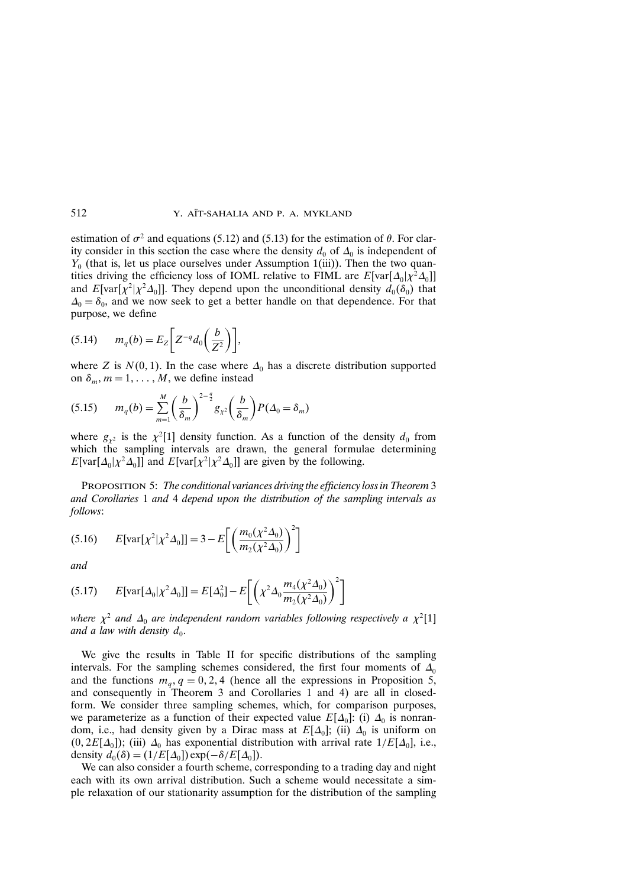estimation of  $\sigma^2$  and equations (5.12) and (5.13) for the estimation of  $\theta$ . For clarity consider in this section the case where the density  $d_0$  of  $\Delta_0$  is independent of  $Y_0$  (that is, let us place ourselves under Assumption 1(iii)). Then the two quantities driving the efficiency loss of IOML relative to FIML are  $E[*var*[ $\Delta_0$ ] $\chi^2$  $\Delta_0$ ]]$ and  $E[var[\chi^2|\chi^2\Delta_0]]$ . They depend upon the unconditional density  $d_0(\delta_0)$  that  $\Delta_0 = \delta_0$ , and we now seek to get a better handle on that dependence. For that purpose, we define

$$
(5.14) \qquad m_q(b) = E_Z \bigg[ Z^{-q} d_0 \bigg( \frac{b}{Z^2} \bigg) \bigg],
$$

where Z is  $N(0, 1)$ . In the case where  $\Delta_0$  has a discrete distribution supported on  $\delta_m$ ,  $m = 1, \ldots, M$ , we define instead

$$
(5.15) \t m_q(b) = \sum_{m=1}^M \left(\frac{b}{\delta_m}\right)^{2-\frac{q}{2}} g_{\chi^2}\left(\frac{b}{\delta_m}\right) P(\Delta_0 = \delta_m)
$$

where  $g_{x^2}$  is the  $\chi^2[1]$  density function. As a function of the density  $d_0$  from which the sampling intervals are drawn, the general formulae determining  $E[var[\Delta_0|\chi^2\Delta_0]]$  and  $E[var[\chi^2|\chi^2\Delta_0]]$  are given by the following.

PROPOSITION 5: The conditional variances driving the efficiency loss in Theorem 3 and Corollaries 1 and 4 depend upon the distribution of the sampling intervals as follows:

(5.16) 
$$
E[var[\chi^2|\chi^2\Delta_0]] = 3 - E\bigg[\bigg(\frac{m_0(\chi^2\Delta_0)}{m_2(\chi^2\Delta_0)}\bigg)^2\bigg]
$$

and

(5.17) 
$$
E[\text{var}[\Delta_0|\chi^2\Delta_0]] = E[\Delta_0^2] - E\bigg[\bigg(\chi^2\Delta_0\frac{m_4(\chi^2\Delta_0)}{m_2(\chi^2\Delta_0)}\bigg)^2\bigg]
$$

where  $\chi^2$  and  $\Delta_0$  are independent random variables following respectively a  $\chi^2$ [1] and a law with density  $d_0$ .

We give the results in Table II for specific distributions of the sampling intervals. For the sampling schemes considered, the first four moments of  $\Delta_0$ and the functions  $m_q$ ,  $q = 0, 2, 4$  (hence all the expressions in Proposition 5, and consequently in Theorem 3 and Corollaries 1 and 4) are all in closedform. We consider three sampling schemes, which, for comparison purposes, we parameterize as a function of their expected value  $E[\Delta_0]$ : (i)  $\Delta_0$  is nonrandom, i.e., had density given by a Dirac mass at  $E[\Delta_0]$ ; (ii)  $\Delta_0$  is uniform on  $(0, 2E[\Delta_0])$ ; (iii)  $\Delta_0$  has exponential distribution with arrival rate  $1/E[\Delta_0]$ , i.e., density  $d_0(\delta) = (1/E[\Delta_0]) \exp(-\delta/E[\Delta_0]).$ 

We can also consider a fourth scheme, corresponding to a trading day and night each with its own arrival distribution. Such a scheme would necessitate a simple relaxation of our stationarity assumption for the distribution of the sampling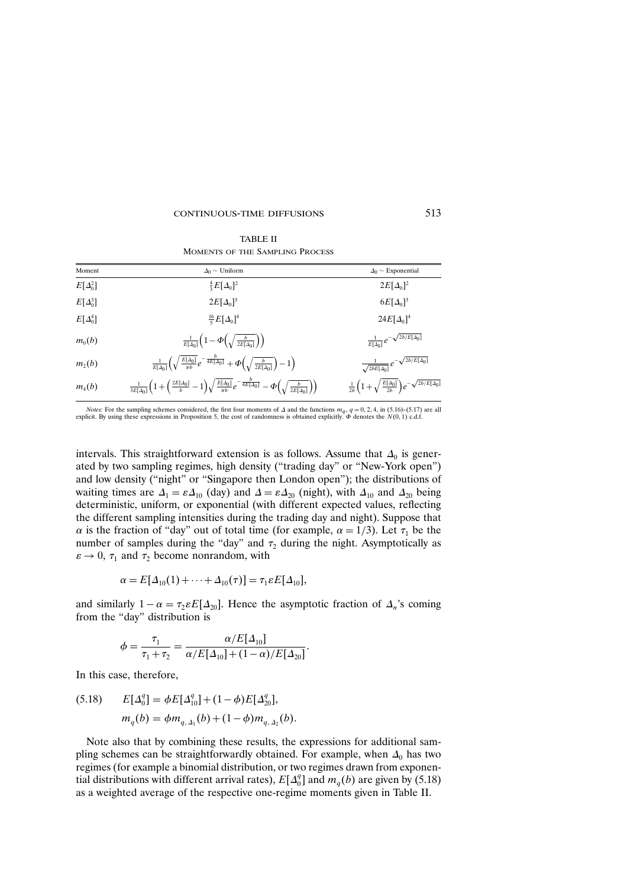| Moment          | $\Delta_0 \sim$ Uniform                                                                                                                              | $\Delta_0 \sim$ Exponential                                                                |
|-----------------|------------------------------------------------------------------------------------------------------------------------------------------------------|--------------------------------------------------------------------------------------------|
| $E[\Delta_0^2]$ | $\frac{4}{3}E[\Delta_0]^2$                                                                                                                           | $2E[\Delta_0]^2$                                                                           |
| $E[\Delta_0^3]$ | $2E[\Delta_0]^3$                                                                                                                                     | $6E[\Delta_0]^3$                                                                           |
| $E[\Delta_0^4]$ | $\frac{16}{5}E[\Delta_0]^4$                                                                                                                          | $24E[\Delta_0]^4$                                                                          |
| $m_0(b)$        | $\frac{1}{E[\Delta_0]} \left(1 - \Phi\left(\sqrt{\frac{b}{2E[\Delta_0]}}\right)\right)$                                                              | $\frac{1}{E[\Delta_0]}e^{-\sqrt{2b/E[\Delta_0]}}$                                          |
| $m_2(b)$        | $\frac{1}{E[A_0]}\left(\sqrt{\frac{E[A_0]}{\pi b}}e^{-\frac{b}{4E[A_0]}} + \Phi\left(\sqrt{\frac{b}{2E[A_0]}}\right) - 1\right)$                     | $\frac{1}{\sqrt{2bE[A_0]}}e^{-\sqrt{2b/E[A_0]}}$                                           |
| $m_4(b)$        | $\frac{1}{3E[A_0]}\Big(1+\Big(\frac{2E[A_0]}{b}-1\Big)\sqrt{\frac{E[A_0]}{\pi b}}e^{-\frac{b}{4E[A_0]}}-\Phi\Big(\sqrt{\frac{b}{2E[A_0]}}\Big)\Big)$ | $\frac{1}{2b} \left( 1 + \sqrt{\frac{E[\Delta_0]}{2b}} \right) e^{-\sqrt{2b/E[\Delta_0]}}$ |

TABLE II MOMENTS OF THE SAMPLING PROCESS

*Notes:* For the sampling schemes considered, the first four moments of  $\Delta$  and the functions  $m_q$ ,  $q = 0, 2, 4$ , in (5.16)–(5.17) are all explicit. By using these expressions in Proposition 5, the cost of randomness is

intervals. This straightforward extension is as follows. Assume that  $\Delta_0$  is generated by two sampling regimes, high density ("trading day" or "New-York open") and low density ("night" or "Singapore then London open"); the distributions of waiting times are  $\Delta_1 = \varepsilon \Delta_{10}$  (day) and  $\Delta = \varepsilon \Delta_{20}$  (night), with  $\Delta_{10}$  and  $\Delta_{20}$  being deterministic, uniform, or exponential (with different expected values, reflecting the different sampling intensities during the trading day and night). Suppose that  $\alpha$  is the fraction of "day" out of total time (for example,  $\alpha = 1/3$ ). Let  $\tau_1$  be the number of samples during the "day" and  $\tau_2$  during the night. Asymptotically as  $\varepsilon \to 0$ ,  $\tau_1$  and  $\tau_2$  become nonrandom, with

$$
\alpha = E[\Delta_{10}(1) + \cdots + \Delta_{10}(\tau)] = \tau_1 \varepsilon E[\Delta_{10}],
$$

and similarly  $1 - \alpha = \tau_2 \varepsilon E[\Delta_{20}]$ . Hence the asymptotic fraction of  $\Delta_n$ 's coming from the "day" distribution is

$$
\phi = \frac{\tau_1}{\tau_1 + \tau_2} = \frac{\alpha/E[\Delta_{10}]}{\alpha/E[\Delta_{10}] + (1-\alpha)/E[\Delta_{20}]}.
$$

In this case, therefore,

(5.18) 
$$
E[\Delta_0^q] = \phi E[\Delta_{10}^q] + (1 - \phi)E[\Delta_{20}^q],
$$

$$
m_q(b) = \phi m_{q, \Delta_1}(b) + (1 - \phi) m_{q, \Delta_2}(b).
$$

Note also that by combining these results, the expressions for additional sampling schemes can be straightforwardly obtained. For example, when  $\Delta_0$  has two regimes (for example a binomial distribution, or two regimes drawn from exponential distributions with different arrival rates),  $E[\Delta_0^q]$  and  $m_q(b)$  are given by (5.18) as a weighted average of the respective one-regime moments given in Table II.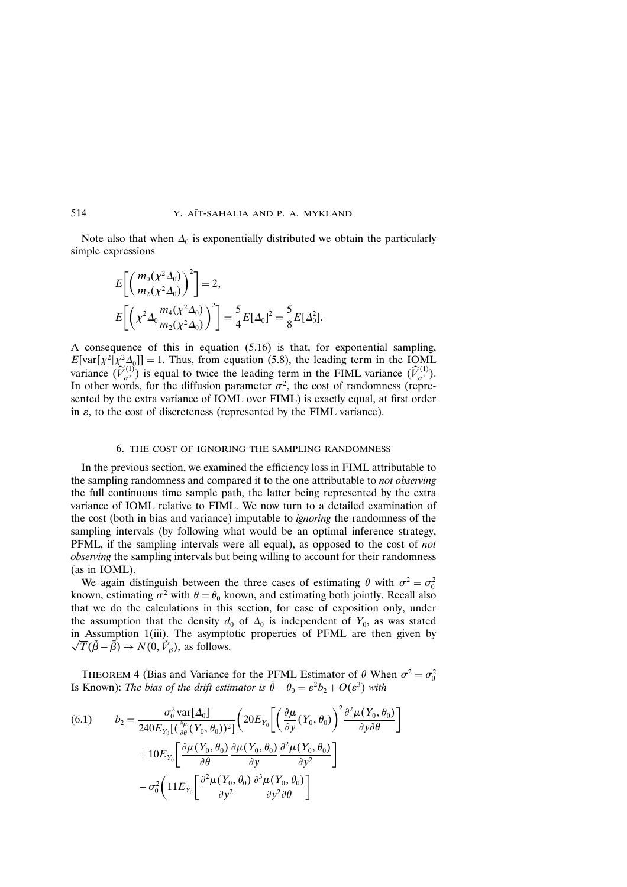Note also that when  $\Delta_0$  is exponentially distributed we obtain the particularly simple expressions

$$
E\bigg[\bigg(\frac{m_0(\chi^2 \Delta_0)}{m_2(\chi^2 \Delta_0)}\bigg)^2\bigg] = 2,
$$
  

$$
E\bigg[\bigg(\chi^2 \Delta_0 \frac{m_4(\chi^2 \Delta_0)}{m_2(\chi^2 \Delta_0)}\bigg)^2\bigg] = \frac{5}{4}E[\Delta_0]^2 = \frac{5}{8}E[\Delta_0^2].
$$

A consequence of this in equation  $(5.16)$  is that, for exponential sampling,  $E[var[\chi^2|\chi^2\Delta_0]] = 1$ . Thus, from equation (5.8), the leading term in the IOML variance  $(\widetilde{V}_{\sigma^2}^{(1)})$  is equal to twice the leading term in the FIML variance  $(\widehat{V}_{\sigma^2}^{(1)})$ . In other words, for the diffusion parameter  $\sigma^2$ , the cost of randomness (represented by the extra variance of IOML over FIML) is exactly equal, at first order in  $\varepsilon$ , to the cost of discreteness (represented by the FIML variance).

## 6. THE COST OF IGNORING THE SAMPLING RANDOMNESS

In the previous section, we examined the efficiency loss in FIML attributable to the sampling randomness and compared it to the one attributable to *not observing* the full continuous time sample path, the latter being represented by the extra variance of IOML relative to FIML. We now turn to a detailed examination of the cost (both in bias and variance) imputable to ignoring the randomness of the sampling intervals (by following what would be an optimal inference strategy, PFML, if the sampling intervals were all equal), as opposed to the cost of *not* observing the sampling intervals but being willing to account for their randomness (as in IOML).

We again distinguish between the three cases of estimating  $\theta$  with  $\sigma^2 = \sigma_0^2$ known, estimating  $\sigma^2$  with  $\theta = \theta_0$  known, and estimating both jointly. Recall also that we do the calculations in this section, for ease of exposition only, under the assumption that the density  $d_0$  of  $\Delta_0$  is independent of  $Y_0$ , as was stated in Assumption 1(iii). The asymptotic properties of PFML are then given by  $\sqrt{T}(\check{\beta}-\bar{\beta}) \rightarrow N(0,\check{V}_{\beta})$ , as follows.

THEOREM 4 (Bias and Variance for the PFML Estimator of  $\theta$  When  $\sigma^2 = \sigma_0^2$ Is Known): The bias of the drift estimator is  $\bar{\theta} - \theta_0 = \varepsilon^2 b_2 + O(\varepsilon^3)$  with

(6.1) 
$$
b_2 = \frac{\sigma_0^2 \operatorname{var}[\Delta_0]}{240 E_{Y_0} [(\frac{\partial \mu}{\partial \theta} (Y_0, \theta_0))^2]} \left( 20 E_{Y_0} \left[ \left( \frac{\partial \mu}{\partial y} (Y_0, \theta_0) \right)^2 \frac{\partial^2 \mu (Y_0, \theta_0)}{\partial y \partial \theta} \right] + 10 E_{Y_0} \left[ \frac{\partial \mu (Y_0, \theta_0)}{\partial \theta} \frac{\partial \mu (Y_0, \theta_0)}{\partial y} \frac{\partial^2 \mu (Y_0, \theta_0)}{\partial y^2} \right] - \sigma_0^2 \left( 11 E_{Y_0} \left[ \frac{\partial^2 \mu (Y_0, \theta_0)}{\partial y^2} \frac{\partial^3 \mu (Y_0, \theta_0)}{\partial y^2 \partial \theta} \right] \right)
$$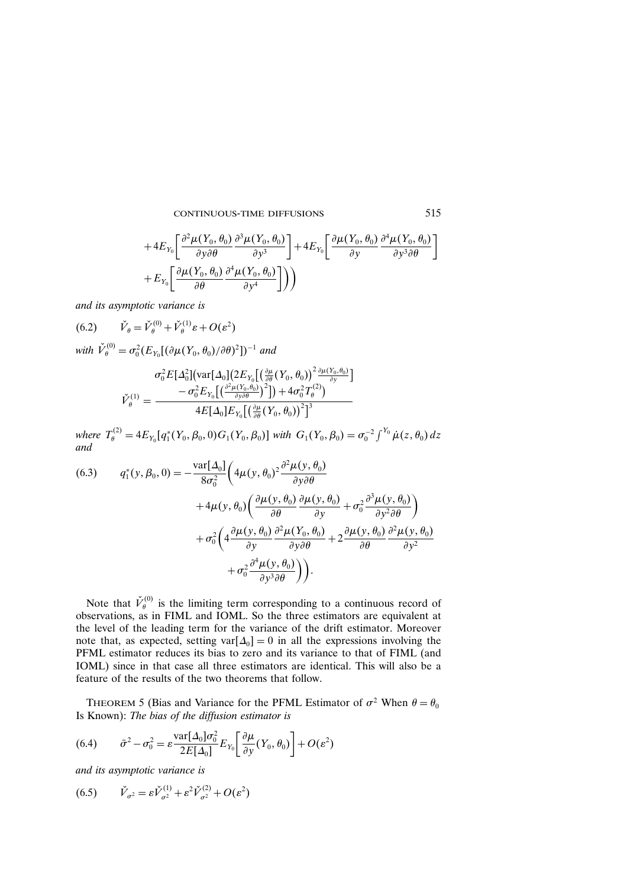$$
+4E_{Y_0}\left[\frac{\partial^2 \mu(Y_0, \theta_0)}{\partial y \partial \theta} \frac{\partial^3 \mu(Y_0, \theta_0)}{\partial y^3}\right]+4E_{Y_0}\left[\frac{\partial \mu(Y_0, \theta_0)}{\partial y} \frac{\partial^4 \mu(Y_0, \theta_0)}{\partial y^3 \partial \theta}\right] + E_{Y_0}\left[\frac{\partial \mu(Y_0, \theta_0)}{\partial \theta} \frac{\partial^4 \mu(Y_0, \theta_0)}{\partial y^4}\right]\right)
$$

and its asymptotic variance is

(6.2) 
$$
\check{V}_{\theta} = \check{V}_{\theta}^{(0)} + \check{V}_{\theta}^{(1)} \varepsilon + O(\varepsilon^2)
$$

with  $\check{V}_{\theta}^{(0)} = \sigma_0^2 (E_{Y_0}[(\partial \mu(Y_0, \theta_0)/\partial \theta)^2])^{-1}$  and

$$
\check{\boldsymbol{V}}^{(1)}_{\theta} = \frac{ \sigma^2_0 E[\varDelta^2_0] (\text{var}[\varDelta_0] (2E_{Y_0} \left[ \left(\frac{\partial \mu}{\partial \theta} (Y_0, \theta_0) \right)^2 \frac{\partial \mu(Y_0, \theta_0)}{\partial y} \right] }{ - \sigma^2_0 E_{Y_0} \left[ \left(\frac{\partial^2 \mu(Y_0, \theta_0)}{\partial y \partial \theta} \right)^2 \right] \right) + 4 \sigma^2_0 T^{(2)}_{\theta} ) } }{4E[\varDelta_0] E_{Y_0} \left[ \left(\frac{\partial \mu}{\partial \theta} (Y_0, \theta_0) \right)^2 \right]^3}
$$

where  $T_{\theta}^{(2)} = 4E_{Y_0}[q_1^*(Y_0, \beta_0, 0)G_1(Y_0, \beta_0)]$  with  $G_1(Y_0, \beta_0) = \sigma_0^{-2} \int_{Y_0}^{Y_0} \mu(z, \theta_0) dz$ and

(6.3) 
$$
q_1^*(y, \beta_0, 0) = -\frac{\text{var}[\Delta_0]}{8\sigma_0^2} \left( 4\mu(y, \theta_0)^2 \frac{\partial^2 \mu(y, \theta_0)}{\partial y \partial \theta} + 4\mu(y, \theta_0) \left( \frac{\partial \mu(y, \theta_0)}{\partial \theta} \frac{\partial \mu(y, \theta_0)}{\partial y} + \sigma_0^2 \frac{\partial^3 \mu(y, \theta_0)}{\partial y^2 \partial \theta} \right) + \sigma_0^2 \left( 4 \frac{\partial \mu(y, \theta_0)}{\partial y} \frac{\partial^2 \mu(Y_0, \theta_0)}{\partial y \partial \theta} + 2 \frac{\partial \mu(y, \theta_0)}{\partial \theta} \frac{\partial^2 \mu(y, \theta_0)}{\partial y^2} + \sigma_0^2 \frac{\partial^4 \mu(y, \theta_0)}{\partial y^3 \partial \theta} \right) \right).
$$

Note that  $\check{V}_{\theta}^{(0)}$  is the limiting term corresponding to a continuous record of observations, as in FIML and IOML. So the three estimators are equivalent at the level of the leading term for the variance of the drift estimator. Moreover note that, as expected, setting var $[\Delta_0] = 0$  in all the expressions involving the PFML estimator reduces its bias to zero and its variance to that of FIML (and IOML) since in that case all three estimators are identical. This will also be a feature of the results of the two theorems that follow.

THEOREM 5 (Bias and Variance for the PFML Estimator of  $\sigma^2$  When  $\theta = \theta_0$ Is Known): The bias of the diffusion estimator is

(6.4) 
$$
\bar{\sigma}^2 - \sigma_0^2 = \varepsilon \frac{\text{var}[\Delta_0] \sigma_0^2}{2E[\Delta_0]} E_{Y_0} \left[ \frac{\partial \mu}{\partial y} (Y_0, \theta_0) \right] + O(\varepsilon^2)
$$

and its asymptotic variance is

$$
(6.5) \qquad \check{V}_{\sigma^2} = \varepsilon \check{V}_{\sigma^2}^{(1)} + \varepsilon^2 \check{V}_{\sigma^2}^{(2)} + O(\varepsilon^2)
$$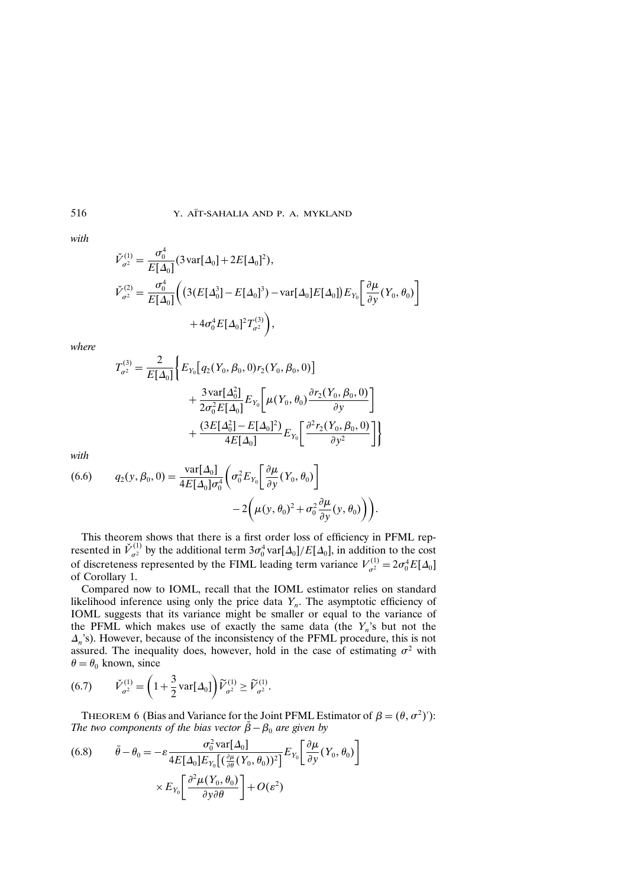with

$$
\check{V}_{\sigma^2}^{(1)} = \frac{\sigma_0^4}{E[\Delta_0]} (3 \text{var}[\Delta_0] + 2E[\Delta_0]^2),
$$
\n
$$
\check{V}_{\sigma^2}^{(2)} = \frac{\sigma_0^4}{E[\Delta_0]} \left( (3(E[\Delta_0^3] - E[\Delta_0]^3) - \text{var}[\Delta_0]E[\Delta_0]) E_{Y_0} \left[ \frac{\partial \mu}{\partial y} (Y_0, \theta_0) \right] + 4\sigma_0^4 E[\Delta_0]^2 T_{\sigma^2}^{(3)} \right),
$$

where

$$
T_{\sigma^2}^{(3)} = \frac{2}{E[\Delta_0]} \Biggl\{ E_{Y_0} \Biggl[ q_2(Y_0, \beta_0, 0) r_2(Y_0, \beta_0, 0) \Biggr] + \frac{3 \operatorname{var}[ \Delta_0^2 ]}{2 \sigma_0^2 E[\Delta_0]} E_{Y_0} \Biggl[ \mu(Y_0, \theta_0) \frac{\partial r_2(Y_0, \beta_0, 0)}{\partial y} \Biggr] + \frac{(3E[\Delta_0^2] - E[\Delta_0]^2)}{4E[\Delta_0]} E_{Y_0} \Biggl[ \frac{\partial^2 r_2(Y_0, \beta_0, 0)}{\partial y^2} \Biggr] \Biggr\}
$$

with

(6.6) 
$$
q_2(y, \beta_0, 0) = \frac{\text{var}[\Delta_0]}{4E[\Delta_0] \sigma_0^4} \left( \sigma_0^2 E_{Y_0} \left[ \frac{\partial \mu}{\partial y} (Y_0, \theta_0) \right] - 2 \left( \mu(y, \theta_0)^2 + \sigma_0^2 \frac{\partial \mu}{\partial y} (y, \theta_0) \right) \right).
$$

This theorem shows that there is a first order loss of efficiency in PFML represented in  $\check{V}_{\sigma^2}^{(1)}$  by the additional term  $3\sigma_0^4$  var $[\Delta_0]/E[\Delta_0]$ , in addition to the cost of discreteness represented by the FIML leading term variance  $V_{\sigma^2}^{(1)} = 2\sigma_0^4 E[\Delta_0]$ of Corollary 1.

Compared now to IOML, recall that the IOML estimator relies on standard likelihood inference using only the price data  $Y_n$ . The asymptotic efficiency of IOML suggests that its variance might be smaller or equal to the variance of the PFML which makes use of exactly the same data (the  $Y_n$ 's but not the  $\Delta_n$ 's). However, because of the inconsistency of the PFML procedure, this is not assured. The inequality does, however, hold in the case of estimating  $\sigma^2$  with  $\theta = \theta_0$  known, since

(6.7) 
$$
\check{V}_{\sigma^2}^{(1)} = \left(1 + \frac{3}{2} \text{var}[\Delta_0]\right) \widetilde{V}_{\sigma^2}^{(1)} \ge \widetilde{V}_{\sigma^2}^{(1)}.
$$

THEOREM 6 (Bias and Variance for the Joint PFML Estimator of  $\beta = (\theta, \sigma^2)'$ ): The two components of the bias vector  $\bar{\beta} - \beta_0$  are given by

(6.8) 
$$
\bar{\theta} - \theta_0 = -\varepsilon \frac{\sigma_0^2 \operatorname{var}[\Delta_0]}{4E[\Delta_0]E_{Y_0}[(\frac{\partial \mu}{\partial \theta}(Y_0, \theta_0))^2]} E_{Y_0} \left[\frac{\partial \mu}{\partial y}(Y_0, \theta_0)\right] \times E_{Y_0} \left[\frac{\partial^2 \mu(Y_0, \theta_0)}{\partial y \partial \theta}\right] + O(\varepsilon^2)
$$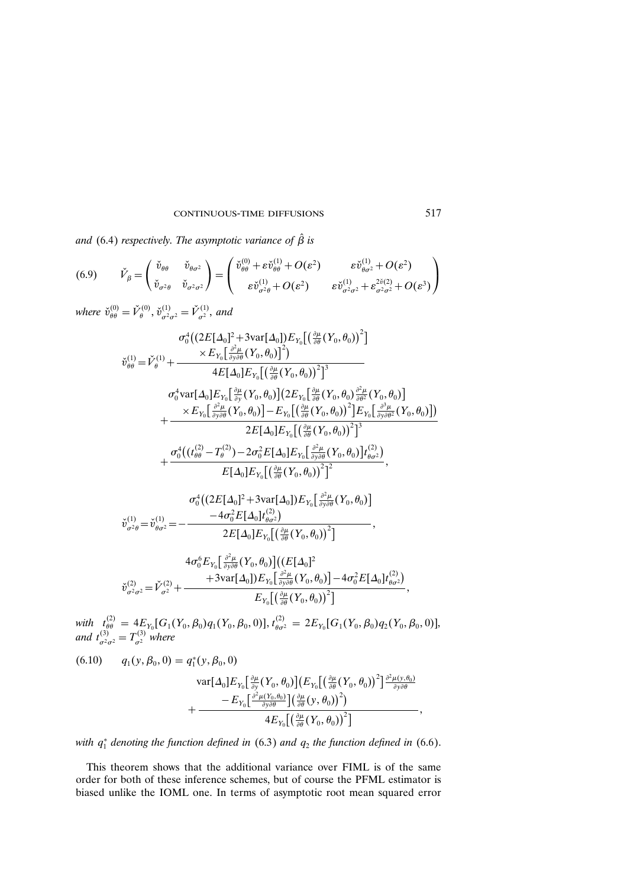and (6.4) respectively. The asymptotic variance of  $\hat{\beta}$  is

(6.9) 
$$
\check{V}_{\beta} = \begin{pmatrix} \check{v}_{\theta\theta} & \check{v}_{\theta\sigma^2} \\ \check{v}_{\sigma^2\theta} & \check{v}_{\sigma^2\sigma^2} \end{pmatrix} = \begin{pmatrix} \check{v}_{\theta\theta}^{(0)} + \varepsilon \check{v}_{\theta\theta}^{(1)} + O(\varepsilon^2) & \varepsilon \check{v}_{\theta\sigma^2}^{(1)} + O(\varepsilon^2) \\ \varepsilon \check{v}_{\sigma^2\theta}^{(1)} + O(\varepsilon^2) & \varepsilon \check{v}_{\sigma^2\sigma^2}^{(1)} + \varepsilon \check{v}_{\sigma^2\sigma^2}^{(2)} + O(\varepsilon^3) \end{pmatrix}
$$

where  $\check{v}_{\theta\theta}^{(0)} = \check{V}_{\theta}^{(0)}, \check{v}_{\sigma^2\theta}^{(1)}$  $\check{\sigma}_{\sigma^2\sigma^2}^{(1)} = \check{V}_{\sigma^2}^{(1)},$  and

$$
\sigma_0^4 \left( (2E[\Delta_0]^2 + 3 \text{var}[\Delta_0]) E_{Y_0} \left[ \left( \frac{\partial \mu}{\partial \theta} (Y_0, \theta_0) \right)^2 \right] \n\check{v}_{\theta\theta}^{(1)} = \check{V}_{\theta}^{(1)} + \frac{\times E_{Y_0} \left[ \frac{\partial^2 \mu}{\partial y \partial \theta} (Y_0, \theta_0) \right]^2)}{4E[\Delta_0] E_{Y_0} \left[ \left( \frac{\partial \mu}{\partial \theta} (Y_0, \theta_0) \right)^2 \right]^3} \n\sigma_0^4 \text{var}[\Delta_0] E_{Y_0} \left[ \frac{\partial \mu}{\partial y} (Y_0, \theta_0) \right] \left( 2E_{Y_0} \left[ \frac{\partial \mu}{\partial \theta} (Y_0, \theta_0) \frac{\partial^2 \mu}{\partial \theta^2} (Y_0, \theta_0) \right] \right. \n+ \frac{\times E_{Y_0} \left[ \frac{\partial^2 \mu}{\partial y \partial \theta} (Y_0, \theta_0) \right] - E_{Y_0} \left[ \left( \frac{\partial \mu}{\partial \theta} (Y_0, \theta_0) \right)^2 \right] E_{Y_0} \left[ \frac{\partial^3 \mu}{\partial y \partial \theta^2} (Y_0, \theta_0) \right]}{2E[\Delta_0] E_{Y_0} \left[ \left( \frac{\partial \mu}{\partial \theta} (Y_0, \theta_0) \right)^2 \right]^3} \n+ \frac{\sigma_0^4 \left( (t_{\theta\theta}^{(2)} - T_{\theta}^{(2)}) - 2\sigma_0^2 E[\Delta_0] E_{Y_0} \left[ \frac{\partial^2 \mu}{\partial y \partial \theta} (Y_0, \theta_0) \right] t_{\theta\sigma^2}^{(2)} \right)}{E[\Delta_0] E_{Y_0} \left[ \left( \frac{\partial \mu}{\partial \theta} (Y_0, \theta_0) \right)^2 \right]^2},
$$

$$
\check{\upsilon}^{(1)}_{\sigma^2 \theta} = \check{\upsilon}^{(1)}_{\theta \sigma^2} = - \frac{-4 \sigma_0^2 E[\Delta_0] t^{(2)}_{\theta \sigma^2}]}{2E[\Delta_0] E_{Y_0} \left[ \frac{\partial^2 \mu}{\partial y \partial \theta} (Y_0, \theta_0) \right]},
$$

$$
4\sigma_0^6 E_{Y_0} \left[ \frac{\partial^2 \mu}{\partial y \partial \theta} (Y_0, \theta_0) \right] \left( (E[\Delta_0]^2 - 4\sigma_0^2 E[\Delta_0] t_{\theta \sigma^2}^{(2)} \right. \\ \left. \right. \\ \left. \right. \\ \left. \frac{\partial^2 \mu}{\partial y \partial \theta} (Y_0, \theta_0) \right] - 4\sigma_0^2 E[\Delta_0] t_{\theta \sigma^2}^{(2)} \left. \right) \\ \left. \frac{\partial^2 \mu}{\partial y \partial \theta} (Y_0, \theta_0) \right]^2 \left] \right. \\ \left. \frac{E_{Y_0} \left[ \left( \frac{\partial \mu}{\partial \theta} (Y_0, \theta_0) \right)^2 \right]}{E_{Y_0} \left[ \left( \frac{\partial \mu}{\partial \theta} (Y_0, \theta_0) \right)^2 \right]} \right],
$$

with  $t_{\theta\theta}^{(2)} = 4E_{Y_0}[G_1(Y_0,\beta_0)q_1(Y_0,\beta_0,0)], t_{\theta\sigma^2}^{(2)} = 2E_{Y_0}[G_1(Y_0,\beta_0)q_2(Y_0,\beta_0,0)],$ and  $t_{\sigma^2}^{(3)}$  $\sigma_{\sigma^2 \sigma^2}^{(3)} = T_{\sigma^2}^{(3)}$  where

(6.10) 
$$
q_{1}(y, \beta_{0}, 0) = q_{1}^{*}(y, \beta_{0}, 0)
$$

$$
\text{var}[\Delta_{0}]E_{Y_{0}}\left[\frac{\partial \mu}{\partial y}(Y_{0}, \theta_{0})\right](E_{Y_{0}}\left[\left(\frac{\partial \mu}{\partial \theta}(Y_{0}, \theta_{0})\right)^{2}\right]\frac{\partial^{2} \mu(y, \theta_{0})}{\partial y \partial \theta}}{-E_{Y_{0}}\left[\frac{\partial^{2} \mu(Y_{0}, \theta_{0})}{\partial y \partial \theta}\right]\left(\frac{\partial \mu}{\partial \theta}(y, \theta_{0})\right)^{2}\right]} + \frac{4E_{Y_{0}}\left[\left(\frac{\partial \mu}{\partial \theta}(Y_{0}, \theta_{0})\right)^{2}\right]}{4E_{Y_{0}}\left[\left(\frac{\partial \mu}{\partial \theta}(Y_{0}, \theta_{0})\right)^{2}\right]},
$$

with  $q_1^*$  denoting the function defined in  $(6.3)$  and  $q_2$  the function defined in  $(6.6)$ .

This theorem shows that the additional variance over FIML is of the same order for both of these inference schemes, but of course the PFML estimator is biased unlike the IOML one. In terms of asymptotic root mean squared error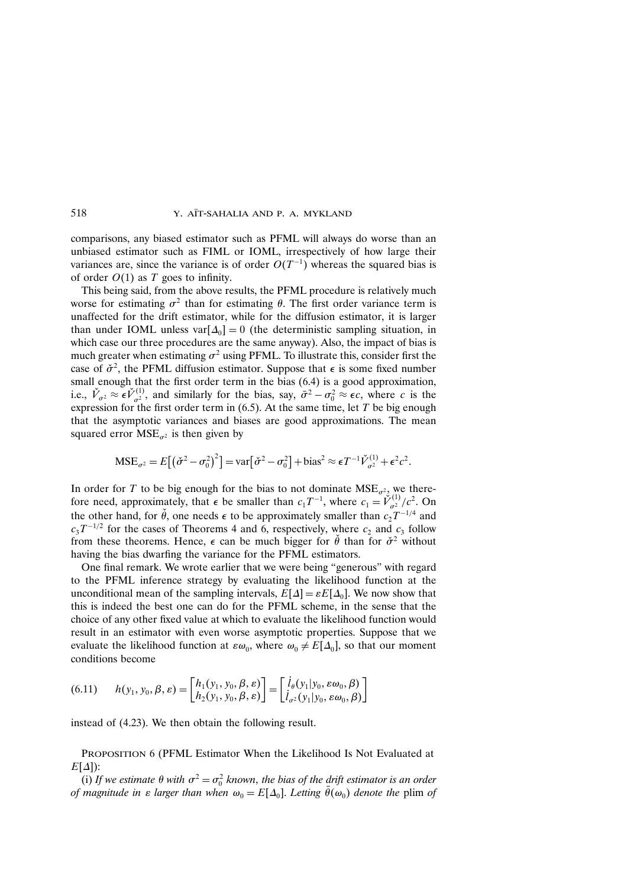comparisons, any biased estimator such as PFML will always do worse than an unbiased estimator such as FIML or IOML, irrespectively of how large their variances are, since the variance is of order  $O(T^{-1})$  whereas the squared bias is of order  $O(1)$  as T goes to infinity.

This being said, from the above results, the PFML procedure is relatively much worse for estimating  $\sigma^2$  than for estimating  $\theta$ . The first order variance term is unaffected for the drift estimator, while for the diffusion estimator, it is larger than under IOML unless var $[\Delta_0] = 0$  (the deterministic sampling situation, in which case our three procedures are the same anyway). Also, the impact of bias is much greater when estimating  $\sigma^2$  using PFML. To illustrate this, consider first the case of  $\check{\sigma}^2$ , the PFML diffusion estimator. Suppose that  $\epsilon$  is some fixed number small enough that the first order term in the bias (6.4) is a good approximation, i.e.,  $\check{V}_{\sigma^2} \approx \epsilon \check{V}_{\sigma^2}^{(1)}$ , and similarly for the bias, say,  $\bar{\sigma}^2 - \sigma_0^2 \approx \epsilon c$ , where c is the expression for the first order term in  $(6.5)$ . At the same time, let T be big enough that the asymptotic variances and biases are good approximations. The mean squared error  $MSE_{\sigma^2}$  is then given by

$$
MSE_{\sigma^2} = E[(\check{\sigma}^2 - \sigma_0^2)^2] = \text{var}[\check{\sigma}^2 - \sigma_0^2] + \text{bias}^2 \approx \epsilon T^{-1} \check{V}_{\sigma^2}^{(1)} + \epsilon^2 c^2.
$$

In order for T to be big enough for the bias to not dominate  $MSE_{\sigma^2}$ , we therefore need, approximately, that  $\epsilon$  be smaller than  $c_1T^{-1}$ , where  $c_1 = \check{V}_{\sigma^2}^{(1)}/c^2$ . On the other hand, for  $\check{\theta}$ , one needs  $\epsilon$  to be approximately smaller than  $c_2T^{-1/4}$  and  $c_3T^{-1/2}$  for the cases of Theorems 4 and 6, respectively, where  $c_2$  and  $c_3$  follow from these theorems. Hence,  $\epsilon$  can be much bigger for  $\dot{\theta}$  than for  $\dot{\sigma}^2$  without having the bias dwarfing the variance for the PFML estimators.

One final remark. We wrote earlier that we were being "generous" with regard to the PFML inference strategy by evaluating the likelihood function at the unconditional mean of the sampling intervals,  $E[\Delta] = \varepsilon E[\Delta_0]$ . We now show that this is indeed the best one can do for the PFML scheme, in the sense that the choice of any other fixed value at which to evaluate the likelihood function would result in an estimator with even worse asymptotic properties. Suppose that we evaluate the likelihood function at  $\varepsilon \omega_0$ , where  $\omega_0 \neq E[\Delta_0]$ , so that our moment conditions become

$$
(6.11) \qquad h(y_1, y_0, \beta, \varepsilon) = \begin{bmatrix} h_1(y_1, y_0, \beta, \varepsilon) \\ h_2(y_1, y_0, \beta, \varepsilon) \end{bmatrix} = \begin{bmatrix} i_\theta(y_1|y_0, \varepsilon \omega_0, \beta) \\ i_{\sigma^2}(y_1|y_0, \varepsilon \omega_0, \beta) \end{bmatrix}
$$

instead of (4.23). We then obtain the following result.

Proposition 6 (PFML Estimator When the Likelihood Is Not Evaluated at  $E[\Delta]$ :

(i) If we estimate  $\theta$  with  $\sigma^2 = \sigma_0^2$  known, the bias of the drift estimator is an order of magnitude in  $\varepsilon$  larger than when  $\omega_0 = E[\Delta_0]$ . Letting  $\bar{\theta}(\omega_0)$  denote the plim of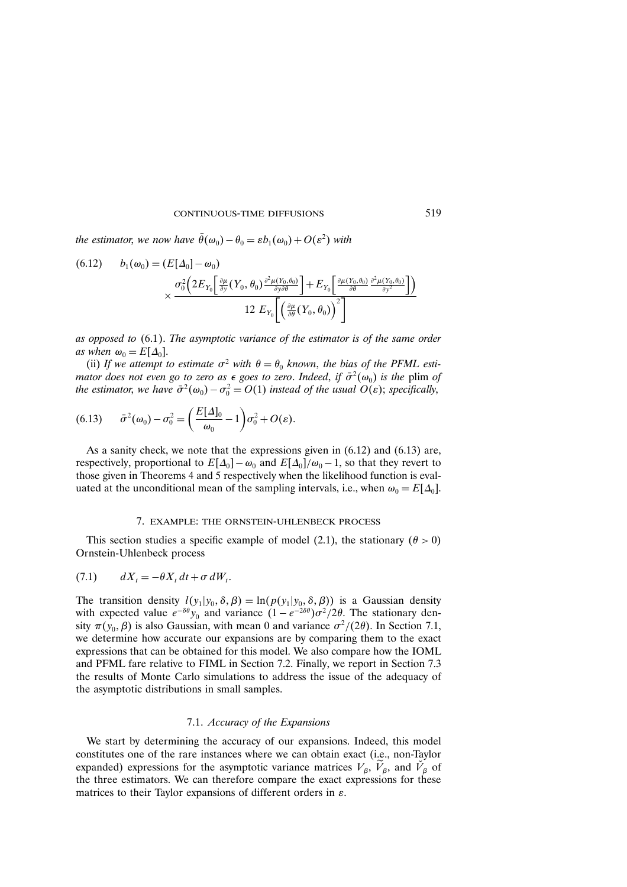the estimator, we now have  $\bar{\theta}(\omega_0) - \theta_0 = \varepsilon b_1(\omega_0) + O(\varepsilon^2)$  with

(6.12) 
$$
b_1(\omega_0) = (E[\Delta_0] - \omega_0)
$$

$$
\times \frac{\sigma_0^2 \left(2E_{Y_0} \left[\frac{\partial \mu}{\partial y}(Y_0, \theta_0) \frac{\partial^2 \mu(Y_0, \theta_0)}{\partial y \partial \theta}\right] + E_{Y_0} \left[\frac{\partial \mu(Y_0, \theta_0)}{\partial \theta} \frac{\partial^2 \mu(Y_0, \theta_0)}{\partial y^2}\right]\right)}{12 E_{Y_0} \left[\left(\frac{\partial \mu}{\partial \theta}(Y_0, \theta_0)\right)^2\right]}
$$

as opposed to (6.1). The asymptotic variance of the estimator is of the same order as when  $\omega_0 = E[\Delta_0]$ .

(ii) If we attempt to estimate  $\sigma^2$  with  $\theta = \theta_0$  known, the bias of the PFML estimator does not even go to zero as  $\epsilon$  goes to zero. Indeed, if  $\bar{\sigma}^2(\omega_0)$  is the plim of the estimator, we have  $\bar{\sigma}^2(\omega_0) - \sigma_0^2 = O(1)$  instead of the usual  $O(\varepsilon)$ ; specifically,

(6.13) 
$$
\bar{\sigma}^2(\omega_0) - \sigma_0^2 = \left(\frac{E[\Delta]_0}{\omega_0} - 1\right) \sigma_0^2 + O(\varepsilon).
$$

As a sanity check, we note that the expressions given in (6.12) and (6.13) are, respectively, proportional to  $E[\Delta_0] - \omega_0$  and  $E[\Delta_0] / \omega_0 - 1$ , so that they revert to those given in Theorems 4 and 5 respectively when the likelihood function is evaluated at the unconditional mean of the sampling intervals, i.e., when  $\omega_0 = E[\Delta_0]$ .

#### 7 example: the ornstein-uhlenbeck process

This section studies a specific example of model (2.1), the stationary  $(\theta > 0)$ Ornstein-Uhlenbeck process

$$
(7.1) \t dX_t = -\theta X_t dt + \sigma dW_t.
$$

The transition density  $l(y_1|y_0, \delta, \beta) = \ln(p(y_1|y_0, \delta, \beta))$  is a Gaussian density with expected value  $e^{-\delta\theta}y_0$  and variance  $(1 - e^{-2\delta\theta})\sigma^2/2\theta$ . The stationary density  $\pi(y_0, \beta)$  is also Gaussian, with mean 0 and variance  $\sigma^2/(2\theta)$ . In Section 7.1, we determine how accurate our expansions are by comparing them to the exact expressions that can be obtained for this model. We also compare how the IOML and PFML fare relative to FIML in Section 7.2. Finally, we report in Section 7.3 the results of Monte Carlo simulations to address the issue of the adequacy of the asymptotic distributions in small samples.

## 7.1. Accuracy of the Expansions

We start by determining the accuracy of our expansions. Indeed, this model constitutes one of the rare instances where we can obtain exact (i.e., non-Taylor expanded) expressions for the asymptotic variance matrices  $V_\beta$ ,  $V_\beta$ , and  $V_\beta$  of the three estimators. We can therefore compare the exact expressions for these matrices to their Taylor expansions of different orders in  $\varepsilon$ .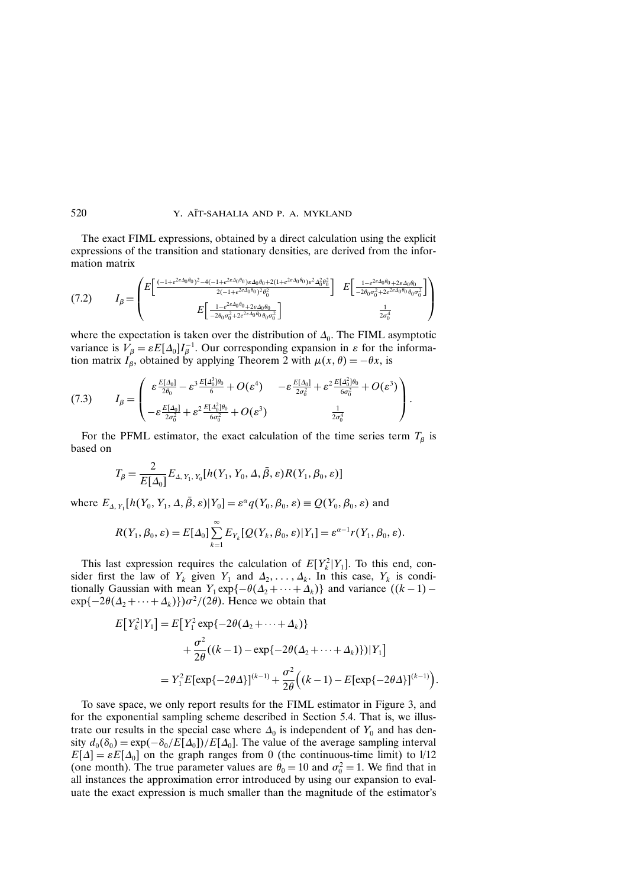The exact FIML expressions, obtained by a direct calculation using the explicit expressions of the transition and stationary densities, are derived from the information matrix

$$
(7.2) \qquad I_{\beta} = \begin{pmatrix} E\left[\frac{(-1+e^{2\varepsilon\Delta_{0}\theta_{0}})^{2}-4(-1+e^{2\varepsilon\Delta_{0}\theta_{0}})\varepsilon\Delta_{0}\theta_{0}+2(1+e^{2\varepsilon\Delta_{0}\theta_{0}})\varepsilon^{2}\Delta_{0}^{2}\theta_{0}^{2}}{2(-1+e^{2\varepsilon\Delta_{0}\theta_{0}})^{2}\theta_{0}^{2}}\right] & E\left[\frac{1-e^{2\varepsilon\Delta_{0}\theta_{0}}+2\varepsilon\Delta_{0}\theta_{0}}{-2\theta_{0}\sigma_{0}^{2}+2e^{2\varepsilon\Delta_{0}\theta_{0}}\theta_{0}\sigma_{0}^{2}}\right] \\ E\left[\frac{1-e^{2\varepsilon\Delta_{0}\theta_{0}}+2\varepsilon\Delta_{0}\theta_{0}}{2\theta_{0}^{2}+2e^{2\varepsilon\Delta_{0}\theta_{0}}\theta_{0}\sigma_{0}^{2}}\right] & \frac{1}{2\sigma_{0}^{4}} \end{pmatrix}
$$

where the expectation is taken over the distribution of  $\Delta_0$ . The FIML asymptotic variance is  $V_{\beta} = \varepsilon E[\Delta_0]I_{\beta}^{-1}$ . Our corresponding expansion in  $\varepsilon$  for the information matrix  $I_{\beta}$ , obtained by applying Theorem 2 with  $\mu(x, \theta) = -\theta x$ , is

$$
(7.3) \qquad I_{\beta} = \begin{pmatrix} \varepsilon \frac{E[\Delta_0]}{2\theta_0} - \varepsilon^3 \frac{E[\Delta_0^3] \theta_0}{6} + O(\varepsilon^4) & -\varepsilon \frac{E[\Delta_0]}{2\sigma_0^2} + \varepsilon^2 \frac{E[\Delta_0^2] \theta_0}{6\sigma_0^2} + O(\varepsilon^3) \\ -\varepsilon \frac{E[\Delta_0]}{2\sigma_0^2} + \varepsilon^2 \frac{E[\Delta_0^2] \theta_0}{6\sigma_0^2} + O(\varepsilon^3) & \frac{1}{2\sigma_0^4} \end{pmatrix}.
$$

For the PFML estimator, the exact calculation of the time series term  $T<sub>g</sub>$  is based on

$$
T_{\beta} = \frac{2}{E[\Delta_0]} E_{\Delta, Y_1, Y_0}[h(Y_1, Y_0, \Delta, \bar{\beta}, \varepsilon)R(Y_1, \beta_0, \varepsilon)]
$$

where  $E_{\Delta, Y_1}[h(Y_0, Y_1, \Delta, \bar{\beta}, \varepsilon)|Y_0] = \varepsilon^{\alpha} q(Y_0, \beta_0, \varepsilon) \equiv Q(Y_0, \beta_0, \varepsilon)$  and

$$
R(Y_1,\beta_0,\varepsilon)=E[\Delta_0]\sum_{k=1}^{\infty}E_{Y_k}[Q(Y_k,\beta_0,\varepsilon)|Y_1]=\varepsilon^{\alpha-1}r(Y_1,\beta_0,\varepsilon).
$$

This last expression requires the calculation of  $E[Y_k^2|Y_1]$ . To this end, consider first the law of  $Y_k$  given  $Y_1$  and  $\Delta_2, \ldots, \Delta_k$ . In this case,  $Y_k$  is conditionally Gaussian with mean  $Y_1 \exp\{-\theta(\Delta_2 + \cdots + \Delta_k)\}\$ and variance  $((k-1) \exp\{-2\theta(\Delta_2 + \cdots + \Delta_k)\}\sigma^2/(2\theta)$ . Hence we obtain that

$$
E[Y_k^2|Y_1] = E[Y_1^2 \exp\{-2\theta(\Delta_2 + \dots + \Delta_k)\}\
$$
  
+ 
$$
\frac{\sigma^2}{2\theta}((k-1) - \exp\{-2\theta(\Delta_2 + \dots + \Delta_k)\})|Y_1]
$$
  
= 
$$
Y_1^2 E[\exp\{-2\theta\Delta\}]^{(k-1)} + \frac{\sigma^2}{2\theta}((k-1) - E[\exp\{-2\theta\Delta\}]^{(k-1)}).
$$

To save space, we only report results for the FIML estimator in Figure 3, and for the exponential sampling scheme described in Section 5.4. That is, we illustrate our results in the special case where  $\Delta_0$  is independent of  $Y_0$  and has density  $d_0(\delta_0) = \exp(-\delta_0/E[\Delta_0])/E[\Delta_0]$ . The value of the average sampling interval  $E[\Delta] = \varepsilon E[\Delta_0]$  on the graph ranges from 0 (the continuous-time limit) to l/12 (one month). The true parameter values are  $\theta_0 = 10$  and  $\sigma_0^2 = 1$ . We find that in all instances the approximation error introduced by using our expansion to evaluate the exact expression is much smaller than the magnitude of the estimator's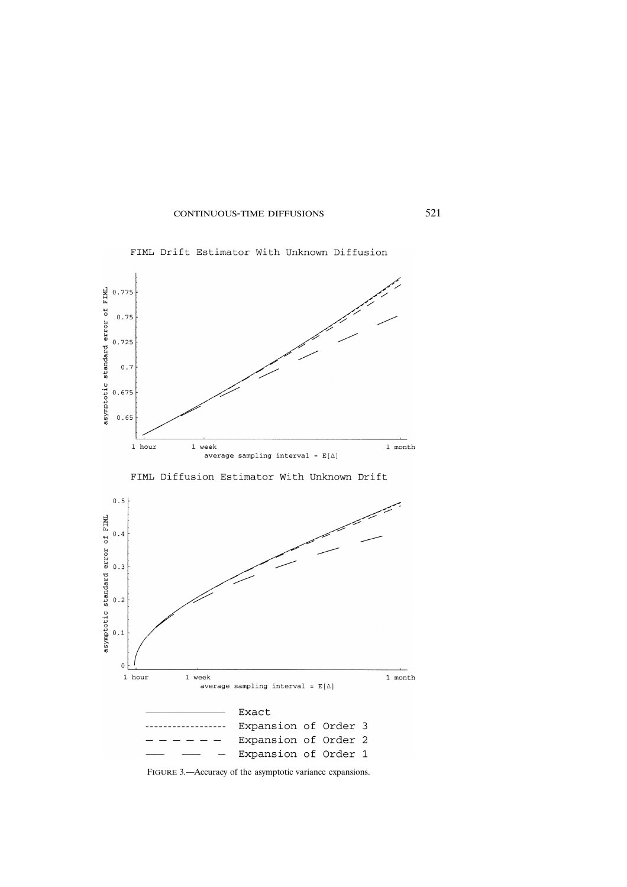

FIML Drift Estimator With Unknown Diffusion

FIGURE 3.—Accuracy of the asymptotic variance expansions.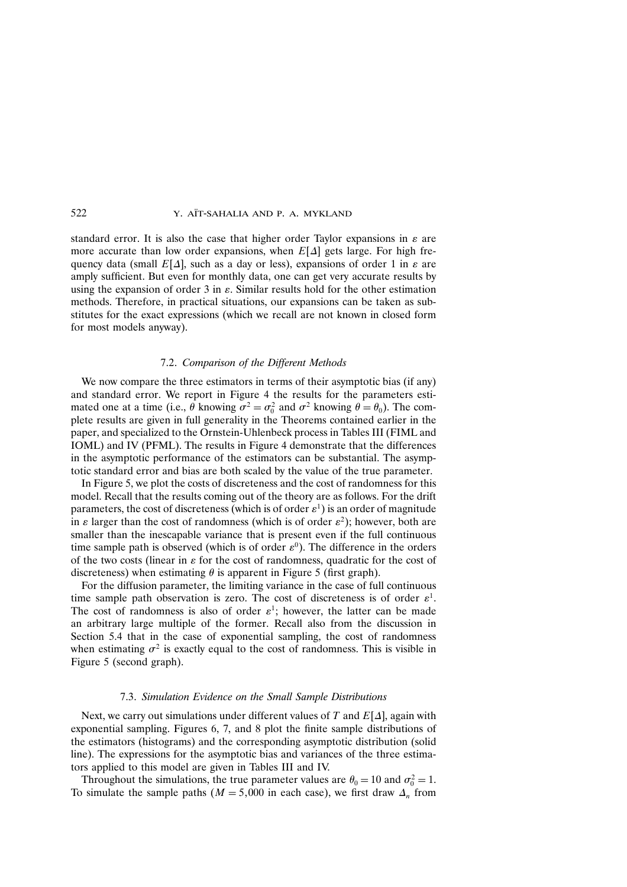standard error. It is also the case that higher order Taylor expansions in  $\varepsilon$  are more accurate than low order expansions, when  $E[\Delta]$  gets large. For high frequency data (small  $E[\Delta]$ , such as a day or less), expansions of order 1 in  $\varepsilon$  are amply sufficient. But even for monthly data, one can get very accurate results by using the expansion of order  $3$  in  $\varepsilon$ . Similar results hold for the other estimation methods. Therefore, in practical situations, our expansions can be taken as substitutes for the exact expressions (which we recall are not known in closed form for most models anyway).

# 7.2. Comparison of the Different Methods

We now compare the three estimators in terms of their asymptotic bias (if any) and standard error. We report in Figure 4 the results for the parameters estimated one at a time (i.e.,  $\theta$  knowing  $\sigma^2 = \sigma_0^2$  and  $\sigma^2$  knowing  $\theta = \theta_0$ ). The complete results are given in full generality in the Theorems contained earlier in the paper, and specialized to the Ornstein-Uhlenbeck process in Tables III (FIML and IOML) and IV (PFML). The results in Figure 4 demonstrate that the differences in the asymptotic performance of the estimators can be substantial. The asymptotic standard error and bias are both scaled by the value of the true parameter.

In Figure 5, we plot the costs of discreteness and the cost of randomness for this model. Recall that the results coming out of the theory are as follows. For the drift parameters, the cost of discreteness (which is of order  $\varepsilon^1$ ) is an order of magnitude in  $\varepsilon$  larger than the cost of randomness (which is of order  $\varepsilon^2$ ); however, both are smaller than the inescapable variance that is present even if the full continuous time sample path is observed (which is of order  $\varepsilon^0$ ). The difference in the orders of the two costs (linear in  $\varepsilon$  for the cost of randomness, quadratic for the cost of discreteness) when estimating  $\theta$  is apparent in Figure 5 (first graph).

For the diffusion parameter, the limiting variance in the case of full continuous time sample path observation is zero. The cost of discreteness is of order  $\varepsilon^1$ . The cost of randomness is also of order  $\varepsilon^1$ ; however, the latter can be made an arbitrary large multiple of the former. Recall also from the discussion in Section 5.4 that in the case of exponential sampling, the cost of randomness when estimating  $\sigma^2$  is exactly equal to the cost of randomness. This is visible in Figure 5 (second graph).

#### 73 Simulation Evidence on the Small Sample Distributions

Next, we carry out simulations under different values of T and  $E[\Delta]$ , again with exponential sampling. Figures 6, 7, and 8 plot the finite sample distributions of the estimators (histograms) and the corresponding asymptotic distribution (solid line). The expressions for the asymptotic bias and variances of the three estimators applied to this model are given in Tables III and IV.

Throughout the simulations, the true parameter values are  $\theta_0 = 10$  and  $\sigma_0^2 = 1$ . To simulate the sample paths ( $M = 5,000$  in each case), we first draw  $\Delta_n$  from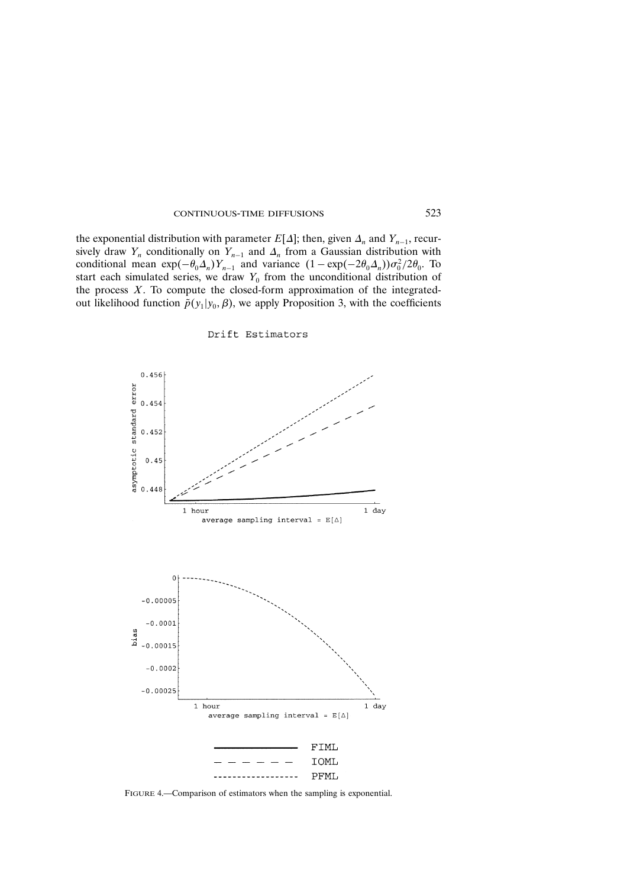the exponential distribution with parameter  $E[\Delta]$ ; then, given  $\Delta_n$  and  $Y_{n-1}$ , recursively draw  $Y_n$  conditionally on  $Y_{n-1}$  and  $\Delta_n$  from a Gaussian distribution with conditional mean  $exp(-\theta_0 \Delta_n) Y_{n-1}$  and variance  $(1 - exp(-2\theta_0 \Delta_n)) \sigma_0^2 / 2\theta_0$ . To start each simulated series, we draw  $Y_0$  from the unconditional distribution of the process  $X$ . To compute the closed-form approximation of the integratedout likelihood function  $\tilde{p}(y_1|y_0, \beta)$ , we apply Proposition 3, with the coefficients





FIGURE 4.—Comparison of estimators when the sampling is exponential.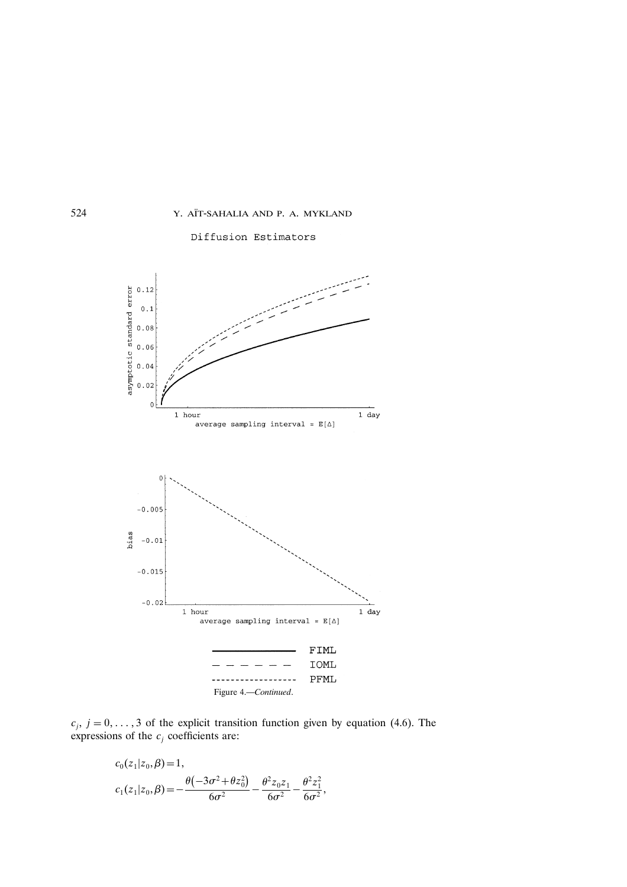# Diffusion Estimators



 $c_j$ ,  $j = 0, \ldots, 3$  of the explicit transition function given by equation (4.6). The expressions of the  $c_j$  coefficients are:

$$
c_0(z_1|z_0,\beta) = 1,
$$
  
\n
$$
c_1(z_1|z_0,\beta) = -\frac{\theta(-3\sigma^2 + \theta z_0^2)}{6\sigma^2} - \frac{\theta^2 z_0 z_1}{6\sigma^2} - \frac{\theta^2 z_1^2}{6\sigma^2},
$$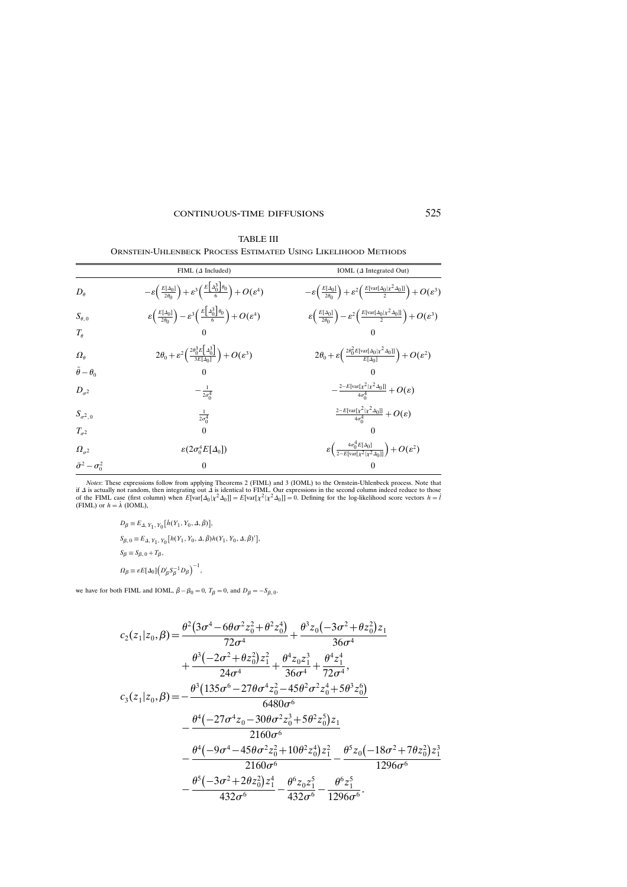|                                  | FIML $(\Delta$ Included)                                                                                                            | IOML (4 Integrated Out)                                                                                                                                                |
|----------------------------------|-------------------------------------------------------------------------------------------------------------------------------------|------------------------------------------------------------------------------------------------------------------------------------------------------------------------|
| $D_{\theta}$                     | $-\varepsilon\left(\frac{E[\Delta_0]}{2\theta_0}\right)+\varepsilon^3\left(\frac{E[\Delta_0^3]\theta_0}{6}\right)+O(\varepsilon^4)$ | $-\varepsilon\left(\frac{E[{\Delta_0}]}{2\theta_0}\right)+\varepsilon^2\left(\frac{E[{\rm var}({\Delta_0} \chi^2{\Delta_0})]}{2}\right)+O(\varepsilon^3)$              |
| $S_{\theta,0}$                   | $\varepsilon\left(\frac{E[\Delta_0]}{2\theta_0}\right)-\varepsilon^3\left(\frac{E[\Delta_0^3]\theta_0}{6}\right)+O(\varepsilon^4)$  | $\varepsilon\left(\frac{E[{\mathit 4}_0]}{2\theta_0}\right)-\varepsilon^2\left(\frac{E[{\text{var}}[{\mathit 4}_0] \chi^2 {\mathit 4}_0]]}{2}\right)+O(\varepsilon^3)$ |
| $T_{\theta}$                     |                                                                                                                                     | 0                                                                                                                                                                      |
| $\Omega_{\scriptscriptstyle{A}}$ | $2\theta_0 + \varepsilon^2 \Big(\frac{2\theta_0^3 E\big[\Delta_0^3\big]}{3E\big[\Delta_0\big]}\Big) + O(\varepsilon^3)$             | $2\theta_0 + \varepsilon \left( \frac{2\theta_0^2 E \left[ \mathrm{var}[\Delta_0] \chi^2 \Delta_0 \right] \right)}{E[\Delta_0]} \right) + O(\varepsilon^2)$            |
| $\bar{\theta} - \theta_0$        | $\theta$                                                                                                                            |                                                                                                                                                                        |
| $D_{\sigma^2}$                   | $-\frac{1}{2\sigma_0^4}$                                                                                                            | $-\frac{2-E[\text{var}[{\chi}^2 {\chi}^2\varDelta_0]]}{4\sigma_\alpha^4}+O(\varepsilon)$                                                                               |
| $S_{\sigma^2,0}$                 | $\frac{1}{2\sigma_0^4}$                                                                                                             | $\frac{2-E[\text{var}[\chi^2 \chi^2\mathit{\Delta}_0]]}{4\sigma_0^4}+O(\varepsilon)$                                                                                   |
| $T_{\sigma^2}$                   | $\Omega$                                                                                                                            | $\Omega$                                                                                                                                                               |
| $\Omega_{\sigma^2}$              | $\varepsilon(2\sigma_0^4 E[\Delta_0])$                                                                                              | $\varepsilon\left(\frac{4\sigma_0^4E[4_0]}{\frac{1}{2}\operatorname{Ffunct}_\omega^2\log^2(4_0\ln\epsilon)}\right)+O(\varepsilon^2)$                                   |
| $\bar{\sigma}^2 - \sigma_0^2$    | $\Omega$                                                                                                                            | $\Omega$                                                                                                                                                               |

| <b>TABLE III</b>                                              |  |
|---------------------------------------------------------------|--|
| ORNSTEIN-UHLENBECK PROCESS ESTIMATED USING LIKELIHOOD METHODS |  |

Notes: These expressions follow from applying Theorems 2 (FIML) and 3 (IOML) to the Ornstein-Uhlenbeck process. Note that if  $\Delta$  is actually not random, then integrating out  $\Delta$  is identical to FIML. Our expressions in the second column indeed reduce to those<br>of the FIML case (first column) when  $E[\text{var}[\Delta_0|\chi^2\Delta_0]] = E[\text{var}[\chi^2|\chi^2\Delta_0]] = 0$ (FIML) or  $h = \lambda$  (IOML),

> $D_{\beta} \equiv E_{\Delta, Y_1, Y_0} [h(Y_1, Y_0, \Delta, \beta)],$  $S_{\beta,0} \equiv E_{\Delta, Y_1, Y_0} [h(Y_1, Y_0, \Delta, \bar{\beta}) h(Y_1, Y_0, \Delta, \bar{\beta})']$ ,  $S_{\beta} \equiv S_{\beta, 0} + T_{\beta},$  $\Omega_{\beta} \equiv \varepsilon E[\Delta_0] \Big( D'_{\beta} S_{\beta}^{-1} D_{\beta} \Big)^{-1},$

we have for both FIML and IOML,  $\bar{\beta} - \beta_0 = 0$ ,  $T_{\beta} = 0$ , and  $D_{\beta} = -S_{\beta,0}$ .

$$
c_{2}(z_{1}|z_{0},\beta) = \frac{\theta^{2}(3\sigma^{4} - 6\theta\sigma^{2}z_{0}^{2} + \theta^{2}z_{0}^{4})}{72\sigma^{4}} + \frac{\theta^{3}z_{0}(-3\sigma^{2} + \theta z_{0}^{2})z_{1}}{36\sigma^{4}} + \frac{\theta^{3}(-2\sigma^{2} + \theta z_{0}^{2})z_{1}^{2}}{24\sigma^{4}} + \frac{\theta^{4}z_{0}z_{1}^{3}}{36\sigma^{4}} + \frac{\theta^{4}z_{1}^{4}}{72\sigma^{4}},
$$
  
\n
$$
c_{3}(z_{1}|z_{0},\beta) = -\frac{\theta^{3}(135\sigma^{6} - 27\theta\sigma^{4}z_{0}^{2} - 45\theta^{2}\sigma^{2}z_{0}^{4} + 5\theta^{3}z_{0}^{6})}{6480\sigma^{6}} - \frac{\theta^{4}(-27\sigma^{4}z_{0} - 30\theta\sigma^{2}z_{0}^{3} + 5\theta^{2}z_{0}^{5})z_{1}}{2160\sigma^{6}} - \frac{\theta^{4}(-9\sigma^{4} - 45\theta\sigma^{2}z_{0}^{2} + 10\theta^{2}z_{0}^{4})z_{1}^{2}}{2160\sigma^{6}} - \frac{\theta^{5}(-3\sigma^{2} + 2\theta z_{0}^{2})z_{1}^{4}}{432\sigma^{6}} - \frac{\theta^{6}z_{0}z_{1}^{5}}{432\sigma^{6}} - \frac{\theta^{6}z_{1}^{5}}{1296\sigma^{6}}.
$$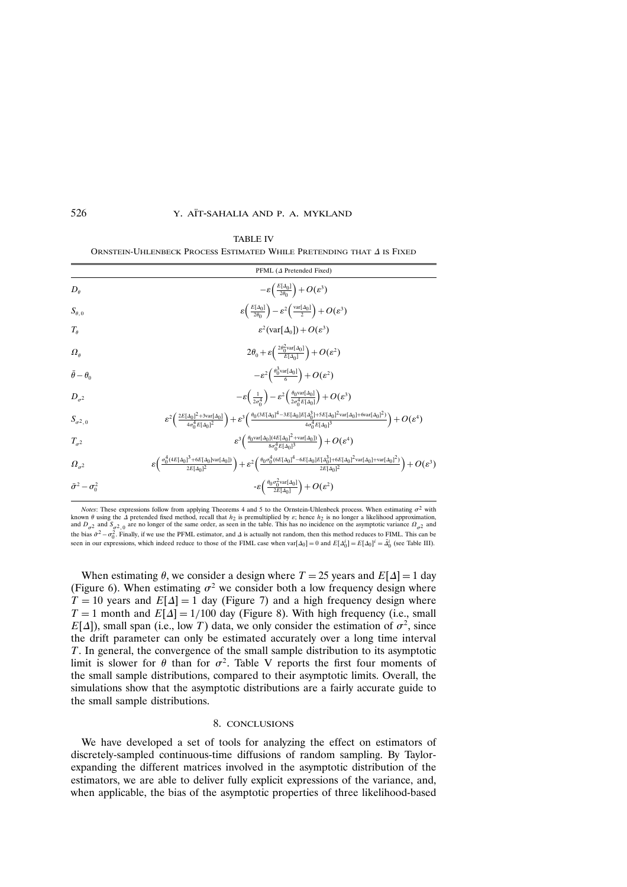| <b>TABLE IV</b>                                                                 |  |
|---------------------------------------------------------------------------------|--|
| Ornstein-Uhlenbeck Process Estimated While Pretending that $\varDelta$ is Fixed |  |

|                             | PFML (4 Pretended Fixed)                                                                                                                                                                                                                   |  |  |
|-----------------------------|--------------------------------------------------------------------------------------------------------------------------------------------------------------------------------------------------------------------------------------------|--|--|
| $D_{\theta}$                | $-\varepsilon\left(\frac{E[{\cal A}_0]}{2\theta_0}\right)+O(\varepsilon^3)$                                                                                                                                                                |  |  |
| $S_{\theta,0}$              | $\varepsilon\left(\frac{E[\Delta_0]}{\gamma_{\theta_0}}\right)-\varepsilon^2\left(\frac{\text{var}[\Delta_0]}{2}\right)+O(\varepsilon^3)$                                                                                                  |  |  |
| $T_{\theta}$                | $\varepsilon^2$ (var[ $\Delta_0$ ]) + $O(\varepsilon^3)$                                                                                                                                                                                   |  |  |
| $\Omega_{\theta}$           | $2\theta_0 + \varepsilon \left( \frac{2\theta_0^2 \text{var}[\Delta_0]}{F[\Delta_0]} \right) + O(\varepsilon^2)$                                                                                                                           |  |  |
| $\bar{\theta} - \theta_0$   | $-\varepsilon^2\left(\frac{\theta_0^3\text{var}[\Delta_0]}{6}\right) + O(\varepsilon^2)$                                                                                                                                                   |  |  |
| $D_{\sigma^2}$              | $-\varepsilon\left(\frac{1}{2\sigma^4}\right)-\varepsilon^2\left(\frac{\theta_0\text{var}[\Delta_0]}{2\sigma^4\mathcal{E}[\Delta_0]}\right)+O(\varepsilon^3)$                                                                              |  |  |
| $S_{\sigma^2,0}$            | $\epsilon^2\Big(\frac{2E[4_0]^2+3\text{var}[4_0]}{4\pi^4E[4_0]^2}\Big)+\epsilon^3\Big(\frac{\theta_0(3E[4_0]^4-3E[4_0]E[4_0^3]+5E[4_0]^2\text{var}[4_0]+\text{forar}[4_0]^2)}{4\pi^4E[4_0]^3}\Big)+O(\epsilon^4)$                          |  |  |
| $T_{\sigma^2}$              | $\varepsilon^3\left(\frac{\theta_0 \text{var}[\varDelta_0](4E[\varDelta_0]^2+\text{var}[\varDelta_0])}{8\sigma^4 \cdot E[\varDelta_0]^3}\right) + O(\varepsilon^4)$                                                                        |  |  |
| $\Omega_{\sigma^2}$         | $\varepsilon\Big(\tfrac{\sigma_0^4(4E[4_0]^3+6E[4_0]\text{var}[4_0])}{2E[4_0]^2}\Big)+\varepsilon^2\Big(\tfrac{\theta_0\sigma_0^4(6E[4_0]^4-6E[4_0]E[4_0^3]+6E[4_0]^2\text{var}[4_0]+\text{var}[4_0]^2)}{2E[4_0]^2}\Big)+O(\varepsilon^3)$ |  |  |
| $\bar{\sigma}^2 - \sigma^2$ | $-\varepsilon\left(\frac{\theta_0\sigma_0^2\text{var}[\Delta_0]}{2E[\Delta_0]}\right) + O(\varepsilon^2)$                                                                                                                                  |  |  |

*Notes*: These expressions follow from applying Theorems 4 and 5 to the Ornstein-Uhlenbeck process. When estimating  $\sigma^2$  with known  $\theta$  using the  $\Delta$  pretended fixed method, recall that  $h_2$  is premultiplied by  $\varepsilon$ ; hence  $h_2$  is no longer a likelihood approximation, and  $D_{\sigma^2}$  and  $S_{\sigma^2,0}$  are no longer of the same order, as seen in the table. This has no incidence on the asymptotic variance  $\Omega_{\sigma^2}$  and the bias  $\bar{\sigma}^2 - \sigma_0^2$ . Finally, if we use the PFML estimator, and  $\Delta$  is actually not random, then this method reduces to FIML. This can be seen in our expressions, which indeed reduce to those of the FIML case when  $\text{var}[A_0] = 0$  and  $E[A_0'] = E[A_0]' = \tilde{A}_0'$  (see Table III).

When estimating  $\theta$ , we consider a design where  $T = 25$  years and  $E[\Delta] = 1$  day (Figure 6). When estimating  $\sigma^2$  we consider both a low frequency design where  $T = 10$  years and  $E[\Delta] = 1$  day (Figure 7) and a high frequency design where  $T = 1$  month and  $E[\Delta] = 1/100$  day (Figure 8). With high frequency (i.e., small  $E[\Delta]$ ), small span (i.e., low T) data, we only consider the estimation of  $\sigma^2$ , since the drift parameter can only be estimated accurately over a long time interval T. In general, the convergence of the small sample distribution to its asymptotic limit is slower for  $\theta$  than for  $\sigma^2$ . Table V reports the first four moments of the small sample distributions, compared to their asymptotic limits. Overall, the simulations show that the asymptotic distributions are a fairly accurate guide to the small sample distributions.

#### 8. CONCLUSIONS

We have developed a set of tools for analyzing the effect on estimators of discretely-sampled continuous-time diffusions of random sampling. By Taylorexpanding the different matrices involved in the asymptotic distribution of the estimators, we are able to deliver fully explicit expressions of the variance, and, when applicable, the bias of the asymptotic properties of three likelihood-based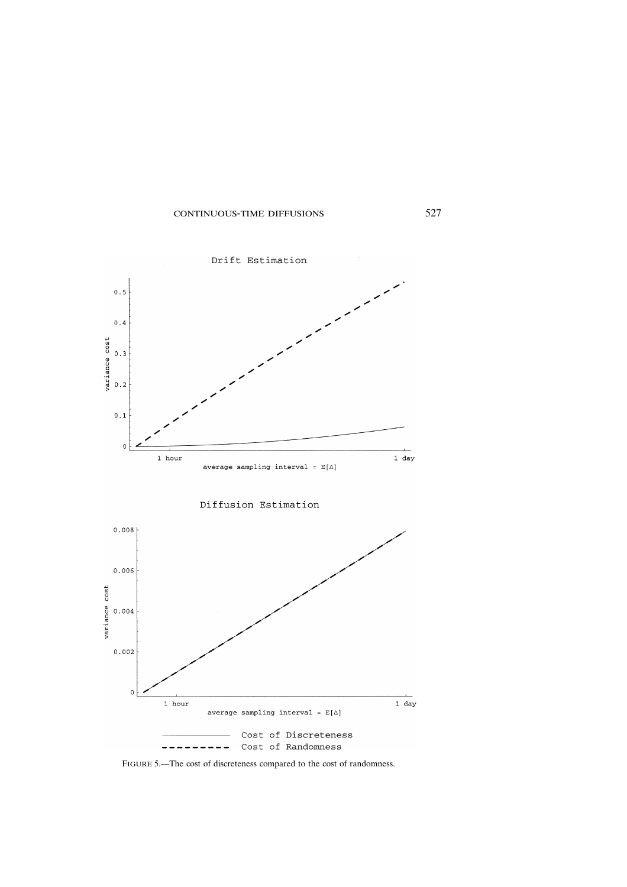

FIGURE 5.—The cost of discreteness compared to the cost of randomness.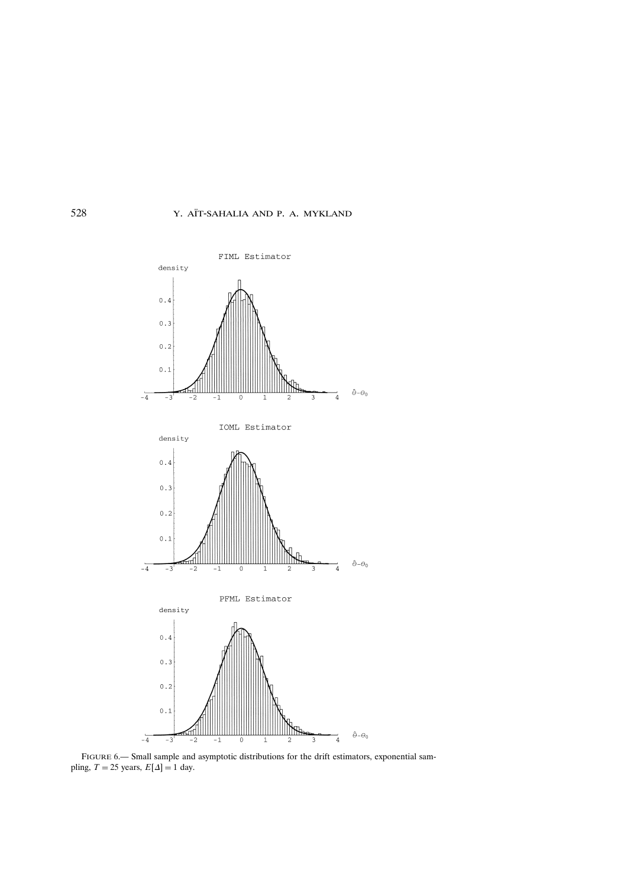

FIGURE 6.- Small sample and asymptotic distributions for the drift estimators, exponential sampling,  $T = 25$  years,  $E[\Delta] = 1$  day.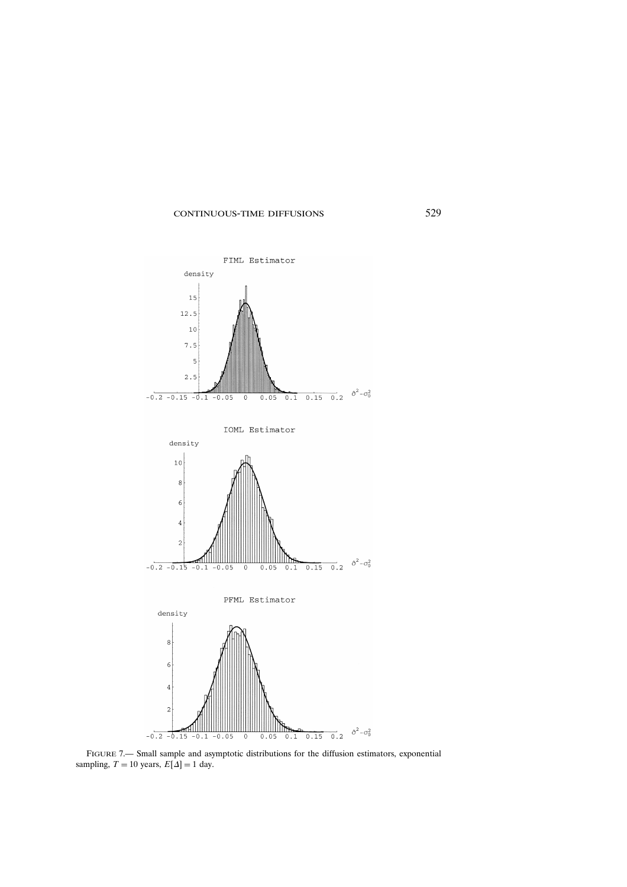

Figure 7.— Small sample and asymptotic distributions for the diffusion estimators, exponential sampling,  $T = 10$  years,  $E[\Delta] = 1$  day.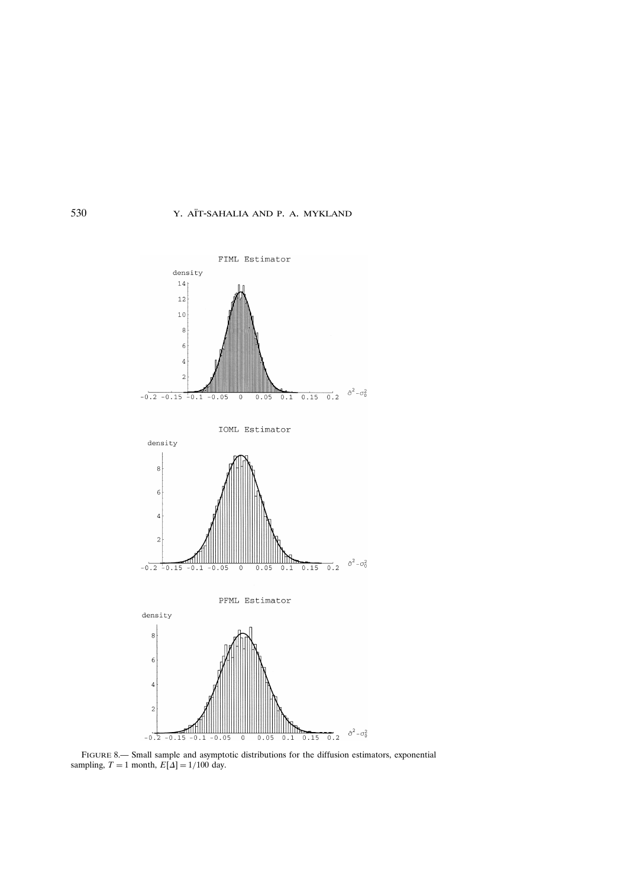

Figure 8.— Small sample and asymptotic distributions for the diffusion estimators, exponential sampling,  $T = 1$  month,  $E[\Delta] = 1/100$  day.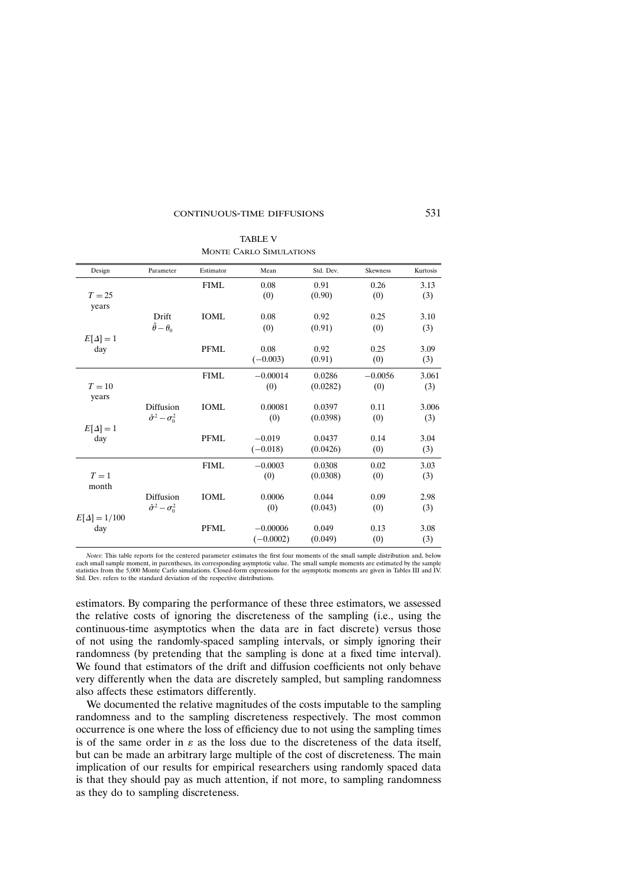| Design              | Parameter                     | Estimator   | Mean        | Std. Dev. | Skewness  | Kurtosis |
|---------------------|-------------------------------|-------------|-------------|-----------|-----------|----------|
|                     |                               | <b>FIML</b> | 0.08        | 0.91      | 0.26      | 3.13     |
| $T = 25$<br>years   |                               |             | (0)         | (0.90)    | (0)       | (3)      |
|                     | Drift                         | <b>IOML</b> | 0.08        | 0.92      | 0.25      | 3.10     |
| $E[\Delta]=1$       | $\hat{\theta} - \theta_0$     |             | (0)         | (0.91)    | (0)       | (3)      |
| day                 |                               | <b>PFML</b> | 0.08        | 0.92      | 0.25      | 3.09     |
|                     |                               |             | $(-0.003)$  | (0.91)    | (0)       | (3)      |
|                     |                               | <b>FIML</b> | $-0.00014$  | 0.0286    | $-0.0056$ | 3.061    |
| $T=10$<br>years     |                               |             | (0)         | (0.0282)  | (0)       | (3)      |
|                     | Diffusion                     | <b>IOML</b> | 0.00081     | 0.0397    | 0.11      | 3.006    |
| $E[\Delta]=1$       | $\hat{\sigma}^2 - \sigma_0^2$ |             | (0)         | (0.0398)  | (0)       | (3)      |
| day                 |                               | <b>PFML</b> | $-0.019$    | 0.0437    | 0.14      | 3.04     |
|                     |                               |             | $(-0.018)$  | (0.0426)  | (0)       | (3)      |
|                     |                               | <b>FIML</b> | $-0.0003$   | 0.0308    | 0.02      | 3.03     |
| $T=1$<br>month      |                               |             | (0)         | (0.0308)  | (0)       | (3)      |
|                     | Diffusion                     | <b>IOML</b> | 0.0006      | 0.044     | 0.09      | 2.98     |
| $E[\Delta] = 1/100$ | $\hat{\sigma}^2 - \sigma_0^2$ |             | (0)         | (0.043)   | (0)       | (3)      |
| day                 |                               | <b>PFML</b> | $-0.00006$  | 0.049     | 0.13      | 3.08     |
|                     |                               |             | $(-0.0002)$ | (0.049)   | (0)       | (3)      |

TABLE V Monte Carlo Simulations

Notes: This table reports for the centered parameter estimates the first four moments of the small sample distribution and, below each small sample moment, in parentheses, its corresponding asymptotic value. The small sample moments are estimated by the sample statistics from the 5,000 Monte Carlo simulations. Closed-form expressions for the asymptotic moments are given in Tables III and IV. Std. Dev. refers to the standard deviation of the respective distributions.

estimators. By comparing the performance of these three estimators, we assessed the relative costs of ignoring the discreteness of the sampling (i.e., using the continuous-time asymptotics when the data are in fact discrete) versus those of not using the randomly-spaced sampling intervals, or simply ignoring their randomness (by pretending that the sampling is done at a fixed time interval). We found that estimators of the drift and diffusion coefficients not only behave very differently when the data are discretely sampled, but sampling randomness also affects these estimators differently.

We documented the relative magnitudes of the costs imputable to the sampling randomness and to the sampling discreteness respectively. The most common occurrence is one where the loss of efficiency due to not using the sampling times is of the same order in  $\varepsilon$  as the loss due to the discreteness of the data itself, but can be made an arbitrary large multiple of the cost of discreteness. The main implication of our results for empirical researchers using randomly spaced data is that they should pay as much attention, if not more, to sampling randomness as they do to sampling discreteness.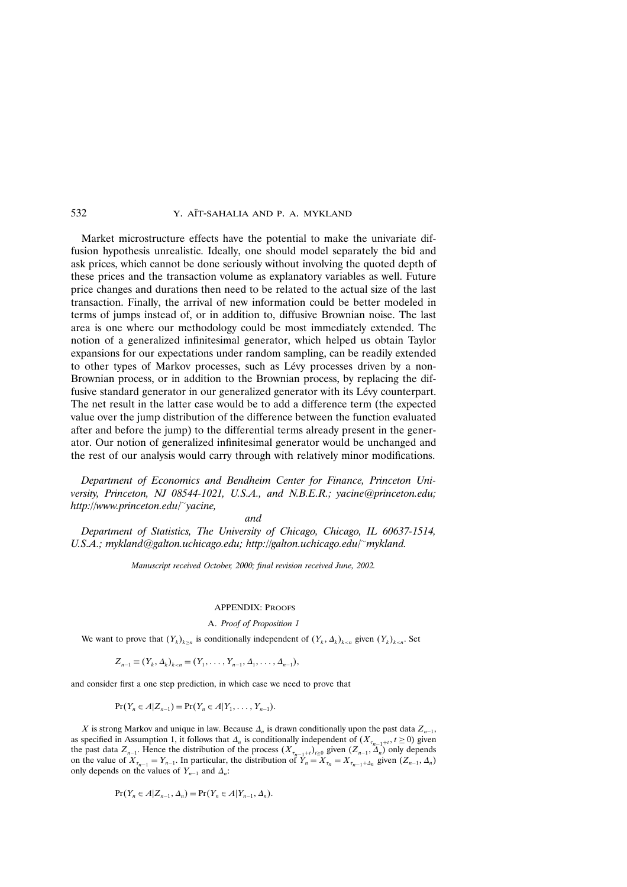## 532 y. aït-sahalia and p. a. mykland

Market microstructure effects have the potential to make the univariate diffusion hypothesis unrealistic. Ideally, one should model separately the bid and ask prices, which cannot be done seriously without involving the quoted depth of these prices and the transaction volume as explanatory variables as well. Future price changes and durations then need to be related to the actual size of the last transaction. Finally, the arrival of new information could be better modeled in terms of jumps instead of, or in addition to, diffusive Brownian noise. The last area is one where our methodology could be most immediately extended. The notion of a generalized infinitesimal generator, which helped us obtain Taylor expansions for our expectations under random sampling, can be readily extended to other types of Markov processes, such as Lévy processes driven by a non-Brownian process, or in addition to the Brownian process, by replacing the diffusive standard generator in our generalized generator with its Lévy counterpart. The net result in the latter case would be to add a difference term (the expected value over the jump distribution of the difference between the function evaluated after and before the jump) to the differential terms already present in the generator. Our notion of generalized infinitesimal generator would be unchanged and the rest of our analysis would carry through with relatively minor modifications.

Department of Economics and Bendheim Center for Finance, Princeton University, Princeton, NJ 08544-1021, U.S.A., and N.B.E.R.; yacine@princeton.edu; http://www.princeton.edu/∼yacine,

and

Department of Statistics, The University of Chicago, Chicago, IL 60637-1514, U.S.A.; mykland@galton.uchicago.edu; http://galton.uchicago.edu/∼mykland.

Manuscript received October, 2000; final revision received June, 2002.

#### APPENDIX: Proofs

#### A. Proof of Proposition 1

We want to prove that  $(Y_k)_{k>n}$  is conditionally independent of  $(Y_k, \Delta_k)_{k given  $(Y_k)_{k. Set$$ 

$$
Z_{n-1} \equiv (Y_k, \Delta_k)_{k < n} = (Y_1, \ldots, Y_{n-1}, \Delta_1, \ldots, \Delta_{n-1}),
$$

and consider first a one step prediction, in which case we need to prove that

$$
Pr(Y_n \in A | Z_{n-1}) = Pr(Y_n \in A | Y_1, \ldots, Y_{n-1}).
$$

X is strong Markov and unique in law. Because  $\Delta_n$  is drawn conditionally upon the past data  $Z_{n-1}$ , as specified in Assumption 1, it follows that  $\Delta_n$  is conditionally independent of  $(X_{\tau_{n-1}+t}, t \ge 0)$  given the past data  $Z_{n-1}$ . Hence the distribution of the process  $(X_{\tau_{n-1}+t})_{t\geq0}$  given  $(Z_{n-1}, \Delta_n)$  only depends on the value of  $X_{\tau_{n-1}} = Y_{n-1}$ . In particular, the distribution of  $Y_n = X_{\tau_n} = X_{\tau_{n-1} + \Delta_n}$  given  $(Z_{n-1}, \Delta_n)$ only depends on the values of  $Y_{n-1}$  and  $\Delta_n$ :

$$
Pr(Y_n \in A | Z_{n-1}, \Delta_n) = Pr(Y_n \in A | Y_{n-1}, \Delta_n).
$$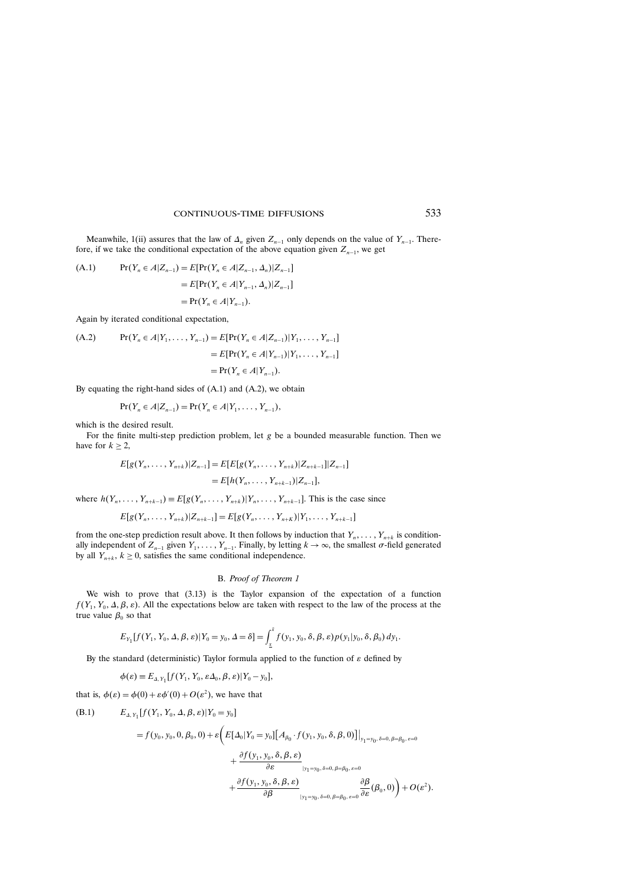Meanwhile, 1(ii) assures that the law of  $\Delta_n$  given  $Z_{n-1}$  only depends on the value of  $Y_{n-1}$ . Therefore, if we take the conditional expectation of the above equation given  $Z_{n-1}$ , we get

(A.1) 
$$
\Pr(Y_n \in A | Z_{n-1}) = E[\Pr(Y_n \in A | Z_{n-1}, A_n) | Z_{n-1}]
$$

$$
= E[\Pr(Y_n \in A | Y_{n-1}, A_n) | Z_{n-1}]
$$

$$
= \Pr(Y_n \in A | Y_{n-1}).
$$

Again by iterated conditional expectation,

(A.2) 
$$
\Pr(Y_n \in A | Y_1, \dots, Y_{n-1}) = E[\Pr(Y_n \in A | Z_{n-1}) | Y_1, \dots, Y_{n-1}]
$$

$$
= E[\Pr(Y_n \in A | Y_{n-1}) | Y_1, \dots, Y_{n-1}]
$$

$$
= \Pr(Y_n \in A | Y_{n-1}).
$$

By equating the right-hand sides of  $(A.1)$  and  $(A.2)$ , we obtain

$$
Pr(Y_n \in A | Z_{n-1}) = Pr(Y_n \in A | Y_1, \ldots, Y_{n-1}),
$$

which is the desired result.

For the finite multi-step prediction problem, let g be a bounded measurable function. Then we have for  $k \geq 2$ ,

$$
E[g(Y_n, \ldots, Y_{n+k})|Z_{n-1}] = E[E[g(Y_n, \ldots, Y_{n+k})|Z_{n+k-1}]|Z_{n-1}]
$$
  
=  $E[h(Y_n, \ldots, Y_{n+k-1})|Z_{n-1}],$ 

where  $h(Y_n, \ldots, Y_{n+k-1}) \equiv E[g(Y_n, \ldots, Y_{n+k}) | Y_n, \ldots, Y_{n+k-1}]$ . This is the case since

$$
E[g(Y_n,\ldots,Y_{n+k})|Z_{n+k-1}] = E[g(Y_n,\ldots,Y_{n+k})|Y_1,\ldots,Y_{n+k-1}]
$$

from the one-step prediction result above. It then follows by induction that  $Y_n, \ldots, Y_{n+k}$  is conditionally independent of  $Z_{n-1}$  given  $Y_1, \ldots, Y_{n-1}$ . Finally, by letting  $k \to \infty$ , the smallest  $\sigma$ -field generated by all  $Y_{n+k}$ ,  $k \ge 0$ , satisfies the same conditional independence.

#### B. Proof of Theorem 1

We wish to prove that (3.13) is the Taylor expansion of the expectation of a function  $f(Y_1, Y_0, \Delta, \beta, \varepsilon)$ . All the expectations below are taken with respect to the law of the process at the true value  $\beta_0$  so that

$$
E_{Y_1}[f(Y_1, Y_0, \Delta, \beta, \varepsilon)|Y_0 = y_0, \Delta = \delta] = \int_{\underline{x}}^{\overline{x}} f(y_1, y_0, \delta, \beta, \varepsilon) p(y_1|y_0, \delta, \beta_0) dy_1.
$$

By the standard (deterministic) Taylor formula applied to the function of  $\varepsilon$  defined by

$$
\phi(\varepsilon) \equiv E_{\Delta, Y_1}[f(Y_1, Y_0, \varepsilon \Delta_0, \beta, \varepsilon)|Y_0 - y_0],
$$

that is,  $\phi(\varepsilon) = \phi(0) + \varepsilon \phi'(0) + O(\varepsilon^2)$ , we have that

(B.1) 
$$
E_{\Delta, Y_1}[f(Y_1, Y_0, \Delta, \beta, \varepsilon)|Y_0 = y_0]
$$
  
\n
$$
= f(y_0, y_0, 0, \beta_0, 0) + \varepsilon \left( E[\Delta_0|Y_0 = y_0][A_{\beta_0} \cdot f(y_1, y_0, \delta, \beta, 0)] \Big|_{y_1 = y_0, \delta = 0, \beta = \beta_0, \varepsilon = 0}
$$
  
\n
$$
+ \frac{\partial f(y_1, y_0, \delta, \beta, \varepsilon)}{\partial \varepsilon} \Big|_{y_1 = y_0, \delta = 0, \beta = \beta_0, \varepsilon = 0}
$$
  
\n
$$
+ \frac{\partial f(y_1, y_0, \delta, \beta, \varepsilon)}{\partial \beta} \Big|_{y_1 = y_0, \delta = 0, \beta = \beta_0, \varepsilon = 0} \frac{\partial \beta}{\partial \varepsilon}(\beta_0, 0) + O(\varepsilon^2).
$$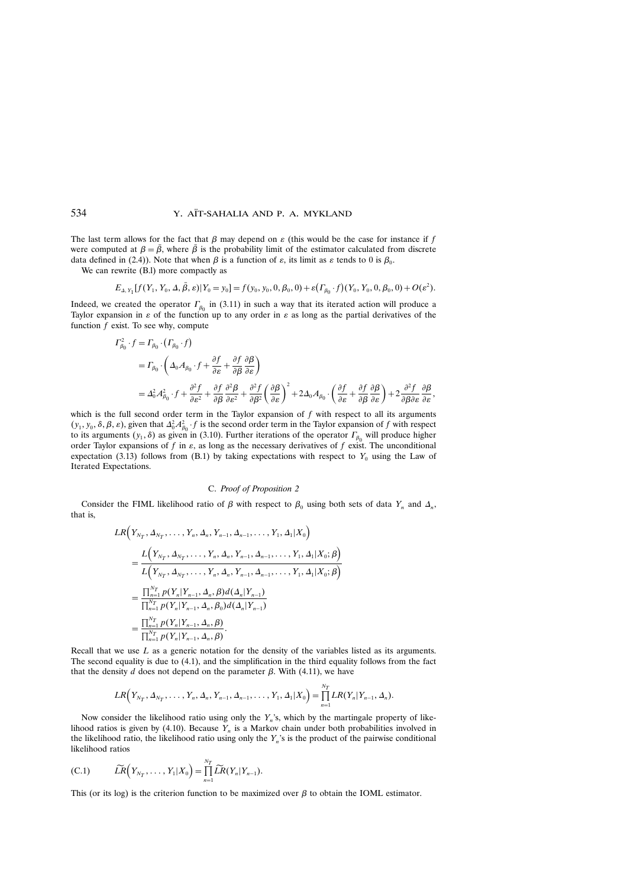The last term allows for the fact that  $\beta$  may depend on  $\varepsilon$  (this would be the case for instance if f were computed at  $\beta = \bar{\beta}$ , where  $\bar{\beta}$  is the probability limit of the estimator calculated from discrete data defined in (2.4)). Note that when  $\beta$  is a function of  $\varepsilon$ , its limit as  $\varepsilon$  tends to 0 is  $\beta_0$ .

We can rewrite (B.l) more compactly as

$$
E_{\Delta, Y_1}[f(Y_1, Y_0, \Delta, \bar{\beta}, \varepsilon)|Y_0 = y_0] = f(y_0, y_0, 0, \beta_0, 0) + \varepsilon (T_{\beta_0} \cdot f)(Y_0, Y_0, 0, \beta_0, 0) + O(\varepsilon^2).
$$

Indeed, we created the operator  $\Gamma_{\beta_0}$  in (3.11) in such a way that its iterated action will produce a Taylor expansion in  $\varepsilon$  of the function up to any order in  $\varepsilon$  as long as the partial derivatives of the function  $f$  exist. To see why, compute

$$
\begin{split} \Gamma_{\beta_{0}}^{2} \cdot f &= \Gamma_{\beta_{0}} \cdot \left( \Gamma_{\beta_{0}} \cdot f \right) \\ &= \Gamma_{\beta_{0}} \cdot \left( \Delta_{0} A_{\beta_{0}} \cdot f + \frac{\partial f}{\partial \varepsilon} + \frac{\partial f}{\partial \beta} \frac{\partial \beta}{\partial \varepsilon} \right) \\ &= \Delta_{0}^{2} A_{\beta_{0}}^{2} \cdot f + \frac{\partial^{2} f}{\partial \varepsilon^{2}} + \frac{\partial f}{\partial \beta} \frac{\partial^{2} \beta}{\partial \varepsilon^{2}} + \frac{\partial^{2} f}{\partial \beta^{2}} \left( \frac{\partial \beta}{\partial \varepsilon} \right)^{2} + 2 \Delta_{0} A_{\beta_{0}} \cdot \left( \frac{\partial f}{\partial \varepsilon} + \frac{\partial f}{\partial \beta} \frac{\partial \beta}{\partial \varepsilon} \right) + 2 \frac{\partial^{2} f}{\partial \beta \partial \varepsilon} \frac{\partial \beta}{\partial \varepsilon}, \end{split}
$$

which is the full second order term in the Taylor expansion of  $f$  with respect to all its arguments  $(y_1, y_0, \delta, \beta, \varepsilon)$ , given that  $\Delta_0^2 A_{\beta_0}^2$  f is the second order term in the Taylor expansion of f with respect to its arguments  $(y_1, \delta)$  as given in (3.10). Further iterations of the operator  $\Gamma_{\beta_0}$  will produce higher order Taylor expansions of f in  $\varepsilon$ , as long as the necessary derivatives of f exist. The unconditional expectation (3.13) follows from (B.1) by taking expectations with respect to  $Y_0$  using the Law of Iterated Expectations.

#### C. Proof of Proposition 2

Consider the FIML likelihood ratio of  $\beta$  with respect to  $\beta_0$  using both sets of data  $Y_n$  and  $\Delta_n$ , that is,

$$
LR(Y_{N_T}, \Delta_{N_T}, \ldots, Y_n, \Delta_n, Y_{n-1}, \Delta_{n-1}, \ldots, Y_1, \Delta_1 | X_0)
$$
\n
$$
= \frac{L(Y_{N_T}, \Delta_{N_T}, \ldots, Y_n, \Delta_n, Y_{n-1}, \Delta_{n-1}, \ldots, Y_1, \Delta_1 | X_0; \beta)}{L(Y_{N_T}, \Delta_{N_T}, \ldots, Y_n, \Delta_n, Y_{n-1}, \Delta_{n-1}, \ldots, Y_1, \Delta_1 | X_0; \beta)}
$$
\n
$$
= \frac{\prod_{n=1}^{N_T} p(Y_n | Y_{n-1}, \Delta_n, \beta) d(\Delta_n | Y_{n-1})}{\prod_{n=1}^{N_T} p(Y_n | Y_{n-1}, \Delta_n, \beta_0) d(\Delta_n | Y_{n-1})}
$$
\n
$$
= \frac{\prod_{n=1}^{N_T} p(Y_n | Y_{n-1}, \Delta_n, \beta)}{\prod_{n=1}^{N_T} p(Y_n | Y_{n-1}, \Delta_n, \beta)}.
$$

Recall that we use  $L$  as a generic notation for the density of the variables listed as its arguments. The second equality is due to (4.1), and the simplification in the third equality follows from the fact that the density d does not depend on the parameter  $\beta$ . With (4.11), we have

$$
LR(Y_{N_T}, \Delta_{N_T}, \ldots, Y_n, \Delta_n, Y_{n-1}, \Delta_{n-1}, \ldots, Y_1, \Delta_1 | X_0) = \prod_{n=1}^{N_T} LR(Y_n | Y_{n-1}, \Delta_n).
$$

Now consider the likelihood ratio using only the  $Y_n$ 's, which by the martingale property of likelihood ratios is given by (4.10). Because  $Y_n$  is a Markov chain under both probabilities involved in the likelihood ratio, the likelihood ratio using only the  $Y_n$ 's is the product of the pairwise conditional likelihood ratios

(C.1) 
$$
\widetilde{LR}\left(Y_{N_T},\ldots,Y_1|X_0\right)=\prod_{n=1}^{N_T}\widetilde{LR}(Y_n|Y_{n-1}).
$$

This (or its log) is the criterion function to be maximized over  $\beta$  to obtain the IOML estimator.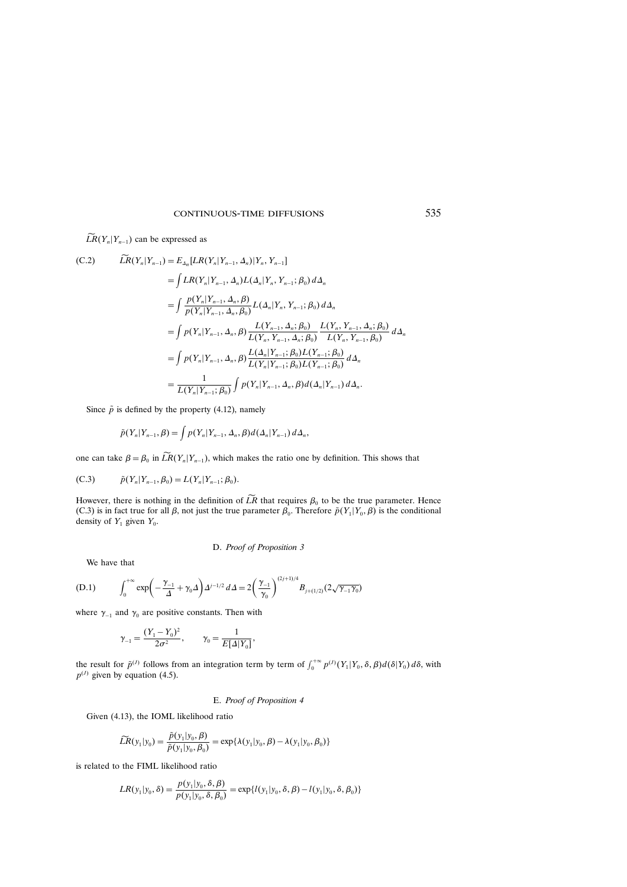$\widetilde{LR}(Y_n|Y_{n-1})$  can be expressed as

 $\sim$ 

$$
\begin{split} \text{(C.2)} \qquad & LR(Y_n|Y_{n-1}) = E_{\Delta_n}[LR(Y_n|Y_{n-1}, \Delta_n)|Y_n, Y_{n-1}] \\ &= \int LR(Y_n|Y_{n-1}, \Delta_n)L(\Delta_n|Y_n, Y_{n-1}; \beta_0) \, d\Delta_n \\ &= \int \frac{p(Y_n|Y_{n-1}, \Delta_n, \beta)}{p(Y_n|Y_{n-1}, \Delta_n, \beta_0)} L(\Delta_n|Y_n, Y_{n-1}; \beta_0) \, d\Delta_n \\ &= \int p(Y_n|Y_{n-1}, \Delta_n, \beta) \frac{L(Y_{n-1}, \Delta_n; \beta_0)}{L(Y_n, Y_{n-1}, \Delta_n; \beta_0)} \frac{L(Y_n, Y_{n-1}, \Delta_n; \beta_0)}{L(Y_n, Y_{n-1}, \beta_0)} \, d\Delta_n \\ &= \int p(Y_n|Y_{n-1}, \Delta_n, \beta) \frac{L(\Delta_n|Y_{n-1}; \beta_0)L(Y_{n-1}; \beta_0)}{L(Y_n|Y_{n-1}; \beta_0)L(Y_{n-1}; \beta_0)} \, d\Delta_n \\ &= \frac{1}{L(Y_n|Y_{n-1}; \beta_0)} \int p(Y_n|Y_{n-1}, \Delta_n, \beta) d(\Delta_n|Y_{n-1}) \, d\Delta_n. \end{split}
$$

Since  $\tilde{p}$  is defined by the property (4.12), namely

$$
\tilde{p}(Y_n|Y_{n-1},\beta) = \int p(Y_n|Y_{n-1},\Delta_n,\beta) d(\Delta_n|Y_{n-1}) d\Delta_n,
$$

one can take  $\beta = \beta_0$  in  $\widetilde{LR}(Y_n|Y_{n-1})$ , which makes the ratio one by definition. This shows that

(C.3) 
$$
\tilde{p}(Y_n|Y_{n-1}, \beta_0) = L(Y_n|Y_{n-1}; \beta_0).
$$

However, there is nothing in the definition of  $\widetilde{LR}$  that requires  $\beta_0$  to be the true parameter. Hence (C.3) is in fact true for all  $\beta$ , not just the true parameter  $\beta_0$ . Therefore  $\tilde{p}(Y_1|Y_0,\beta)$  is the conditional density of  $Y_1$  given  $Y_0$ .

## D. Proof of Proposition 3

We have that

(D.1) 
$$
\int_0^{+\infty} \exp\left(-\frac{\gamma_{-1}}{\Delta} + \gamma_0 \Delta\right) \Delta^{j-1/2} d\Delta = 2\left(\frac{\gamma_{-1}}{\gamma_0}\right)^{(2j+1)/4} B_{j+(1/2)}(2\sqrt{\gamma_{-1}\gamma_0})
$$

where  $\gamma_{-1}$  and  $\gamma_0$  are positive constants. Then with

$$
\gamma_{-1} = \frac{(Y_1 - Y_0)^2}{2\sigma^2}, \qquad \gamma_0 = \frac{1}{E[A|Y_0]},
$$

the result for  $\tilde{p}^{(J)}$  follows from an integration term by term of  $\int_0^{+\infty} p^{(J)}(Y_1|Y_0, \delta, \beta) d(\delta|Y_0) d\delta$ , with  $p^{(J)}$  given by equation (4.5).

#### E. Proof of Proposition 4

Given (4.13), the IOML likelihood ratio

$$
\widetilde{LR}(y_1|y_0) = \frac{\widetilde{p}(y_1|y_0, \beta)}{\widetilde{p}(y_1|y_0, \beta_0)} = \exp{\{\lambda(y_1|y_0, \beta) - \lambda(y_1|y_0, \beta_0)\}}
$$

is related to the FIML likelihood ratio

$$
LR(y_1|y_0, \delta) = \frac{p(y_1|y_0, \delta, \beta)}{p(y_1|y_0, \delta, \beta_0)} = \exp\{l(y_1|y_0, \delta, \beta) - l(y_1|y_0, \delta, \beta_0)\}\
$$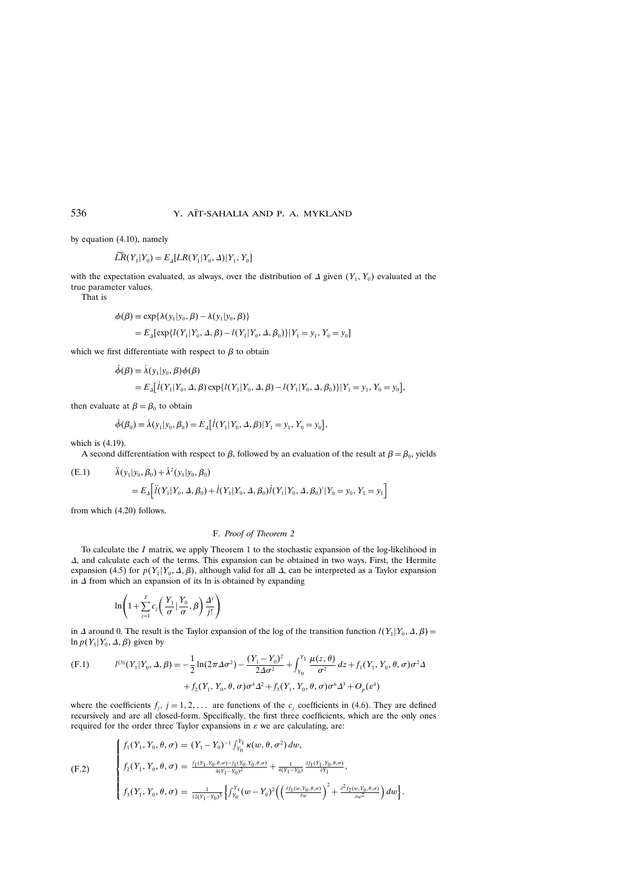by equation (4.10), namely

$$
LR(Y_1|Y_0) = E_{\Delta}[LR(Y_1|Y_0,\Delta)|Y_1,Y_0]
$$

with the expectation evaluated, as always, over the distribution of  $\Delta$  given  $(Y_1, Y_0)$  evaluated at the true parameter values.

That is

$$
\phi(\beta) \equiv \exp\{\lambda(y_1|y_0, \beta) - \lambda(y_1|y_0, \beta)\}
$$
  
=  $E_{\Delta}[\exp\{l(Y_1|Y_0, \Delta, \beta) - l(Y_1|Y_0, \Delta, \beta_0)\}|Y_1 = y_1, Y_0 = y_0]$ 

which we first differentiate with respect to  $\beta$  to obtain

$$
\begin{aligned} \dot{\phi}(\beta) & \equiv \dot{\lambda}(y_1|y_0, \beta)\phi(\beta) \\ &= E_{\Delta}[\dot{l}(Y_1|Y_0, \Delta, \beta) \exp\{l(Y_1|Y_0, \Delta, \beta) - l(Y_1|Y_0, \Delta, \beta_0)\}|Y_1 = y_1, Y_0 = y_0], \end{aligned}
$$

then evaluate at  $\beta = \beta_0$  to obtain

$$
\dot{\phi}(\beta_0) \equiv \dot{\lambda}(y_1|y_0, \beta_0) = E_{\Delta}[\dot{l}(Y_1|Y_0, \Delta, \beta)|Y_1 = y_1, Y_0 = y_0],
$$

which is (4.19).

A second differentiation with respect to  $\beta$ , followed by an evaluation of the result at  $\beta = \beta_0$ , yields

(E.1) 
$$
\tilde{\lambda}(y_1|y_0, \beta_0) + \lambda^2(y_1|y_0, \beta_0) \n= E_{\Delta} \Big[ \tilde{I}(Y_1|Y_0, \Delta, \beta_0) + \tilde{I}(Y_1|Y_0, \Delta, \beta_0) \tilde{I}(Y_1|Y_0, \Delta, \beta_0)' | Y_0 = y_0, Y_1 = y_1 \Big]
$$

from which (4.20) follows.

#### F. Proof of Theorem 2

To calculate the I matrix, we apply Theorem 1 to the stochastic expansion of the log-likelihood in  $\Delta$ , and calculate each of the terms. This expansion can be obtained in two ways. First, the Hermite expansion (4.5) for  $p(Y_1|Y_0, \Delta, \beta)$ , although valid for all  $\Delta$ , can be interpreted as a Taylor expansion in  $\Delta$  from which an expansion of its ln is obtained by expanding

$$
\ln\left(1+\sum_{j=1}^J c_j\left(\frac{Y_1}{\sigma}|\frac{Y_0}{\sigma},\beta\right)\frac{\Delta^j}{j!}\right)
$$

in  $\Delta$  around 0. The result is the Taylor expansion of the log of the transition function  $l(Y_1|Y_0, \Delta, \beta)$  =  $\ln p(Y_1|Y_0, \Delta, \beta)$  given by

(F.1) 
$$
l^{(3)}(Y_1|Y_0, \Delta, \beta) = -\frac{1}{2}\ln(2\pi\Delta\sigma^2) - \frac{(Y_1 - Y_0)^2}{2\Delta\sigma^2} + \int_{Y_0}^{Y_1} \frac{\mu(z, \theta)}{\sigma^2} dz + f_1(Y_1, Y_0, \theta, \sigma)\sigma^2\Delta + f_2(Y_1, Y_0, \theta, \sigma)\sigma^4\Delta^2 + f_3(Y_1, Y_0, \theta, \sigma)\sigma^6\Delta^3 + O_p(\varepsilon^4)
$$

where the coefficients  $f_i$ ,  $j = 1, 2, \ldots$  are functions of the  $c_i$  coefficients in (4.6). They are defined recursively and are all closed-form. Specifically, the first three coefficients, which are the only ones required for the order three Taylor expansions in  $\varepsilon$  we are calculating, are:

$$
\begin{cases}\nf_1(Y_1, Y_0, \theta, \sigma) = (Y_1 - Y_0)^{-1} \int_{Y_0}^{Y_1} \kappa(w, \theta, \sigma^2) \, dw, \\
f_2(Y_1, Y_0, \theta, \sigma) = \frac{f_1(Y_1, Y_0, \theta, \sigma) - f_1(Y_0, Y_0, \theta, \sigma)}{4(Y_1 - Y_0)^2} + \frac{1}{4(Y_1 - Y_0)} \frac{\partial f_1(Y_1, Y_0, \theta, \sigma)}{\partial Y_1}, \\
f_3(Y_1, Y_0, \theta, \sigma) = \frac{1}{12(Y_1 - Y_0)^3} \left\{ \int_{Y_0}^{Y_1} (w - Y_0)^2 \left( \left( \frac{\partial f_1(w, Y_0, \theta, \sigma)}{\partial w} \right)^2 + \frac{\partial^2 f_2(w, Y_0, \theta, \sigma)}{\partial w^2} \right) dw \right\}.\n\end{cases}
$$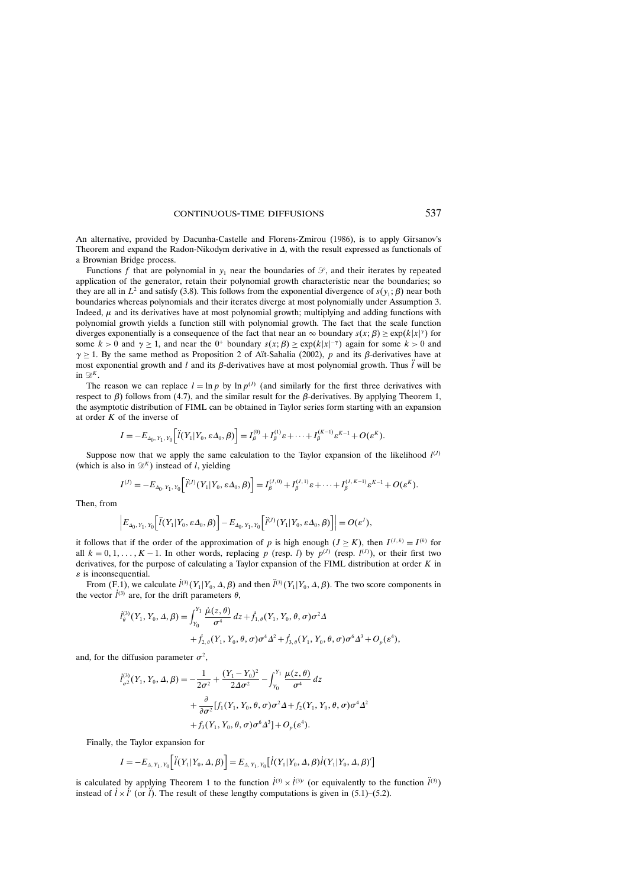An alternative, provided by Dacunha-Castelle and Florens-Zmirou (1986), is to apply Girsanov's Theorem and expand the Radon-Nikodym derivative in  $\Delta$ , with the result expressed as functionals of a Brownian Bridge process.

Functions f that are polynomial in  $y_1$  near the boundaries of  $\mathcal{S}$ , and their iterates by repeated application of the generator, retain their polynomial growth characteristic near the boundaries; so they are all in  $L^2$  and satisfy (3.8). This follows from the exponential divergence of  $s(y_1; \beta)$  near both boundaries whereas polynomials and their iterates diverge at most polynomially under Assumption 3. Indeed,  $\mu$  and its derivatives have at most polynomial growth; multiplying and adding functions with polynomial growth yields a function still with polynomial growth. The fact that the scale function diverges exponentially is a consequence of the fact that near an  $\infty$  boundary  $s(x;\beta) \ge \exp(k|x|^{\gamma})$  for some  $k > 0$  and  $\gamma \ge 1$ , and near the  $0^+$  boundary  $s(x;\beta) \ge \exp(k|x|^{-\gamma})$  again for some  $k > 0$  and  $\gamma > 1$ . By the same method as Proposition 2 of Aït-Sahalia (2002), p and its  $\beta$ -derivatives have at most exponential growth and l and its  $\beta$ -derivatives have at most polynomial growth. Thus l will be in  $\mathcal{D}^K$ .

The reason we can replace  $l = \ln p$  by  $\ln p^{(l)}$  (and similarly for the first three derivatives with respect to  $\beta$ ) follows from (4.7), and the similar result for the  $\beta$ -derivatives. By applying Theorem 1, the asymptotic distribution of FIML can be obtained in Taylor series form starting with an expansion at order  $K$  of the inverse of

$$
I = -E_{\Delta_0, Y_1, Y_0} \Big[ \ddot{I}(Y_1 | Y_0, \varepsilon \Delta_0, \beta) \Big] = I_{\beta}^{(0)} + I_{\beta}^{(1)} \varepsilon + \cdots + I_{\beta}^{(K-1)} \varepsilon^{K-1} + O(\varepsilon^{K}).
$$

Suppose now that we apply the same calculation to the Taylor expansion of the likelihood  $l^{(j)}$ (which is also in  $\mathcal{D}^K$ ) instead of *l*, yielding

$$
I^{(J)} = -E_{\Delta_0, Y_1, Y_0} \Big[ \ddot{I}^{(J)}(Y_1 | Y_0, \varepsilon \Delta_0, \beta) \Big] = I_{\beta}^{(J,0)} + I_{\beta}^{(J,1)} \varepsilon + \dots + I_{\beta}^{(J,K-1)} \varepsilon^{K-1} + O(\varepsilon^{K}).
$$

Then, from

$$
\Big|E_{\Delta_0,\,Y_1,\,Y_0}\Big[\ddot{I}(Y_1|Y_0,\,\varepsilon\Delta_0,\beta)\Big]-E_{\Delta_0,\,Y_1,\,Y_0}\Big[\ddot{I}^{(J)}(Y_1|Y_0,\,\varepsilon\Delta_0,\beta)\Big]\Big|=O(\varepsilon^J),
$$

it follows that if the order of the approximation of p is high enough  $(J \ge K)$ , then  $I^{(J,k)} = I^{(k)}$  for all  $k = 0, 1, \ldots, K - 1$ . In other words, replacing p (resp. l) by  $p^{(1)}$  (resp.  $l^{(1)}$ ), or their first two derivatives, for the purpose of calculating a Taylor expansion of the FIML distribution at order  $K$  in  $\varepsilon$  is inconsequential.

From (F.1), we calculate  $l^{(3)}(Y_1|Y_0, \Delta, \beta)$  and then  $l^{(3)}(Y_1|Y_0, \Delta, \beta)$ . The two score components in the vector  $l^{(3)}$  are, for the drift parameters  $\theta$ ,

$$
\begin{split} \dot{I}_{\theta}^{(3)}(Y_1, Y_0, \Delta, \beta) &= \int_{Y_0}^{Y_1} \frac{\dot{\mu}(z, \theta)}{\sigma^4} \, dz + \dot{f}_{1, \theta}(Y_1, Y_0, \theta, \sigma) \sigma^2 \Delta \\ &+ \dot{f}_{2, \theta}(Y_1, Y_0, \theta, \sigma) \sigma^4 \Delta^2 + \dot{f}_{3, \theta}(Y_1, Y_0, \theta, \sigma) \sigma^6 \Delta^3 + O_p(\varepsilon^4), \end{split}
$$

and, for the diffusion parameter  $\sigma^2$ ,

$$
\begin{split} \dot{I}_{\sigma^2}^{(3)}(Y_1, Y_0, \Delta, \beta) &= -\frac{1}{2\sigma^2} + \frac{(Y_1 - Y_0)^2}{2\Delta\sigma^2} - \int_{Y_0}^{Y_1} \frac{\mu(z, \theta)}{\sigma^4} \, dz \\ &+ \frac{\partial}{\partial\sigma^2} [f_1(Y_1, Y_0, \theta, \sigma)\sigma^2 \Delta + f_2(Y_1, Y_0, \theta, \sigma)\sigma^4 \Delta^2 \\ &+ f_3(Y_1, Y_0, \theta, \sigma)\sigma^6 \Delta^3] + O_p(\varepsilon^4). \end{split}
$$

Finally, the Taylor expansion for

$$
I = -E_{\Delta, Y_1, Y_0} \Big[ \ddot{I}(Y_1 | Y_0, \Delta, \beta) \Big] = E_{\Delta, Y_1, Y_0} \Big[ \dot{I}(Y_1 | Y_0, \Delta, \beta) \dot{I}(Y_1 | Y_0, \Delta, \beta)' \Big]
$$

is calculated by applying Theorem 1 to the function  $l^{(3)} \times l^{(3)}$  (or equivalently to the function  $l^{(3)}$ ) instead of  $l \times l'$  (or *l*). The result of these lengthy computations is given in (5.1)–(5.2).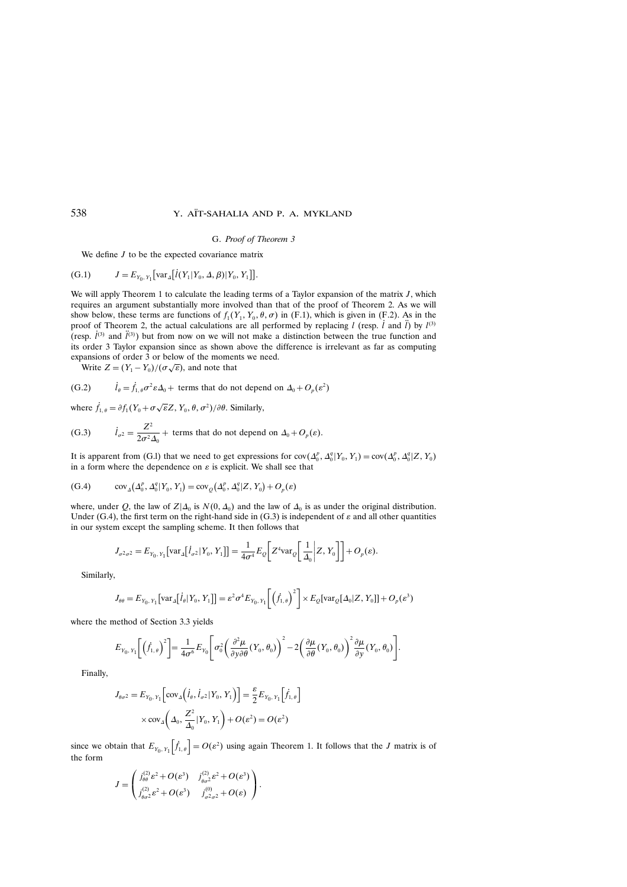G. Proof of Theorem 3

We define  $J$  to be the expected covariance matrix

$$
(G.1) \tJ = E_{Y_0, Y_1} [\text{var}_{\Delta}[l(Y_1 | Y_0, \Delta, \beta) | Y_0, Y_1]].
$$

We will apply Theorem 1 to calculate the leading terms of a Taylor expansion of the matrix  $J$ , which requires an argument substantially more involved than that of the proof of Theorem 2. As we will show below, these terms are functions of  $f_1(Y_1, Y_0, \theta, \sigma)$  in (F.1), which is given in (F.2). As in the proof of Theorem 2, the actual calculations are all performed by replacing l (resp. l and l) by  $l^{(3)}$ (resp.  $l^{(3)}$  and  $l^{(3)}$ ) but from now on we will not make a distinction between the true function and its order 3 Taylor expansion since as shown above the difference is irrelevant as far as computing expansions of order 3 or below of the moments we need.

Write  $Z = (Y_1 - Y_0) / (\sigma \sqrt{\varepsilon})$ , and note that

(G.2) 
$$
\dot{l}_{\theta} = \dot{f}_{1,\theta} \sigma^2 \varepsilon \Delta_0 + \text{ terms that do not depend on } \Delta_0 + O_p(\varepsilon^2)
$$

where  $\dot{f}_{1,\theta} = \partial f_1(Y_0 + \sigma \sqrt{\varepsilon} Z, Y_0, \theta, \sigma^2) / \partial \theta$ . Similarly,

(G.3) 
$$
\dot{l}_{\sigma^2} = \frac{Z^2}{2\sigma^2 \Delta_0} + \text{ terms that do not depend on } \Delta_0 + O_p(\varepsilon).
$$

It is apparent from (G.I) that we need to get expressions for  $cov(\Delta_0^p, \Delta_0^q | Y_0, Y_1) = cov(\Delta_0^p, \Delta_0^q | Z, Y_0)$ in a form where the dependence on  $\varepsilon$  is explicit. We shall see that

(G.4) 
$$
\text{cov}_{\Delta}(A_0^p, A_0^q | Y_0, Y_1) = \text{cov}_{Q}(A_0^p, A_0^q | Z, Y_0) + O_p(\varepsilon)
$$

where, under Q, the law of  $Z|\Delta_0$  is  $N(0, \Delta_0)$  and the law of  $\Delta_0$  is as under the original distribution. Under (G.4), the first term on the right-hand side in (G.3) is independent of  $\varepsilon$  and all other quantities in our system except the sampling scheme. It then follows that

$$
J_{\sigma^2 \sigma^2} = E_{Y_0, Y_1} [\text{var}_{\mathcal{A}} [l_{\sigma^2} | Y_0, Y_1]] = \frac{1}{4\sigma^4} E_{\mathcal{Q}} \bigg[ Z^4 \text{var}_{\mathcal{Q}} \bigg[ \frac{1}{\Delta_0} \bigg| Z, Y_0 \bigg] \bigg] + O_p(\varepsilon).
$$

Similarly,

$$
J_{\theta\theta} = E_{Y_0, Y_1} [\text{var}_{\Delta}[\dot{l}_{\theta} | Y_0, Y_1]] = \varepsilon^2 \sigma^4 E_{Y_0, Y_1} \left[ \left( \dot{f}_{1, \theta} \right)^2 \right] \times E_{\mathcal{Q}} [\text{var}_{\mathcal{Q}}[\Delta_0 | Z, Y_0]] + O_p(\varepsilon^3)
$$

where the method of Section 3.3 yields

$$
E_{Y_0, Y_1}\bigg[\left(\dot{f}_{1,\theta}\right)^2\bigg] = \frac{1}{4\sigma^6} E_{Y_0}\bigg[\sigma_0^2 \bigg(\frac{\partial^2 \mu}{\partial y \partial \theta}(Y_0, \theta_0)\bigg)^2 - 2\bigg(\frac{\partial \mu}{\partial \theta}(Y_0, \theta_0)\bigg)^2 \frac{\partial \mu}{\partial y}(Y_0, \theta_0)\bigg].
$$

Finally,

$$
J_{\theta\sigma^2} = E_{Y_0, Y_1} \Big[ \text{cov}_\Delta \Big( \dot{l}_{\theta}, \dot{l}_{\sigma^2} | Y_0, Y_1 \Big) \Big] = \frac{\varepsilon}{2} E_{Y_0, Y_1} \Big[ \dot{f}_{1, \theta} \Big] \\
\times \text{cov}_\Delta \Big( \Delta_0, \frac{Z^2}{\Delta_0} | Y_0, Y_1 \Big) + O(\varepsilon^2) = O(\varepsilon^2)
$$

since we obtain that  $E_{Y_0, Y_1} \left[ \dot{f}_{1, \theta} \right] = O(\varepsilon^2)$  using again Theorem 1. It follows that the J matrix is of the form

$$
J = \begin{pmatrix} j_{\theta\theta}^{(2)} \varepsilon^2 + O(\varepsilon^3) & j_{\theta\sigma^2}^{(2)} \varepsilon^2 + O(\varepsilon^3) \\ j_{\theta\sigma^2}^{(2)} \varepsilon^2 + O(\varepsilon^3) & j_{\sigma^2\sigma^2}^{(0)} + O(\varepsilon) \end{pmatrix}.
$$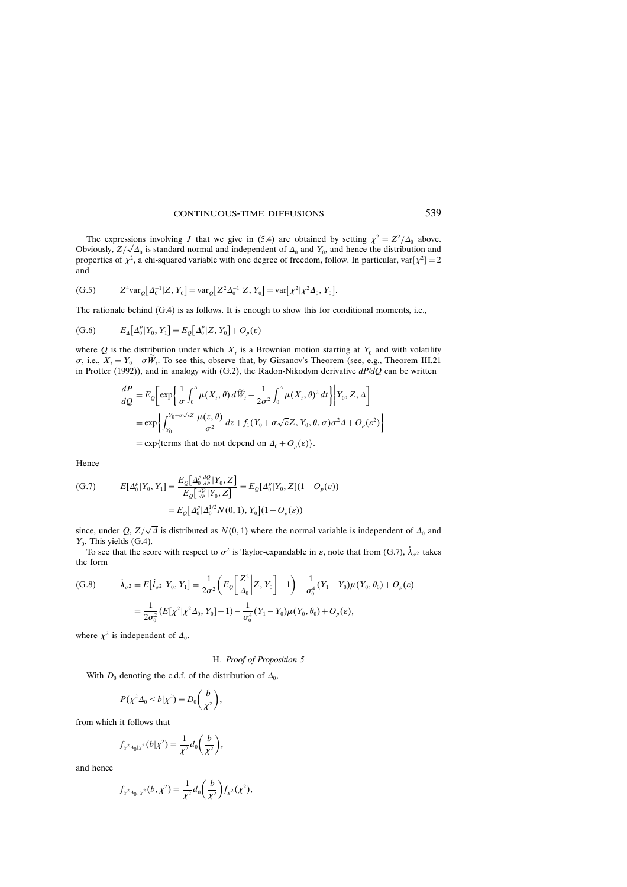The expressions involving J that we give in (5.4) are obtained by setting  $\chi^2 = Z^2/\Delta_0$  above. Obviously,  $Z/\sqrt{\Delta_0}$  is standard normal and independent of  $\Delta_0$  and  $Y_0$ , and hence the distribution and properties of  $\chi^2$ , a chi-squared variable with one degree of freedom, follow. In particular, var $[\chi^2] = 2$ and

(G.5) 
$$
Z^4 \text{var}_{Q}[A_0^{-1}|Z, Y_0] = \text{var}_{Q}[Z^2 A_0^{-1}|Z, Y_0] = \text{var}[{\chi^2} | {\chi^2} A_0, Y_0].
$$

The rationale behind (G.4) is as follows. It is enough to show this for conditional moments, i.e.,

(G.6) 
$$
E_{\Delta}[\Delta_0^p|Y_0, Y_1] = E_{Q}[\Delta_0^p|Z, Y_0] + O_p(\varepsilon)
$$

where Q is the distribution under which  $X_t$  is a Brownian motion starting at  $Y_0$  and with volatility  $\sigma$ , i.e.,  $X_t = Y_0 + \sigma W_t$ . To see this, observe that, by Girsanov's Theorem (see, e.g., Theorem III.21) in Protter (1992)), and in analogy with (G.2), the Radon-Nikodym derivative  $dP/dQ$  can be written

$$
\frac{dP}{dQ} = E_Q \bigg[ \exp \bigg\{ \frac{1}{\sigma} \int_0^{\Delta} \mu(X_t, \theta) d\widetilde{W}_t - \frac{1}{2\sigma^2} \int_0^{\Delta} \mu(X_t, \theta)^2 dt \bigg\} \bigg| Y_0, Z, \Delta \bigg]
$$
  
=  $\exp \bigg\{ \int_{Y_0}^{Y_0 + \sigma \sqrt{\epsilon}Z} \frac{\mu(z, \theta)}{\sigma^2} dz + f_1(Y_0 + \sigma \sqrt{\epsilon}Z, Y_0, \theta, \sigma) \sigma^2 \Delta + O_p(\epsilon^2) \bigg\}$ 

 $=$  exp{terms that do not depend on  $\Delta_0 + O_p(\varepsilon)$ }.

Hence

(G.7) 
$$
E[\Delta_0^p | Y_0, Y_1] = \frac{E_Q[\Delta_0^p | Z_0, Z]}{E_Q[\frac{dQ}{dP} | Y_0, Z]} = E_Q[\Delta_0^p | Y_0, Z](1 + O_p(\varepsilon))
$$

$$
= E_Q[\Delta_0^p | \Delta_0^{1/2} N(0, 1), Y_0](1 + O_p(\varepsilon))
$$

since, under Q,  $Z/\sqrt{\Delta}$  is distributed as  $N(0, 1)$  where the normal variable is independent of  $\Delta_0$  and  $Y_0$ . This yields (G.4).

To see that the score with respect to  $\sigma^2$  is Taylor-expandable in  $\varepsilon$ , note that from (G.7),  $\lambda_{\sigma^2}$  takes the form

(G.8) 
$$
\dot{\lambda}_{\sigma^2} = E\left[\dot{l}_{\sigma^2}|Y_0, Y_1\right] = \frac{1}{2\sigma^2} \left(E_0 \left[\frac{Z^2}{\Delta_0}\right] Z, Y_0\right] - 1\right) - \frac{1}{\sigma_0^4} (Y_1 - Y_0)\mu(Y_0, \theta_0) + O_p(\varepsilon)
$$

$$
= \frac{1}{2\sigma_0^2} (E[\chi^2|\chi^2\Delta_0, Y_0] - 1) - \frac{1}{\sigma_0^4} (Y_1 - Y_0)\mu(Y_0, \theta_0) + O_p(\varepsilon),
$$

where  $\chi^2$  is independent of  $\Delta_0$ .

#### H. Proof of Proposition 5

With  $D_0$  denoting the c.d.f. of the distribution of  $\Delta_0$ ,

$$
P(\chi^2 \Delta_0 \le b|\chi^2) = D_0\bigg(\frac{b}{\chi^2}\bigg),\,
$$

from which it follows that

$$
f_{\chi^2 \Delta_0 | \chi^2} (b | \chi^2) = \frac{1}{\chi^2} d_0 \bigg( \frac{b}{\chi^2} \bigg),
$$

and hence

$$
f_{\chi^2 \Delta_0, \chi^2}(b, \chi^2) = \frac{1}{\chi^2} d_0\left(\frac{b}{\chi^2}\right) f_{\chi^2}(\chi^2),
$$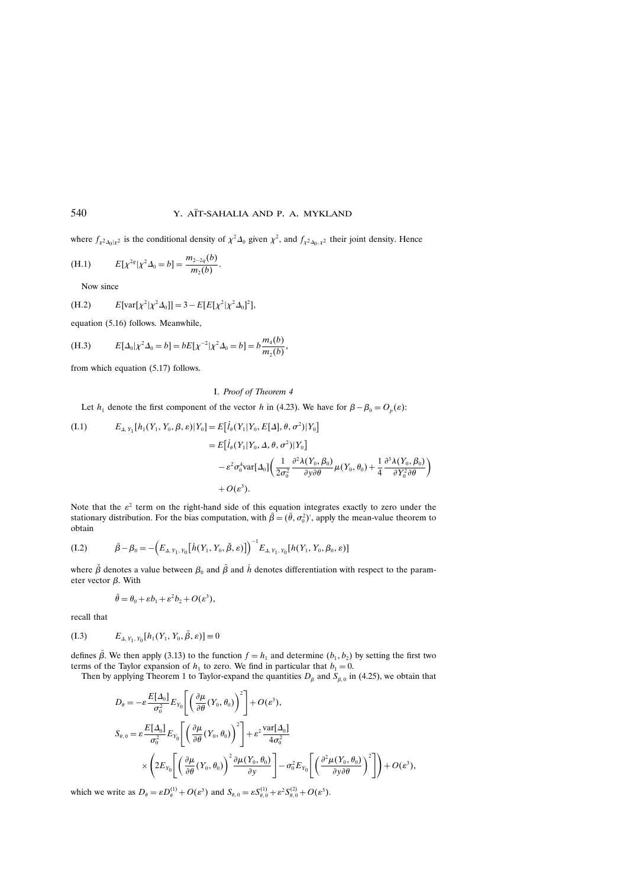where  $f_{\chi^2 A_0|\chi^2}$  is the conditional density of  $\chi^2 A_0$  given  $\chi^2$ , and  $f_{\chi^2 A_0, \chi^2}$  their joint density. Hence

(H.1) 
$$
E[\chi^{2q}|\chi^2\Delta_0=b]=\frac{m_{2-2q}(b)}{m_2(b)}.
$$

Now since

(H.2) 
$$
E[var[\chi^2|\chi^2\Delta_0]] = 3 - E[E[\chi^2|\chi^2\Delta_0]^2],
$$

equation (5.16) follows. Meanwhile,

(H.3) 
$$
E[\Delta_0|\chi^2\Delta_0 = b] = bE[\chi^{-2}|\chi^2\Delta_0 = b] = b\frac{m_4(b)}{m_2(b)},
$$

from which equation (5.17) follows.

#### I. Proof of Theorem 4

Let  $h_1$  denote the first component of the vector h in (4.23). We have for  $\beta - \beta_0 = O_p(\varepsilon)$ :

(1.1) 
$$
E_{\Delta, Y_1}[h_1(Y_1, Y_0, \beta, \varepsilon)|Y_0] = E\big[\dot{l}_\theta(Y_1|Y_0, E[\Delta], \theta, \sigma^2)|Y_0]\big]
$$

$$
= E\big[\dot{l}_\theta(Y_1|Y_0, \Delta, \theta, \sigma^2)|Y_0]\big]
$$

$$
- \varepsilon^2 \sigma_0^4 \text{var}[ \Delta_0] \bigg(\frac{1}{2\sigma_0^2} \frac{\partial^2 \lambda(Y_0, \beta_0)}{\partial y \partial \theta} \mu(Y_0, \theta_0) + \frac{1}{4} \frac{\partial^3 \lambda(Y_0, \beta_0)}{\partial Y_0^2 \partial \theta}\bigg)
$$

$$
+ O(\varepsilon^3).
$$

Note that the  $\varepsilon^2$  term on the right-hand side of this equation integrates exactly to zero under the stationary distribution. For the bias computation, with  $\beta = (\theta, \sigma_0^2)'$ , apply the mean-value theorem to obtain

$$
(I.2) \qquad \qquad \bar{\beta} - \beta_0 = -\left(E_{\Delta, Y_1, Y_0} \left[\dot{h}(Y_1, Y_0, \check{\beta}, \varepsilon)\right]\right)^{-1} E_{\Delta, Y_1, Y_0} \left[h(Y_1, Y_0, \beta_0, \varepsilon)\right]
$$

where  $\check{\beta}$  denotes a value between  $\beta_0$  and  $\bar{\beta}$  and  $\dot{h}$  denotes differentiation with respect to the parameter vector  $\beta$ . With

$$
\bar{\theta} = \theta_0 + \varepsilon b_1 + \varepsilon^2 b_2 + O(\varepsilon^3),
$$

recall that

$$
(I.3) \t E_{\Delta, Y_1, Y_0}[h_1(Y_1, Y_0, \bar{\beta}, \varepsilon)] \equiv 0
$$

defines  $\bar{\beta}$ . We then apply (3.13) to the function  $f = h_1$  and determine  $(b_1, b_2)$  by setting the first two terms of the Taylor expansion of  $h_1$  to zero. We find in particular that  $b_1 = 0$ .

Then by applying Theorem 1 to Taylor-expand the quantities  $D_\beta$  and  $S_{\beta,0}$  in (4.25), we obtain that

$$
\begin{split} D_{\theta} & = -\varepsilon \frac{E[\varDelta_{0}]}{\sigma_{0}^{2}} E_{Y_{0}} \Bigg[ \bigg(\frac{\partial \mu}{\partial \theta}(Y_{0}, \theta_{0})\bigg)^{2} \Bigg] + O(\varepsilon^{3}), \\ S_{\theta,0} & = \varepsilon \frac{E[\varDelta_{0}]}{\sigma_{0}^{2}} E_{Y_{0}} \Bigg[ \bigg(\frac{\partial \mu}{\partial \theta}(Y_{0}, \theta_{0})\bigg)^{2} \Bigg] + \varepsilon^{2} \frac{\text{var}[\varDelta_{0}]}{4\sigma_{0}^{2}} \\ & \times \bigg( 2 E_{Y_{0}} \Bigg[ \bigg(\frac{\partial \mu}{\partial \theta}(Y_{0}, \theta_{0})\bigg)^{2} \frac{\partial \mu(Y_{0}, \theta_{0})}{\partial y} \Bigg] - \sigma_{0}^{2} E_{Y_{0}} \Bigg[ \bigg(\frac{\partial^{2} \mu(Y_{0}, \theta_{0})}{\partial y \partial \theta}\bigg)^{2} \Bigg] \bigg) + O(\varepsilon^{3}), \end{split}
$$

which we write as  $D_{\theta} = \varepsilon D_{\theta}^{(1)} + O(\varepsilon^3)$  and  $S_{\theta,0} = \varepsilon S_{\theta,0}^{(1)} + \varepsilon^2 S_{\theta,0}^{(2)} + O(\varepsilon^3)$ .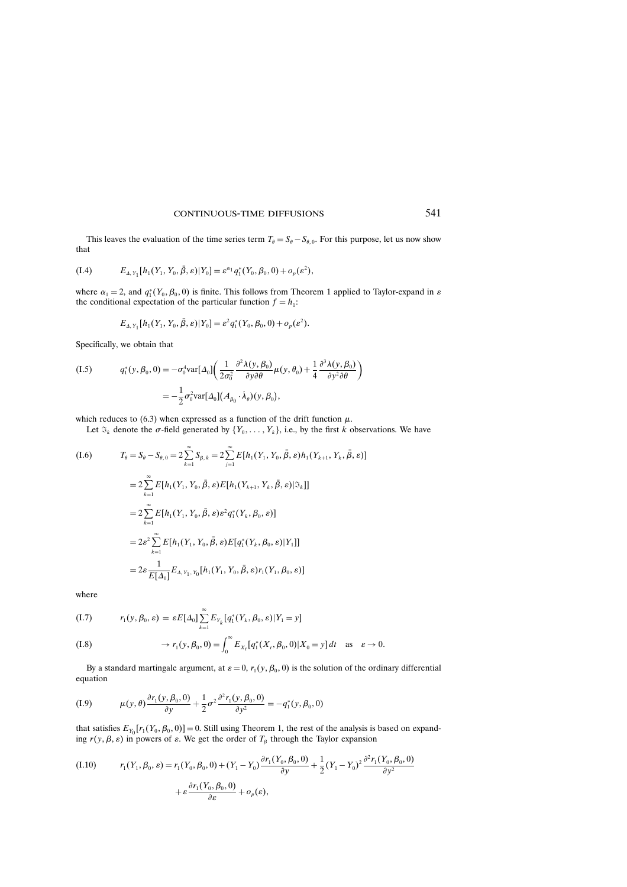This leaves the evaluation of the time series term  $T_{\theta} = S_{\theta} - S_{\theta,0}$ . For this purpose, let us now show that

$$
(I.4) \t E_{\Delta, Y_1}[h_1(Y_1, Y_0, \bar{\beta}, \varepsilon)|Y_0] = \varepsilon^{\alpha_1} q_1^*(Y_0, \beta_0, 0) + o_p(\varepsilon^2),
$$

where  $\alpha_1 = 2$ , and  $q_1^*(Y_0, \beta_0, 0)$  is finite. This follows from Theorem 1 applied to Taylor-expand in  $\varepsilon$ the conditional expectation of the particular function  $f = h_1$ :

$$
E_{\Delta, Y_1}[h_1(Y_1, Y_0, \bar{\beta}, \varepsilon)|Y_0] = \varepsilon^2 q_1^*(Y_0, \beta_0, 0) + o_p(\varepsilon^2).
$$

Specifically, we obtain that

(1.5) 
$$
q_1^*(y, \beta_0, 0) = -\sigma_0^4 \text{var}[\Delta_0] \bigg( \frac{1}{2\sigma_0^2} \frac{\partial^2 \lambda(y, \beta_0)}{\partial y \partial \theta} \mu(y, \theta_0) + \frac{1}{4} \frac{\partial^3 \lambda(y, \beta_0)}{\partial y^2 \partial \theta} \bigg)
$$

$$
= -\frac{1}{2} \sigma_0^2 \text{var}[\Delta_0] (A_{\beta_0} \cdot \dot{\lambda}_\theta)(y, \beta_0),
$$

which reduces to (6.3) when expressed as a function of the drift function  $\mu$ .

Let  $\mathfrak{F}_k$  denote the  $\sigma$ -field generated by  $\{Y_0, \ldots, Y_k\}$ , i.e., by the first k observations. We have

(1.6) 
$$
T_{\theta} = S_{\theta} - S_{\theta,0} = 2 \sum_{k=1}^{\infty} S_{\beta,k} = 2 \sum_{j=1}^{\infty} E[h_1(Y_1, Y_0, \bar{\beta}, \varepsilon)h_1(Y_{k+1}, Y_k, \bar{\beta}, \varepsilon)]
$$

$$
= 2 \sum_{k=1}^{\infty} E[h_1(Y_1, Y_0, \bar{\beta}, \varepsilon)E[h_1(Y_{k+1}, Y_k, \bar{\beta}, \varepsilon)|\mathcal{F}_k]]
$$

$$
= 2 \sum_{k=1}^{\infty} E[h_1(Y_1, Y_0, \bar{\beta}, \varepsilon) \varepsilon^2 q_1^*(Y_k, \beta_0, \varepsilon)]
$$

$$
= 2\varepsilon^2 \sum_{k=1}^{\infty} E[h_1(Y_1, Y_0, \bar{\beta}, \varepsilon)E[q_1^*(Y_k, \beta_0, \varepsilon)|Y_1]]]
$$

$$
= 2\varepsilon \frac{1}{E[A_0]} E_{\Delta, Y_1, Y_0}[h_1(Y_1, Y_0, \bar{\beta}, \varepsilon)r_1(Y_1, \beta_0, \varepsilon)]
$$

where

(1.7) 
$$
r_1(y, \beta_0, \varepsilon) = \varepsilon E[A_0] \sum_{k=1}^{\infty} E_{Y_k} [q_1^*(Y_k, \beta_0, \varepsilon) | Y_1 = y]
$$

(1.8) 
$$
\to r_1(y,\beta_0,0) = \int_0^\infty E_{X_t}[q_1^*(X_t,\beta_0,0)|X_0 = y] dt \text{ as } \varepsilon \to 0.
$$

By a standard martingale argument, at  $\varepsilon = 0$ ,  $r_1(y, \beta_0, 0)$  is the solution of the ordinary differential equation

(1.9) 
$$
\mu(y,\theta)\frac{\partial r_1(y,\beta_0,0)}{\partial y} + \frac{1}{2}\sigma^2 \frac{\partial^2 r_1(y,\beta_0,0)}{\partial y^2} = -q_1^*(y,\beta_0,0)
$$

that satisfies  $E_{Y_0}[r_1(Y_0, \beta_0, 0)] = 0$ . Still using Theorem 1, the rest of the analysis is based on expanding  $r(y, \beta, \varepsilon)$  in powers of  $\varepsilon$ . We get the order of  $T_\beta$  through the Taylor expansion

(1.10) 
$$
r_1(Y_1, \beta_0, \varepsilon) = r_1(Y_0, \beta_0, 0) + (Y_1 - Y_0) \frac{\partial r_1(Y_0, \beta_0, 0)}{\partial y} + \frac{1}{2} (Y_1 - Y_0)^2 \frac{\partial^2 r_1(Y_0, \beta_0, 0)}{\partial y^2} + \varepsilon \frac{\partial r_1(Y_0, \beta_0, 0)}{\partial \varepsilon} + o_p(\varepsilon),
$$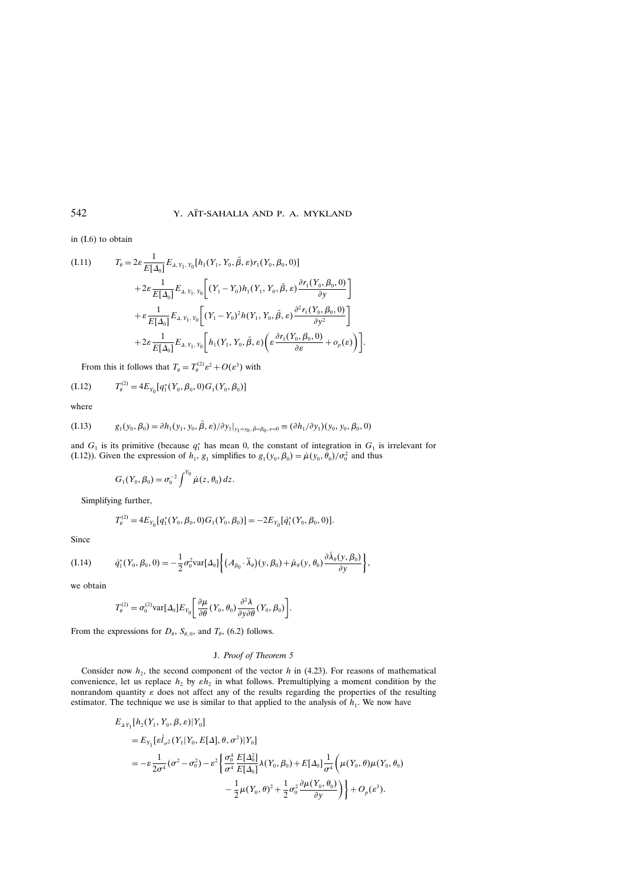in (I.6) to obtain

(1.11) 
$$
T_{\theta} = 2\varepsilon \frac{1}{E[\Delta_0]} E_{\Delta, Y_1, Y_0} [h_1(Y_1, Y_0, \bar{\beta}, \varepsilon) r_1(Y_0, \beta_0, 0)] + 2\varepsilon \frac{1}{E[\Delta_0]} E_{\Delta, Y_1, Y_0} \Big[ (Y_1 - Y_0) h_1(Y_1, Y_0, \bar{\beta}, \varepsilon) \frac{\partial r_1(Y_0, \beta_0, 0)}{\partial y} \Big] + \varepsilon \frac{1}{E[\Delta_0]} E_{\Delta, Y_1, Y_0} \Big[ (Y_1 - Y_0)^2 h(Y_1, Y_0, \bar{\beta}, \varepsilon) \frac{\partial^2 r_1(Y_0, \beta_0, 0)}{\partial y^2} \Big] + 2\varepsilon \frac{1}{E[\Delta_0]} E_{\Delta, Y_1, Y_0} \Big[ h_1(Y_1, Y_0, \bar{\beta}, \varepsilon) \Big( \varepsilon \frac{\partial r_1(Y_0, \beta_0, 0)}{\partial \varepsilon} + o_p(\varepsilon) \Big) \Big].
$$

From this it follows that  $T_{\theta} = T_{\theta}^{(2)} \varepsilon^2 + O(\varepsilon^3)$  with

$$
(I.12) \t T_{\theta}^{(2)} = 4E_{Y_0}[q_1^*(Y_0, \beta_0, 0)G_1(Y_0, \beta_0)]
$$

where

$$
(I.13) \t g_1(y_0, \beta_0) = \partial h_1(y_1, y_0, \bar{\beta}, \varepsilon) / \partial y_1|_{y_1 = y_0, \bar{\beta} = \beta_0, \varepsilon = 0} \equiv (\partial h_1 / \partial y_1)(y_0, y_0, \beta_0, 0)
$$

and  $G_1$  is its primitive (because  $q_1^*$  has mean 0, the constant of integration in  $G_1$  is irrelevant for (I.12)). Given the expression of  $h_1$ ,  $g_1$  simplifies to  $g_1(y_0, \beta_0) = \dot{\mu}(y_0, \theta_0)/\sigma_0^2$  and thus

$$
G_1(Y_0, \beta_0) = \sigma_0^{-2} \int^{Y_0} \dot{\mu}(z, \theta_0) dz.
$$

Simplifying further,

$$
T_{\theta}^{(2)} = 4E_{Y_0}[q_1^*(Y_0, \beta_0, 0)G_1(Y_0, \beta_0)] = -2E_{Y_0}[q_1^*(Y_0, \beta_0, 0)].
$$

Since

$$
(I.14) \qquad \dot{q}_1^*(Y_0,\beta_0,0)=-\frac{1}{2}\sigma_0^2 \text{var}[{\Delta_0}]\bigg\{ (A_{\beta_0}\cdot\ddot{\lambda}_{\theta})(y,\beta_0)+\dot{\mu}_{\theta}(y,\theta_0)\frac{\partial \dot{\lambda}_{\theta}(y,\beta_0)}{\partial y}\bigg\},
$$

we obtain

$$
T_{\theta}^{(2)} = \sigma_0^{(2)} \text{var}[\Delta_0] E_{Y_0} \left[ \frac{\partial \mu}{\partial \theta} (Y_0, \theta_0) \frac{\partial^2 \lambda}{\partial y \partial \theta} (Y_0, \beta_0) \right].
$$

From the expressions for  $D_{\theta}$ ,  $S_{\theta,0}$ , and  $T_{\theta}$ , (6.2) follows.

#### J. Proof of Theorem 5

Consider now  $h_2$ , the second component of the vector h in (4.23). For reasons of mathematical convenience, let us replace  $h_2$  by  $\epsilon h_2$  in what follows. Premultiplying a moment condition by the nonrandom quantity  $\varepsilon$  does not affect any of the results regarding the properties of the resulting estimator. The technique we use is similar to that applied to the analysis of  $h_1$ . We now have

$$
E_{\Delta Y_1}[h_2(Y_1, Y_0, \beta, \varepsilon)|Y_0]
$$
  
=  $E_{Y_1}[ \varepsilon_{\sigma^2}(Y_1|Y_0, E[\Delta], \theta, \sigma^2)|Y_0]$   
=  $-\varepsilon \frac{1}{2\sigma^4} (\sigma^2 - \sigma_0^2) - \varepsilon^2 \left\{ \frac{\sigma_0^4}{\sigma^4} \frac{E[\Delta_0^2]}{E[\Delta_0]} \lambda(Y_0, \beta_0) + E[\Delta_0] \frac{1}{\sigma^4} \left( \mu(Y_0, \theta) \mu(Y_0, \theta_0) - \frac{1}{2} \mu(Y_0, \theta)^2 + \frac{1}{2} \sigma_0^2 \frac{\partial \mu(Y_0, \theta_0)}{\partial y} \right) \right\} + O_p(\varepsilon^3).$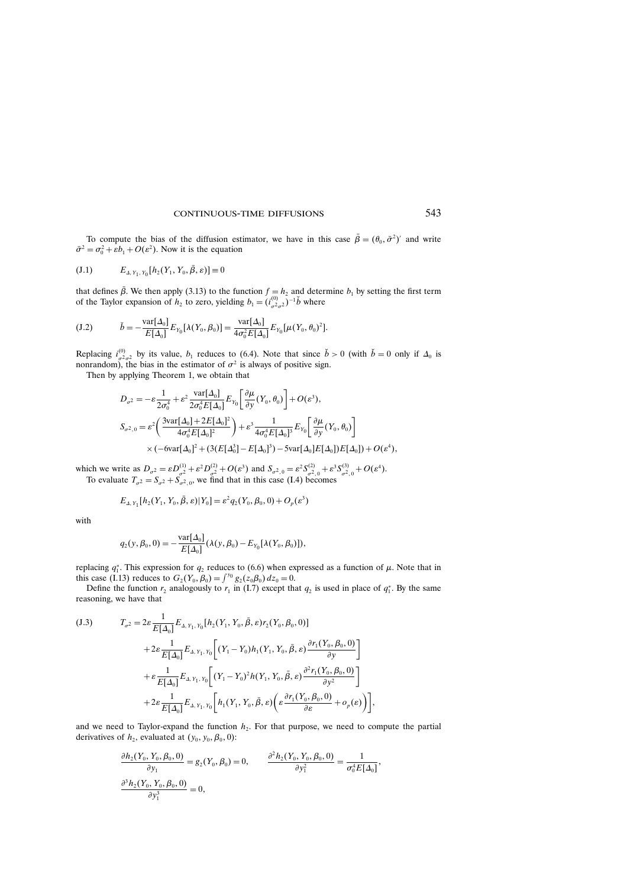To compute the bias of the diffusion estimator, we have in this case  $\beta = (\theta_0, \bar{\sigma}^2)$  and write  $\bar{\sigma}^2 = \sigma_0^2 + \varepsilon b_1 + O(\varepsilon^2)$ . Now it is the equation

$$
(J.1) \t E_{\Delta, Y_1, Y_0}[h_2(Y_1, Y_0, \bar{\beta}, \varepsilon)] \equiv 0
$$

that defines  $\beta$ . We then apply (3.13) to the function  $f = h_2$  and determine  $b_1$  by setting the first term of the Taylor expansion of  $h_2$  to zero, yielding  $b_1 = (i_{\sigma^2 \sigma^2}^{(0)})^{-1} \check{b}$  where

<sup>b</sup>˘ = −var 0! E 0! EY<sup>0</sup> AY0 0 ! <sup>=</sup> var 0! 4 2 <sup>0</sup> E 0! EY<sup>0</sup> Y0 <sup>0</sup> <sup>2</sup> (J2) !

Replacing  $i_{\sigma^2, \sigma^2}^{(0)}$  by its value,  $b_1$  reduces to (6.4). Note that since  $\check{b} > 0$  (with  $\check{b} = 0$  only if  $\Delta_0$  is nonrandom), the bias in the estimator of  $\sigma^2$  is always of positive sign.

Then by applying Theorem 1, we obtain that

$$
D_{\sigma^2} = -\varepsilon \frac{1}{2\sigma_0^4} + \varepsilon^2 \frac{\text{var}[\Delta_0]}{2\sigma_0^4 E[\Delta_0]} E_{Y_0} \left[ \frac{\partial \mu}{\partial y} (Y_0, \theta_0) \right] + O(\varepsilon^3),
$$
  
\n
$$
S_{\sigma^2, 0} = \varepsilon^2 \left( \frac{3 \text{var}[\Delta_0] + 2E[\Delta_0]^2}{4\sigma_0^4 E[\Delta_0]^2} \right) + \varepsilon^3 \frac{1}{4\sigma_0^4 E[\Delta_0]^3} E_{Y_0} \left[ \frac{\partial \mu}{\partial y} (Y_0, \theta_0) \right]
$$
  
\n
$$
\times (-6 \text{var}[\Delta_0]^2 + (3(E[\Delta_0^3] - E[\Delta_0]^3) - 5 \text{var}[\Delta_0] E[\Delta_0]) E[\Delta_0]) + O(\varepsilon^4),
$$

which we write as  $D_{\sigma^2} = \varepsilon D_{\sigma^2}^{(1)} + \varepsilon^2 D_{\sigma^2}^{(2)} + O(\varepsilon^3)$  and  $S_{\sigma^2,0} = \varepsilon^2 S_{\sigma^2,0}^{(2)} + \varepsilon^3 S_{\sigma^2,0}^{(3)} + O(\varepsilon^4)$ . To evaluate  $T_{\sigma^2} = S_{\sigma^2} + S_{\sigma^2,0}$ , we find that in this case (I.4) becomes

$$
E_{\Delta, Y_1}[h_2(Y_1, Y_0, \bar{\beta}, \varepsilon)|Y_0] = \varepsilon^2 q_2(Y_0, \beta_0, 0) + O_p(\varepsilon^3)
$$

with

$$
q_2(y, \beta_0, 0) = -\frac{\text{var}[\Delta_0]}{E[\Delta_0]} (\lambda(y, \beta_0) - E_{Y_0}[\lambda(Y_0, \beta_0)]),
$$

replacing  $q_1^*$ . This expression for  $q_2$  reduces to (6.6) when expressed as a function of  $\mu$ . Note that in this case (I.13) reduces to  $G_2(Y_0, \beta_0) = \int^{y_0} g_2(z_0, \beta_0) dz_0 = 0$ .

Define the function  $r_2$  analogously to  $r_1$  in (I.7) except that  $q_2$  is used in place of  $q_1^*$ . By the same reasoning, we have that

(J.3) 
$$
T_{\sigma^2} = 2\varepsilon \frac{1}{E[\Delta_0]} E_{\Delta, Y_1, Y_0} [h_2(Y_1, Y_0, \bar{\beta}, \varepsilon) r_2(Y_0, \beta_0, 0)] + 2\varepsilon \frac{1}{E[\Delta_0]} E_{\Delta, Y_1, Y_0} \bigg[ (Y_1 - Y_0) h_1(Y_1, Y_0, \bar{\beta}, \varepsilon) \frac{\partial r_1(Y_0, \beta_0, 0)}{\partial y} \bigg] + \varepsilon \frac{1}{E[\Delta_0]} E_{\Delta, Y_1, Y_0} \bigg[ (Y_1 - Y_0)^2 h(Y_1, Y_0, \bar{\beta}, \varepsilon) \frac{\partial^2 r_1(Y_0, \beta_0, 0)}{\partial y^2} \bigg] + 2\varepsilon \frac{1}{E[\Delta_0]} E_{\Delta, Y_1, Y_0} \bigg[ h_1(Y_1, Y_0, \bar{\beta}, \varepsilon) \bigg( \varepsilon \frac{\partial r_1(Y_0, \beta_0, 0)}{\partial \varepsilon} + o_p(\varepsilon) \bigg) \bigg],
$$

and we need to Taylor-expand the function  $h<sub>2</sub>$ . For that purpose, we need to compute the partial derivatives of  $h_2$ , evaluated at  $(y_0, y_0, \beta_0, 0)$ :

$$
\frac{\partial h_2(Y_0, Y_0, \beta_0, 0)}{\partial y_1} = g_2(Y_0, \beta_0) = 0, \qquad \frac{\partial^2 h_2(Y_0, Y_0, \beta_0, 0)}{\partial y_1^2} = \frac{1}{\sigma_0^4 E[\Delta_0]},
$$
  

$$
\frac{\partial^3 h_2(Y_0, Y_0, \beta_0, 0)}{\partial y_1^3} = 0,
$$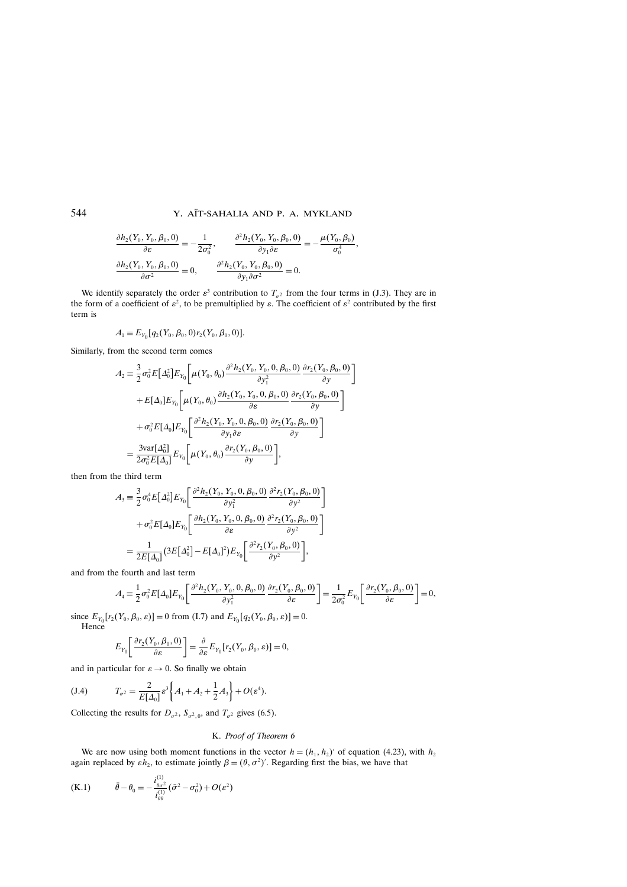$$
\frac{\partial h_2(Y_0, Y_0, \beta_0, 0)}{\partial \varepsilon} = -\frac{1}{2\sigma_0^2}, \qquad \frac{\partial^2 h_2(Y_0, Y_0, \beta_0, 0)}{\partial y_1 \partial \varepsilon} = -\frac{\mu(Y_0, \beta_0)}{\sigma_0^4},
$$

$$
\frac{\partial h_2(Y_0, Y_0, \beta_0, 0)}{\partial \sigma^2} = 0, \qquad \frac{\partial^2 h_2(Y_0, Y_0, \beta_0, 0)}{\partial y_1 \partial \sigma^2} = 0.
$$

We identify separately the order  $\varepsilon^3$  contribution to  $T_{\sigma^2}$  from the four terms in (J.3). They are in the form of a coefficient of  $\varepsilon^2$ , to be premultiplied by  $\varepsilon$ . The coefficient of  $\varepsilon^2$  contributed by the first term is

$$
A_1 \equiv E_{Y_0}[q_2(Y_0, \beta_0, 0)r_2(Y_0, \beta_0, 0)].
$$

Similarly, from the second term comes

$$
A_{2} = \frac{3}{2} \sigma_{0}^{2} E[A_{0}^{2}] E_{Y_{0}} \left[ \mu(Y_{0}, \theta_{0}) \frac{\partial^{2} h_{2}(Y_{0}, Y_{0}, 0, \beta_{0}, 0)}{\partial y_{1}^{2}} \frac{\partial r_{2}(Y_{0}, \beta_{0}, 0)}{\partial y} \right] + E[\Delta_{0}] E_{Y_{0}} \left[ \mu(Y_{0}, \theta_{0}) \frac{\partial h_{2}(Y_{0}, Y_{0}, 0, \beta_{0}, 0)}{\partial \varepsilon} \frac{\partial r_{2}(Y_{0}, \beta_{0}, 0)}{\partial y} \right] + \sigma_{0}^{2} E[\Delta_{0}] E_{Y_{0}} \left[ \frac{\partial^{2} h_{2}(Y_{0}, Y_{0}, 0, \beta_{0}, 0)}{\partial y_{1} \partial \varepsilon} \frac{\partial r_{2}(Y_{0}, \beta_{0}, 0)}{\partial y} \right] = \frac{3 \text{var}[\Delta_{0}^{2}]}{2 \sigma_{0}^{2} E[\Delta_{0}]} E_{Y_{0}} \left[ \mu(Y_{0}, \theta_{0}) \frac{\partial r_{2}(Y_{0}, \beta_{0}, 0)}{\partial y} \right],
$$

then from the third term

$$
A_3 = \frac{3}{2} \sigma_0^4 E\Big[\Delta_0^2\Big] E_{Y_0} \Big[ \frac{\partial^2 h_2(Y_0, Y_0, 0, \beta_0, 0)}{\partial y_1^2} \frac{\partial^2 r_2(Y_0, \beta_0, 0)}{\partial y^2} \Big] + \sigma_0^2 E\Big[\Delta_0\Big] E_{Y_0} \Big[ \frac{\partial h_2(Y_0, Y_0, 0, \beta_0, 0)}{\partial \varepsilon} \frac{\partial^2 r_2(Y_0, \beta_0, 0)}{\partial y^2} \Big] = \frac{1}{2E\Big[\Delta_0\Big]} \left(3E\Big[\Delta_0^2\Big] - E\Big[\Delta_0\Big]^2\right) E_{Y_0} \Big[ \frac{\partial^2 r_2(Y_0, \beta_0, 0)}{\partial y^2} \Big],
$$

and from the fourth and last term

$$
A_4 \equiv \frac{1}{2}\sigma_0^2 E[\Delta_0]E_{Y_0}\left[\frac{\partial^2 h_2(Y_0, Y_0, 0, \beta_0, 0)}{\partial y_1^2} \frac{\partial r_2(Y_0, \beta_0, 0)}{\partial \varepsilon}\right] = \frac{1}{2\sigma_0^2}E_{Y_0}\left[\frac{\partial r_2(Y_0, \beta_0, 0)}{\partial \varepsilon}\right] = 0,
$$

since  $E_{Y_0}[r_2(Y_0, \beta_0, \varepsilon)] = 0$  from (I.7) and  $E_{Y_0}[q_2(Y_0, \beta_0, \varepsilon)] = 0$ .<br>Hence

$$
E_{Y_0}\left[\frac{\partial r_2(Y_0,\beta_0,0)}{\partial \varepsilon}\right] = \frac{\partial}{\partial \varepsilon} E_{Y_0}[r_2(Y_0,\beta_0,\varepsilon)] = 0,
$$

and in particular for  $\varepsilon \to 0$ . So finally we obtain

$$
(J.4) \t T_{\sigma^2} = \frac{2}{E[\Delta_0]} \varepsilon^3 \left\{ A_1 + A_2 + \frac{1}{2} A_3 \right\} + O(\varepsilon^4).
$$

Collecting the results for  $D_{\sigma^2}$ ,  $S_{\sigma^2,0}$ , and  $T_{\sigma^2}$  gives (6.5).

#### K. Proof of Theorem 6

We are now using both moment functions in the vector  $h = (h_1, h_2)$  of equation (4.23), with  $h_2$ again replaced by  $\epsilon h_2$ , to estimate jointly  $\beta = (\theta, \sigma^2)'$ . Regarding first the bias, we have that

$$
\text{(K.1)} \qquad \bar{\theta} - \theta_0 = -\frac{i_{\theta\sigma^2}^{(1)}}{i_{\theta\theta}^{(1)}} (\bar{\sigma}^2 - \sigma_0^2) + O(\varepsilon^2)
$$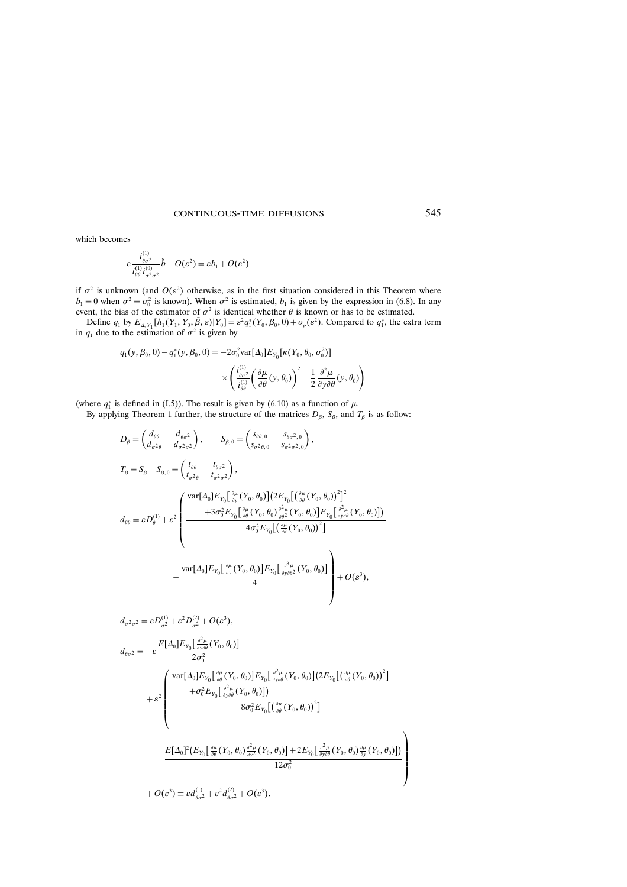which becomes

$$
-\varepsilon \frac{i_{\theta\sigma}^{(1)}}{i_{\theta\theta}^{(1)}i_{\sigma^2\sigma^2}^{(0)}} \check{b} + O(\varepsilon^2) = \varepsilon b_1 + O(\varepsilon^2)
$$

if  $\sigma^2$  is unknown (and  $O(\varepsilon^2)$  otherwise, as in the first situation considered in this Theorem where  $b_1 = 0$  when  $\sigma^2 = \sigma_0^2$  is known). When  $\sigma^2$  is estimated,  $b_1$  is given by the expression in (6.8). In any event, the bias of the estimator of  $\sigma^2$  is identical whether  $\theta$  is known or has to be estimated.

Define  $q_1$  by  $E_{A, Y_1}[h_1(Y_1, Y_0, \beta, \varepsilon)|Y_0] = \varepsilon^2 q_1^*(Y_0, \beta_0, 0) + o_p(\varepsilon^2)$ . Compared to  $q_1^*$ , the extra term in  $q_1$  due to the estimation of  $\sigma^2$  is given by

$$
q_1(y, \beta_0, 0) - q_1^*(y, \beta_0, 0) = -2\sigma_0^2 \text{var}[\Delta_0] E_{Y_0}[\kappa(Y_0, \theta_0, \sigma_0^2)]
$$

$$
\times \left(\frac{i_{\theta\sigma^2}^{(1)}}{i_{\theta\theta}^{(1)}} \left(\frac{\partial \mu}{\partial \theta}(y, \theta_0)\right)^2 - \frac{1}{2} \frac{\partial^2 \mu}{\partial y \partial \theta}(y, \theta_0)\right)
$$

(where  $q_1^*$  is defined in (I.5)). The result is given by (6.10) as a function of  $\mu$ .

By applying Theorem 1 further, the structure of the matrices  $D_{\beta}$ ,  $S_{\beta}$ , and  $T_{\beta}$  is as follow:

$$
D_{\beta} = \begin{pmatrix} d_{\theta\theta} & d_{\theta\sigma^2} \\ d_{\sigma^2\theta} & d_{\sigma^2\sigma^2} \end{pmatrix}, \qquad S_{\beta,0} = \begin{pmatrix} s_{\theta\theta,0} & s_{\theta\sigma^2,0} \\ s_{\sigma^2\theta,0} & s_{\sigma^2\sigma^2,0} \end{pmatrix},
$$
  
\n
$$
T_{\beta} = S_{\beta} - S_{\beta,0} = \begin{pmatrix} t_{\theta\theta} & t_{\theta\sigma^2} \\ t_{\sigma^2\theta} & t_{\sigma^2\sigma^2} \end{pmatrix},
$$
  
\n
$$
d_{\theta\theta} = \varepsilon D_{\theta}^{(1)} + \varepsilon^2 \begin{pmatrix} \text{var}[{\Delta_0}] E_{Y_0} \left[\frac{\partial \mu}{\partial y} (Y_0, \theta_0)\right] (2E_{Y_0} \left[\left(\frac{\partial \mu}{\partial \theta} (Y_0, \theta_0)\right)^2\right]^2 \\ + 3\sigma_0^2 E_{Y_0} \left[\frac{\partial \mu}{\partial \theta} (Y_0, \theta_0)\right] E_{Y_0} \left[\frac{\partial^2 \mu}{\partial y\partial \theta} (Y_0, \theta_0)\right] \right] \\ + 4\sigma_0^2 E_{Y_0} \left[\left(\frac{\partial \mu}{\partial \theta} (Y_0, \theta_0)\right)^2\right] \\ - \frac{\text{var}[{\Delta_0}] E_{Y_0} \left[\frac{\partial \mu}{\partial y} (Y_0, \theta_0)\right] E_{Y_0} \left[\frac{\partial^3 \mu}{\partial y\partial \theta^2} (Y_0, \theta_0)\right]}{4} + O(\varepsilon^3),
$$

$$
d_{\sigma^2 \sigma^2} = \varepsilon D_{\sigma^2}^{(1)} + \varepsilon^2 D_{\sigma^2}^{(2)} + O(\varepsilon^3),
$$
  
\n
$$
d_{\theta \sigma^2} = -\varepsilon \frac{E[\Delta_0] E_{Y_0} [\frac{\partial^2 \mu}{\partial y \partial \theta} (Y_0, \theta_0)]}{2\sigma_0^2}
$$
  
\n
$$
+ \varepsilon^2 \left( \frac{\operatorname{var}[ \Delta_0] E_{Y_0} [\frac{\partial \mu}{\partial \theta} (Y_0, \theta_0)] E_{Y_0} [\frac{\partial^2 \mu}{\partial y \partial \theta} (Y_0, \theta_0)] (2 E_{Y_0} [(\frac{\partial \mu}{\partial \theta} (Y_0, \theta_0))^2]}{8\sigma_0^2 E_{Y_0} [(\frac{\partial \mu}{\partial \theta} (Y_0, \theta_0))^2]} - \frac{E[\Delta_0]^2 (E_{Y_0} [\frac{\partial \mu}{\partial \theta} (Y_0, \theta_0) \frac{\partial^2 \mu}{\partial y^2} (Y_0, \theta_0)] + 2 E_{Y_0} [\frac{\partial^2 \mu}{\partial y \partial \theta} (Y_0, \theta_0) \frac{\partial \mu}{\partial y} (Y_0, \theta_0)]}{12\sigma_0^2} + O(\varepsilon^3) = \varepsilon d_{\theta \sigma^2}^{(1)} + \varepsilon^2 d_{\theta \sigma^2}^{(2)} + O(\varepsilon^3),
$$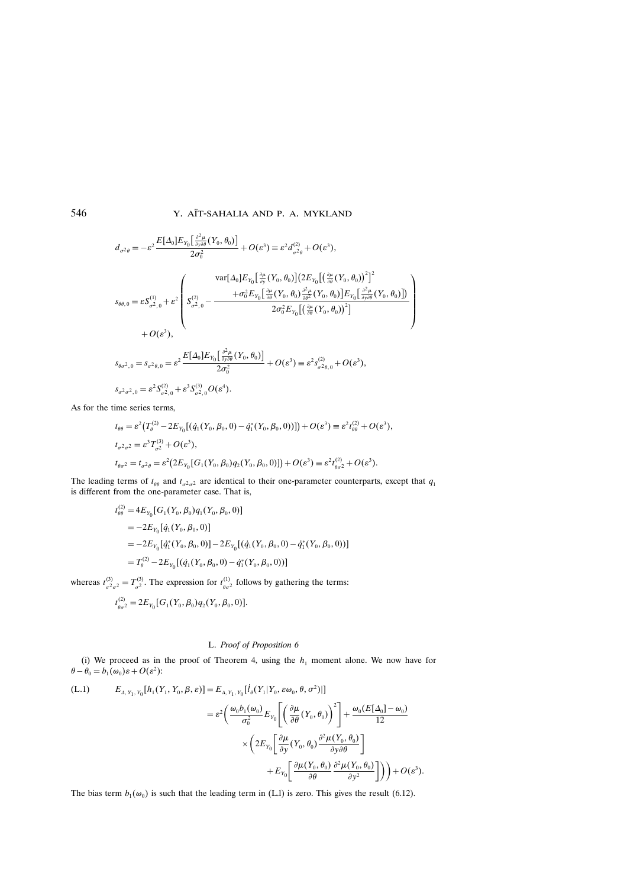$$
d_{\sigma^2\theta} = -\varepsilon^2 \frac{E[\Delta_0]E_{Y_0}\left[\frac{\partial^2 \mu}{\partial y \partial \theta}(Y_0, \theta_0)\right]}{2\sigma_0^2} + O(\varepsilon^3) \equiv \varepsilon^2 d_{\sigma^2\theta}^{(2)} + O(\varepsilon^3),
$$
  

$$
s_{\theta\theta,0} = \varepsilon S_{\sigma^2,0}^{(1)} + \varepsilon^2 \left( \frac{\text{var}[\Delta_0]E_{Y_0}\left[\frac{\partial \mu}{\partial y}(Y_0, \theta_0)\right](2E_{Y_0}\left[\frac{\partial \mu}{\partial \theta}(Y_0, \theta_0)\right]^2\right]^2}{2\sigma_0^2 E_{Y_0}\left[\frac{\partial \mu}{\partial \theta}(Y_0, \theta_0)\right]B_{Y_0}\left[\frac{\partial^2 \mu}{\partial y \partial \theta}(Y_0, \theta_0)\right]}{2\sigma_0^2 E_{Y_0}\left[\left(\frac{\partial \mu}{\partial \theta}(Y_0, \theta_0)\right]^2\right]} + O(\varepsilon^3),
$$
  

$$
s_{\theta\sigma^2,0} = s_{\sigma^2\theta,0} = \varepsilon^2 \frac{E[\Delta_0]E_{Y_0}\left[\frac{\partial^2 \mu}{\partial y \partial \theta}(Y_0, \theta_0)\right]}{2\sigma_0^2} + O(\varepsilon^3) \equiv \varepsilon^2 s_{\sigma^2\theta,0}^{(2)} + O(\varepsilon^3),
$$
  

$$
s_{\sigma^2\sigma^2,0} = \varepsilon^2 S_{\sigma^2,0}^{(2)} + \varepsilon^3 S_{\sigma^2,0}^{(3)} O(\varepsilon^4).
$$

As for the time series terms,

$$
t_{\theta\theta} = \varepsilon^2 (T_\theta^{(2)} - 2E_{Y_0}[(\dot{q}_1(Y_0, \beta_0, 0) - \dot{q}_1^*(Y_0, \beta_0, 0))]) + O(\varepsilon^3) \equiv \varepsilon^2 t_{\theta\theta}^{(2)} + O(\varepsilon^3),
$$
  
\n
$$
t_{\sigma^2 \sigma^2} = \varepsilon^3 T_{\sigma^2}^{(3)} + O(\varepsilon^3),
$$
  
\n
$$
t_{\theta\sigma^2} = t_{\sigma^2 \theta} = \varepsilon^2 (2E_{Y_0}[G_1(Y_0, \beta_0)q_2(Y_0, \beta_0, 0)]) + O(\varepsilon^3) \equiv \varepsilon^2 t_{\theta\sigma^2}^{(2)} + O(\varepsilon^3).
$$

The leading terms of  $t_{\theta\theta}$  and  $t_{\sigma^2\sigma^2}$  are identical to their one-parameter counterparts, except that  $q_1$ is different from the one-parameter case. That is,

$$
t_{\theta\theta}^{(2)} = 4E_{Y_0}[G_1(Y_0, \beta_0)q_1(Y_0, \beta_0, 0)]
$$
  
= -2E\_{Y\_0}[\dot{q}\_1(Y\_0, \beta\_0, 0)]  
= -2E\_{Y\_0}[\dot{q}\_1^\*(Y\_0, \beta\_0, 0)] - 2E\_{Y\_0}[(\dot{q}\_1(Y\_0, \beta\_0, 0) - \dot{q}\_1^\*(Y\_0, \beta\_0, 0))]  
= T\_{\theta}^{(2)} - 2E\_{Y\_0}[(\dot{q}\_1(Y\_0, \beta\_0, 0) - \dot{q}\_1^\*(Y\_0, \beta\_0, 0))]

whereas  $t_{\sigma^2\sigma^2}^{(3)} = T_{\sigma^2}^{(3)}$ . The expression for  $t_{\theta\sigma^2}^{(1)}$  follows by gathering the terms:

$$
t_{\theta\sigma^2}^{(2)} = 2E_{Y_0}[G_1(Y_0, \beta_0)q_2(Y_0, \beta_0, 0)].
$$

#### L. Proof of Proposition 6

(i) We proceed as in the proof of Theorem 4, using the  $h_1$  moment alone. We now have for  $\theta - \theta_0 = b_1(\omega_0)\varepsilon + O(\varepsilon^2)$ :

$$
\begin{split} \text{(L.1)} \qquad E_{\Delta, Y_1, Y_0}[h_1(Y_1, Y_0, \beta, \varepsilon)] &= E_{\Delta, Y_1, Y_0}[l_\theta(Y_1|Y_0, \varepsilon \omega_0, \theta, \sigma^2)]] \\ &= \varepsilon^2 \bigg( \frac{\omega_0 b_1(\omega_0)}{\sigma_0^2} E_{Y_0} \bigg[ \bigg( \frac{\partial \mu}{\partial \theta}(Y_0, \theta_0) \bigg)^2 \bigg] + \frac{\omega_0(E[\Delta_0] - \omega_0)}{12} \\ &\times \bigg( 2 E_{Y_0} \bigg[ \frac{\partial \mu}{\partial y}(Y_0, \theta_0) \frac{\partial^2 \mu(Y_0, \theta_0)}{\partial y \partial \theta} \bigg] \\ &\quad + E_{Y_0} \bigg[ \frac{\partial \mu(Y_0, \theta_0)}{\partial \theta} \frac{\partial^2 \mu(Y_0, \theta_0)}{\partial y^2} \bigg] \bigg) \bigg) + O(\varepsilon^3). \end{split}
$$

The bias term  $b_1(\omega_0)$  is such that the leading term in (L.l) is zero. This gives the result (6.12).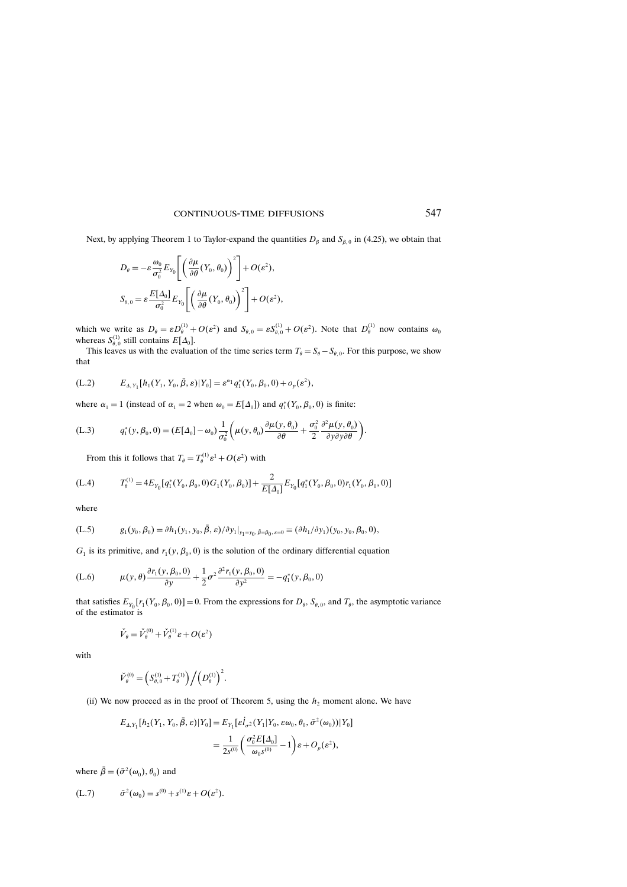Next, by applying Theorem 1 to Taylor-expand the quantities  $D_\beta$  and  $S_{\beta,0}$  in (4.25), we obtain that

$$
D_{\theta} = -\varepsilon \frac{\omega_0}{\sigma_0^2} E_{Y_0} \left[ \left( \frac{\partial \mu}{\partial \theta} (Y_0, \theta_0) \right)^2 \right] + O(\varepsilon^2),
$$
  

$$
S_{\theta,0} = \varepsilon \frac{E[\Delta_0]}{\sigma_0^2} E_{Y_0} \left[ \left( \frac{\partial \mu}{\partial \theta} (Y_0, \theta_0) \right)^2 \right] + O(\varepsilon^2),
$$

which we write as  $D_{\theta} = \varepsilon D_{\theta}^{(1)} + O(\varepsilon^2)$  and  $S_{\theta,0} = \varepsilon S_{\theta,0}^{(1)} + O(\varepsilon^2)$ . Note that  $D_{\theta}^{(1)}$  now contains  $\omega_0$ whereas  $S_{\theta,0}^{(1)}$  still contains  $E[\Delta_0]$ .

This leaves us with the evaluation of the time series term  $T_{\theta} = S_{\theta} - S_{\theta,0}$ . For this purpose, we show that

$$
(L.2) \t E_{\Delta, Y_1}[h_1(Y_1, Y_0, \bar{\beta}, \varepsilon)|Y_0] = \varepsilon^{\alpha_1} q_1^*(Y_0, \beta_0, 0) + o_p(\varepsilon^2),
$$

where  $\alpha_1 = 1$  (instead of  $\alpha_1 = 2$  when  $\omega_0 = E[\Delta_0]$ ) and  $q_1^*(Y_0, \beta_0, 0)$  is finite:

$$
(L.3) \tq_1^*(y, \beta_0, 0) = (E[\Delta_0] - \omega_0) \frac{1}{\sigma_0^2} \left( \mu(y, \theta_0) \frac{\partial \mu(y, \theta_0)}{\partial \theta} + \frac{\sigma_0^2}{2} \frac{\partial^2 \mu(y, \theta_0)}{\partial y \partial y \partial \theta} \right).
$$

From this it follows that  $T_{\theta} = T_{\theta}^{(1)} \varepsilon^1 + O(\varepsilon^2)$  with

$$
(L.4) \tT_{\theta}^{(1)} = 4E_{Y_0}[q_1^*(Y_0, \beta_0, 0)G_1(Y_0, \beta_0)] + \frac{2}{E[\Delta_0]}E_{Y_0}[q_1^*(Y_0, \beta_0, 0)r_1(Y_0, \beta_0, 0)]
$$

where

$$
(L.5) \t g_1(y_0, \beta_0) = \partial h_1(y_1, y_0, \bar{\beta}, \varepsilon) / \partial y_1|_{y_1 = y_0, \bar{\beta} = \beta_0, \varepsilon = 0} \equiv (\partial h_1 / \partial y_1)(y_0, y_0, \beta_0, 0),
$$

 $G_1$  is its primitive, and  $r_1(y, \beta_0, 0)$  is the solution of the ordinary differential equation

(L.6) 
$$
\mu(y,\theta)\frac{\partial r_1(y,\beta_0,0)}{\partial y} + \frac{1}{2}\sigma^2 \frac{\partial^2 r_1(y,\beta_0,0)}{\partial y^2} = -q_1^*(y,\beta_0,0)
$$

that satisfies  $E_{Y_0}[r_1(Y_0, \beta_0, 0)] = 0$ . From the expressions for  $D_\theta$ ,  $S_{\theta,0}$ , and  $T_\theta$ , the asymptotic variance of the estimator is

$$
\check{V}_{\theta} = \check{V}_{\theta}^{(0)} + \check{V}_{\theta}^{(1)} \varepsilon + O(\varepsilon^2)
$$

with

$$
\check{V}^{(0)}_{\theta} = \Big(S^{(1)}_{\theta,0} + T^{(1)}_{\theta}\Big) \Big/ \Big(D^{(1)}_{\theta}\Big)^2.
$$

(ii) We now proceed as in the proof of Theorem 5, using the  $h_2$  moment alone. We have

$$
E_{\Delta,Y_1}[h_2(Y_1, Y_0, \bar{\beta}, \varepsilon)|Y_0] = E_{Y_1}[\varepsilon \dot{I}_{\sigma^2}(Y_1|Y_0, \varepsilon \omega_0, \theta_0, \bar{\sigma}^2(\omega_0))|Y_0]
$$
  
= 
$$
\frac{1}{2s^{(0)}} \left( \frac{\sigma_0^2 E[A_0]}{\omega_0 s^{(0)}} - 1 \right) \varepsilon + O_p(\varepsilon^2),
$$

where  $\beta = (\bar{\sigma}^2(\omega_0), \theta_0)$  and

$$
(L.7) \t\t \bar{\sigma}^2(\omega_0) = s^{(0)} + s^{(1)}\varepsilon + O(\varepsilon^2).
$$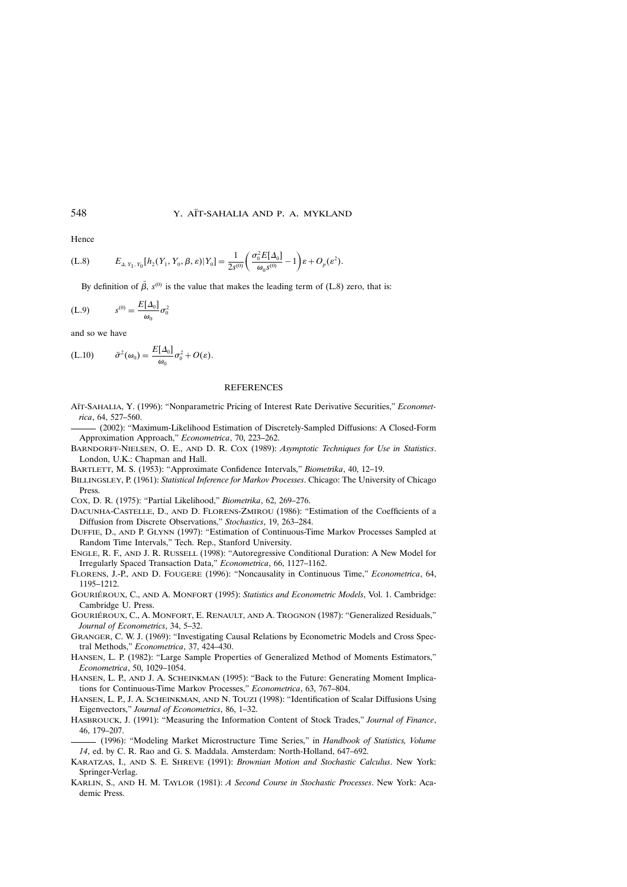Hence

$$
(L.8) \t E_{\Delta, Y_1, Y_0}[h_2(Y_1, Y_0, \beta, \varepsilon)|Y_0] = \frac{1}{2s^{(0)}} \left( \frac{\sigma_0^2 E[\Delta_0]}{\omega_0 s^{(0)}} - 1 \right) \varepsilon + O_p(\varepsilon^2).
$$

By definition of  $\bar{\beta}$ ,  $s^{(0)}$  is the value that makes the leading term of (L.8) zero, that is:

$$
(L.9) \t s^{(0)} = \frac{E[\Delta_0]}{\omega_0} \sigma_0^2
$$

and so we have

$$
(L.10) \qquad \bar{\sigma}^2(\omega_0) = \frac{E[\Delta_0]}{\omega_0} \sigma_0^2 + O(\varepsilon).
$$

## **REFERENCES**

Aït-Sahalia, Y. (1996): "Nonparametric Pricing of Interest Rate Derivative Securities," Econometrica, 64, 527–560.

(2002): "Maximum-Likelihood Estimation of Discretely-Sampled Diffusions: AClosed-Form Approximation Approach," Econometrica, 70, 223–262.

BARNDORFF-NIELSEN, O. E., AND D. R. COX (1989): Asymptotic Techniques for Use in Statistics. London, U.K.: Chapman and Hall.

BARTLETT, M. S. (1953): "Approximate Confidence Intervals," Biometrika, 40, 12–19.

BILLINGSLEY, P. (1961): Statistical Inference for Markov Processes. Chicago: The University of Chicago Press.

Cox, D. R. (1975): "Partial Likelihood," Biometrika, 62, 269–276.

Dacunha-Castelle, D., and D. Florens-Zmirou (1986): "Estimation of the Coefficients of a Diffusion from Discrete Observations," Stochastics, 19, 263–284.

Duffie, D., and P. Glynn (1997): "Estimation of Continuous-Time Markov Processes Sampled at Random Time Intervals," Tech. Rep., Stanford University.

Engle, R. F., and J. R. Russell (1998): "Autoregressive Conditional Duration: A New Model for Irregularly Spaced Transaction Data," Econometrica, 66, 1127–1162.

Florens, J.-P., and D. Fougere (1996): "Noncausality in Continuous Time," Econometrica, 64, 1195–1212.

GOURIÉROUX, C., AND A. MONFORT (1995): Statistics and Econometric Models, Vol. 1. Cambridge: Cambridge U. Press.

Gouriéroux, C., A. Monfort, E. Renault, and A. Trognon (1987): "Generalized Residuals," Journal of Econometrics, 34, 5–32.

Granger, C. W. J. (1969): "Investigating Causal Relations by Econometric Models and Cross Spectral Methods," Econometrica, 37, 424–430.

Hansen, L. P. (1982): "Large Sample Properties of Generalized Method of Moments Estimators," Econometrica, 50, 1029–1054.

Hansen, L. P., and J. A. Scheinkman (1995): "Back to the Future: Generating Moment Implications for Continuous-Time Markov Processes," Econometrica, 63, 767–804.

Hansen, L. P., J. A. Scheinkman, and N. Touzi (1998): "Identification of Scalar Diffusions Using Eigenvectors," Journal of Econometrics, 86, 1–32.

HASBROUCK, J. (1991): "Measuring the Information Content of Stock Trades," Journal of Finance, 46, 179–207.

(1996): "Modeling Market Microstructure Time Series," in Handbook of Statistics, Volume 14, ed. by C. R. Rao and G. S. Maddala. Amsterdam: North-Holland, 647–692.

Karatzas, I., and S. E. Shreve (1991): Brownian Motion and Stochastic Calculus. New York: Springer-Verlag.

KARLIN, S., AND H. M. TAYLOR (1981): A Second Course in Stochastic Processes. New York: Academic Press.